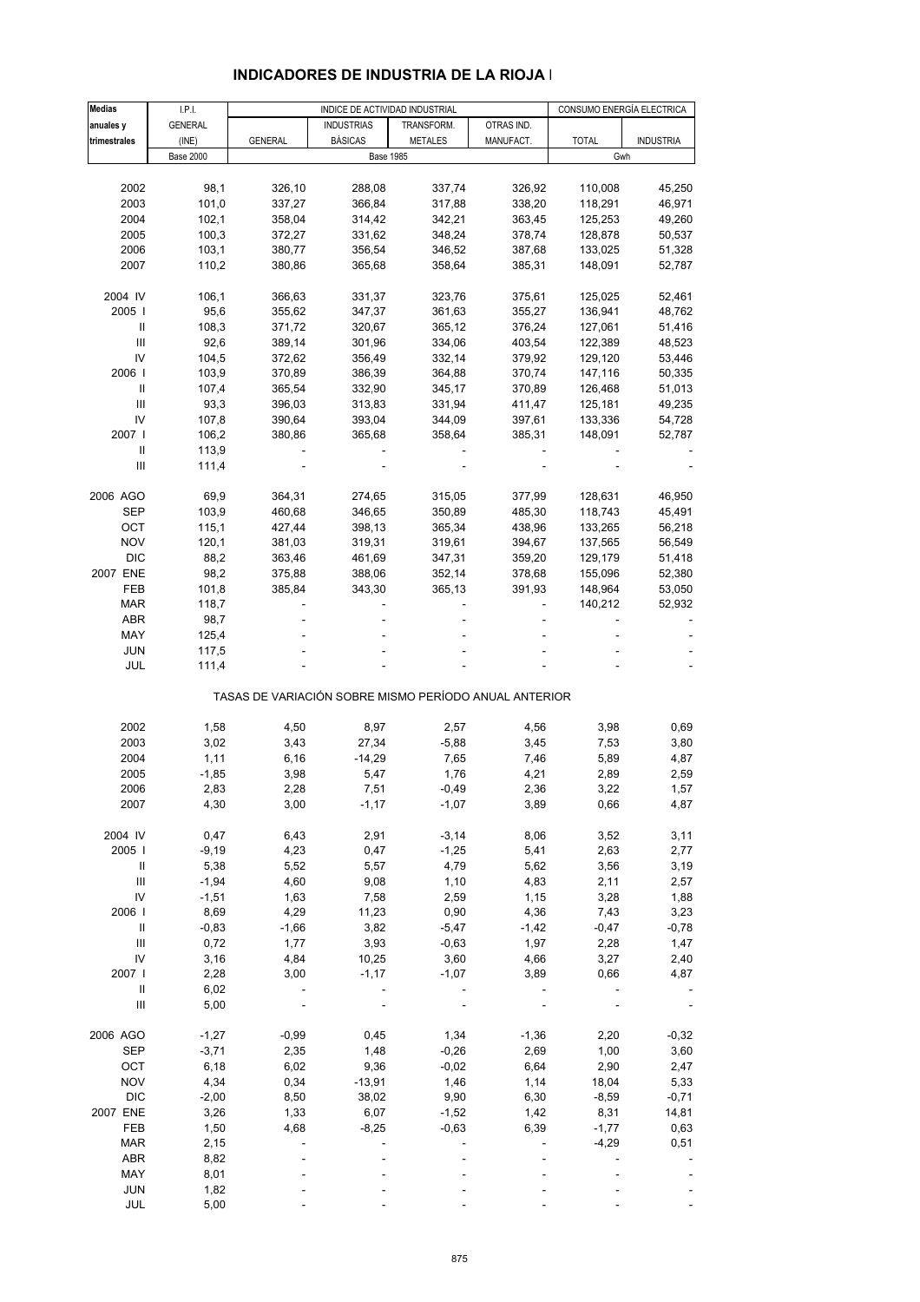| <b>Medias</b>                           | I.P.I.           | INDICE DE ACTIVIDAD INDUSTRIAL                        |                   |                |            | CONSUMO ENERGÍA ELECTRICA |                  |  |
|-----------------------------------------|------------------|-------------------------------------------------------|-------------------|----------------|------------|---------------------------|------------------|--|
| anuales y                               | <b>GENERAL</b>   |                                                       | <b>INDUSTRIAS</b> | TRANSFORM.     | OTRAS IND. |                           |                  |  |
| trimestrales                            | (INE)            | <b>GENERAL</b>                                        | <b>BÁSICAS</b>    | <b>METALES</b> | MANUFACT.  | <b>TOTAL</b>              | <b>INDUSTRIA</b> |  |
|                                         | <b>Base 2000</b> |                                                       | <b>Base 1985</b>  |                |            | Gwh                       |                  |  |
|                                         |                  |                                                       |                   |                |            |                           |                  |  |
| 2002                                    | 98,1             | 326,10                                                | 288,08            | 337,74         | 326,92     | 110,008                   | 45,250           |  |
| 2003                                    | 101,0            | 337,27                                                | 366,84            | 317,88         | 338,20     | 118,291                   | 46,971           |  |
| 2004                                    | 102,1            | 358,04                                                | 314,42            | 342,21         | 363,45     | 125,253                   | 49,260           |  |
| 2005                                    | 100,3            |                                                       |                   | 348,24         | 378,74     | 128,878                   | 50,537           |  |
|                                         |                  | 372,27                                                | 331,62            |                |            |                           |                  |  |
| 2006                                    | 103,1            | 380,77                                                | 356,54            | 346,52         | 387,68     | 133,025                   | 51,328           |  |
| 2007                                    | 110,2            | 380,86                                                | 365,68            | 358,64         | 385,31     | 148,091                   | 52,787           |  |
| 2004 IV                                 | 106,1            | 366,63                                                | 331,37            | 323,76         | 375,61     | 125,025                   | 52,461           |  |
| 2005                                    | 95,6             | 355,62                                                | 347,37            | 361,63         | 355,27     | 136,941                   | 48,762           |  |
| Ш                                       | 108,3            | 371,72                                                | 320,67            | 365,12         | 376,24     | 127,061                   | 51,416           |  |
| $\ensuremath{\mathsf{III}}\xspace$      |                  |                                                       |                   | 334,06         | 403,54     |                           | 48,523           |  |
| IV                                      | 92,6             | 389,14                                                | 301,96            |                |            | 122,389                   |                  |  |
|                                         | 104,5            | 372,62                                                | 356,49            | 332,14         | 379,92     | 129,120                   | 53,446           |  |
| 2006                                    | 103,9            | 370,89                                                | 386,39            | 364,88         | 370,74     | 147,116                   | 50,335           |  |
| Ш                                       | 107,4            | 365,54                                                | 332,90            | 345,17         | 370,89     | 126,468                   | 51,013           |  |
| Ш                                       | 93,3             | 396,03                                                | 313,83            | 331,94         | 411,47     | 125,181                   | 49,235           |  |
| IV                                      | 107,8            | 390,64                                                | 393,04            | 344,09         | 397,61     | 133,336                   | 54,728           |  |
| 2007                                    | 106,2            | 380,86                                                | 365,68            | 358,64         | 385,31     | 148,091                   | 52,787           |  |
| Ш                                       | 113,9            |                                                       |                   |                |            |                           |                  |  |
| $\ensuremath{\mathsf{III}}\xspace$      | 111,4            |                                                       |                   |                |            |                           |                  |  |
|                                         |                  |                                                       |                   |                |            |                           |                  |  |
| 2006 AGO                                | 69,9             | 364,31                                                | 274,65            | 315,05         | 377,99     | 128,631                   | 46,950           |  |
| <b>SEP</b>                              | 103,9            | 460,68                                                | 346,65            | 350,89         | 485,30     | 118,743                   | 45,491           |  |
| OCT                                     | 115,1            | 427,44                                                | 398,13            | 365,34         | 438,96     | 133,265                   | 56,218           |  |
| <b>NOV</b>                              | 120,1            | 381,03                                                | 319,31            | 319,61         | 394,67     | 137,565                   | 56,549           |  |
| <b>DIC</b>                              | 88,2             | 363,46                                                | 461,69            | 347,31         | 359,20     | 129,179                   | 51,418           |  |
| 2007 ENE                                | 98,2             | 375,88                                                | 388,06            | 352,14         | 378,68     | 155,096                   | 52,380           |  |
| FEB                                     | 101,8            | 385,84                                                | 343,30            | 365,13         | 391,93     | 148,964                   | 53,050           |  |
| MAR                                     | 118,7            |                                                       |                   |                |            | 140,212                   | 52,932           |  |
| ABR                                     | 98,7             |                                                       |                   |                |            | ä,                        |                  |  |
| MAY                                     | 125,4            |                                                       |                   |                |            |                           |                  |  |
| <b>JUN</b>                              | 117,5            |                                                       |                   |                |            |                           |                  |  |
| JUL                                     | 111,4            |                                                       |                   |                |            |                           |                  |  |
|                                         |                  | TASAS DE VARIACIÓN SOBRE MISMO PERÍODO ANUAL ANTERIOR |                   |                |            |                           |                  |  |
|                                         |                  |                                                       |                   |                |            |                           |                  |  |
| 2002                                    | 1,58             | 4,50                                                  | 8,97              | 2,57           | 4,56       | 3,98                      | 0,69             |  |
| 2003                                    | 3,02             | 3,43                                                  | 27,34             | $-5,88$        | 3,45       | 7,53                      | 3,80             |  |
| 2004                                    | 1,11             | 6, 16                                                 | $-14,29$          | 7,65           | 7,46       | 5,89                      | 4,87             |  |
| 2005                                    | $-1,85$          | 3,98                                                  | 5,47              | 1,76           | 4,21       | 2,89                      | 2,59             |  |
| 2006                                    | 2,83             | 2,28                                                  | 7,51              | $-0,49$        | 2,36       | 3,22                      | 1,57             |  |
| 2007                                    | 4,30             | 3,00                                                  | $-1,17$           | $-1,07$        | 3,89       | 0,66                      | 4,87             |  |
| 2004 IV                                 | 0,47             | 6,43                                                  | 2,91              | $-3,14$        | 8,06       | 3,52                      | 3,11             |  |
| 2005                                    | $-9,19$          | 4,23                                                  | 0,47              | $-1,25$        | 5,41       | 2,63                      | 2,77             |  |
| Ш                                       | 5,38             | 5,52                                                  | 5,57              | 4,79           | 5,62       | 3,56                      | 3,19             |  |
| Ш                                       | $-1,94$          | 4,60                                                  | 9,08              | 1,10           | 4,83       | 2,11                      | 2,57             |  |
| IV                                      | $-1,51$          | 1,63                                                  | 7,58              | 2,59           | 1,15       | 3,28                      | 1,88             |  |
| 2006                                    | 8,69             | 4,29                                                  | 11,23             | 0,90           | 4,36       | 7,43                      | 3,23             |  |
| Ш                                       | $-0,83$          | $-1,66$                                               | 3,82              | $-5,47$        | $-1,42$    | $-0,47$                   | $-0,78$          |  |
| Ш                                       | 0,72             | 1,77                                                  | 3,93              | $-0,63$        | 1,97       | 2,28                      | 1,47             |  |
| ${\sf IV}$                              | 3,16             |                                                       |                   |                |            |                           |                  |  |
| 2007 I                                  |                  | 4,84                                                  | 10,25             | 3,60           | 4,66       | 3,27                      | 2,40             |  |
|                                         | 2,28             | 3,00                                                  | $-1,17$           | $-1,07$        | 3,89       | 0,66                      | 4,87             |  |
| Ш<br>$\ensuremath{\mathsf{III}}\xspace$ | 6,02             |                                                       |                   |                |            |                           |                  |  |
|                                         | 5,00             |                                                       |                   |                |            |                           |                  |  |
| 2006 AGO                                | $-1,27$          | $-0,99$                                               | 0,45              | 1,34           | $-1,36$    | 2,20                      | $-0,32$          |  |
| SEP                                     | $-3,71$          | 2,35                                                  | 1,48              | $-0,26$        | 2,69       | 1,00                      | 3,60             |  |
| OCT                                     | 6,18             | 6,02                                                  | 9,36              | $-0,02$        | 6,64       | 2,90                      | 2,47             |  |
| <b>NOV</b>                              | 4,34             | 0,34                                                  | $-13,91$          | 1,46           | 1,14       | 18,04                     | 5,33             |  |
| <b>DIC</b>                              | $-2,00$          | 8,50                                                  | 38,02             | 9,90           | 6,30       | $-8,59$                   | $-0,71$          |  |
| 2007 ENE                                | 3,26             | 1,33                                                  | 6,07              | $-1,52$        | 1,42       | 8,31                      | 14,81            |  |
| FEB                                     | 1,50             | 4,68                                                  | $-8,25$           | $-0,63$        | 6,39       | $-1,77$                   | 0,63             |  |
| <b>MAR</b>                              | 2,15             |                                                       |                   |                |            | $-4,29$                   | 0,51             |  |
| <b>ABR</b>                              | 8,82             |                                                       |                   |                |            |                           |                  |  |
| MAY                                     | 8,01             |                                                       |                   |                |            |                           |                  |  |
| JUN                                     | 1,82             |                                                       |                   |                |            |                           |                  |  |
| JUL                                     | 5,00             |                                                       |                   |                |            |                           |                  |  |

#### **INDICADORES DE INDUSTRIA DE LA RIOJA I**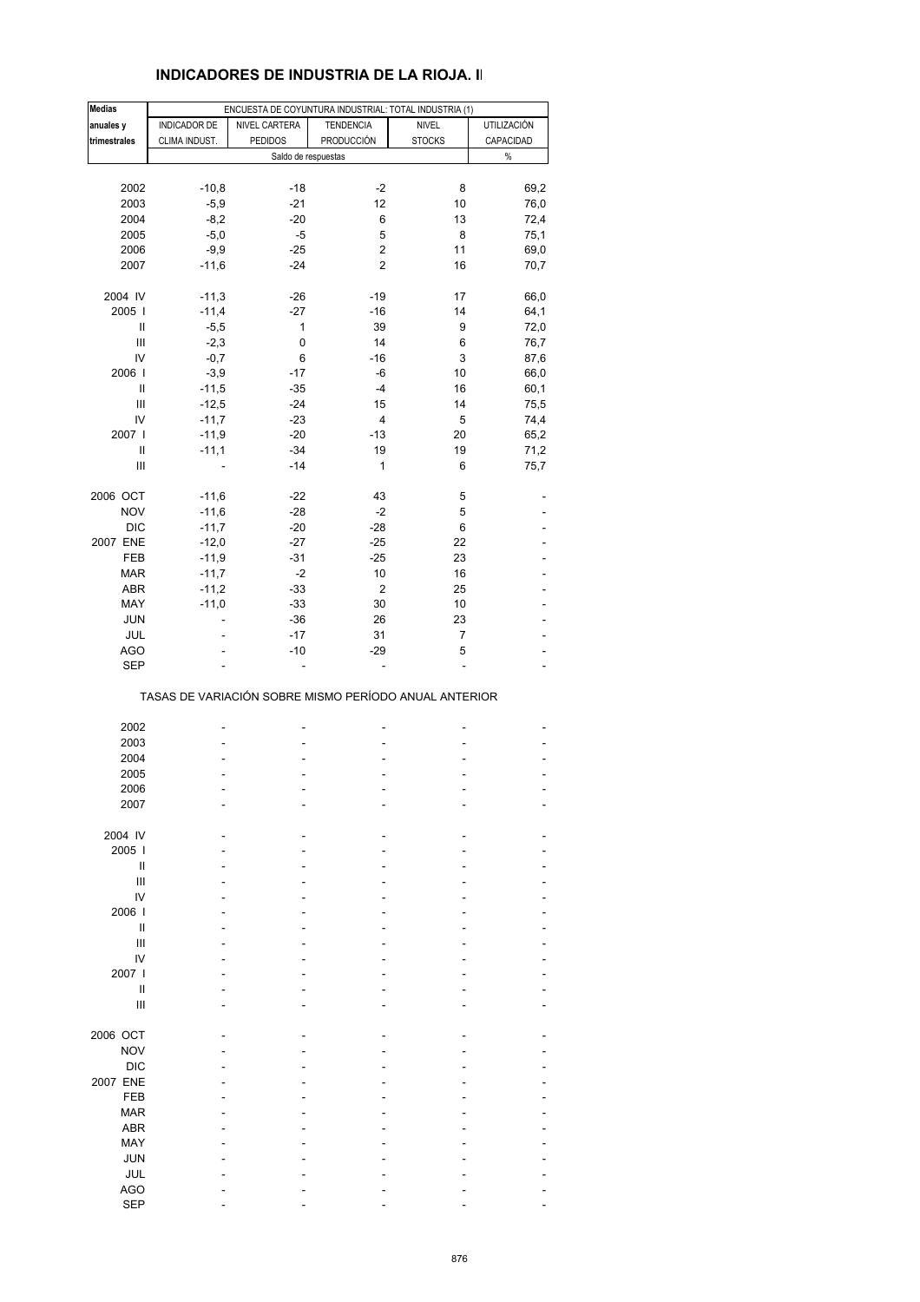#### **INDICADORES DE INDUSTRIA DE LA RIOJA. II**

| <b>Medias</b>                      |               | ENCUESTA DE COYUNTURA INDUSTRIAL: TOTAL INDUSTRIA (1) |                  |                |             |
|------------------------------------|---------------|-------------------------------------------------------|------------------|----------------|-------------|
| anuales y                          | INDICADOR DE  | NIVEL CARTERA                                         | <b>TENDENCIA</b> | <b>NIVEL</b>   | UTILIZACIÓN |
| trimestrales                       | CLIMA INDUST. | <b>PEDIDOS</b>                                        | PRODUCCIÓN       | <b>STOCKS</b>  | CAPACIDAD   |
|                                    |               | Saldo de respuestas                                   |                  |                | $\%$        |
|                                    |               |                                                       |                  |                |             |
| 2002                               | $-10,8$       | $-18$                                                 | $-2$             | 8              | 69,2        |
| 2003                               | $-5,9$        | $-21$                                                 | 12               | 10             | 76,0        |
| 2004                               | $-8,2$        | $-20$                                                 | 6                | 13             | 72,4        |
|                                    |               | $-5$                                                  | 5                |                |             |
| 2005                               | $-5,0$        |                                                       |                  | 8              | 75,1        |
| 2006                               | $-9,9$        | $-25$                                                 | 2                | 11             | 69,0        |
| 2007                               | $-11,6$       | $-24$                                                 | 2                | 16             | 70,7        |
| 2004 IV                            | $-11,3$       | -26                                                   | $-19$            | 17             | 66,0        |
| 2005                               | $-11,4$       | $-27$                                                 | $-16$            | 14             | 64,1        |
|                                    |               |                                                       |                  |                |             |
| Ш                                  | $-5,5$        | 1                                                     | 39               | 9              | 72,0        |
| Ш                                  | $-2,3$        | $\pmb{0}$                                             | 14               | 6              | 76,7        |
| IV                                 | $-0,7$        | 6                                                     | $-16$            | 3              | 87,6        |
| 2006                               | $-3,9$        | $-17$                                                 | -6               | 10             | 66,0        |
| $\sf II$                           | $-11,5$       | $-35$                                                 | $-4$             | 16             | 60,1        |
| Ш                                  | $-12,5$       | $-24$                                                 | 15               | 14             | 75,5        |
| IV                                 | $-11,7$       | $-23$                                                 | 4                | 5              | 74,4        |
| 2007                               | $-11,9$       | $-20$                                                 | $-13$            | 20             | 65,2        |
|                                    |               |                                                       |                  |                |             |
| Ш                                  | $-11,1$       | $-34$                                                 | 19               | 19             | 71,2        |
| $\ensuremath{\mathsf{III}}\xspace$ |               | $-14$                                                 | 1                | 6              | 75,7        |
| 2006 OCT                           | $-11,6$       | $-22$                                                 | 43               | 5              |             |
| <b>NOV</b>                         | $-11,6$       | $-28$                                                 | $-2$             | 5              |             |
| <b>DIC</b>                         | $-11,7$       | $-20$                                                 | $-28$            | 6              |             |
| 2007 ENE                           | $-12,0$       | $-27$                                                 | $-25$            | 22             |             |
|                                    |               |                                                       |                  |                |             |
| FEB                                | $-11,9$       | $-31$                                                 | $-25$            | 23             |             |
| <b>MAR</b>                         | $-11,7$       | $-2$                                                  | 10               | 16             |             |
| ABR                                | $-11,2$       | $-33$                                                 | $\boldsymbol{2}$ | 25             |             |
| MAY                                | $-11,0$       | $-33$                                                 | 30               | 10             |             |
| JUN                                |               | $-36$                                                 | 26               | 23             |             |
| JUL                                |               | $-17$                                                 | 31               | 7              |             |
| <b>AGO</b>                         |               | $-10$                                                 | $-29$            | 5              |             |
| <b>SEP</b>                         |               |                                                       | ä,               | $\overline{a}$ |             |
|                                    |               | TASAS DE VARIACIÓN SOBRE MISMO PERÍODO ANUAL ANTERIOR |                  |                |             |
| 2002                               |               |                                                       |                  |                |             |
| 2003                               |               |                                                       |                  |                |             |
|                                    |               |                                                       |                  |                |             |
| 2004                               |               |                                                       |                  |                |             |
| 2005                               |               |                                                       |                  |                |             |
| 2006                               |               |                                                       |                  |                |             |
| 2007                               |               |                                                       |                  |                |             |
| 2004 IV                            |               |                                                       |                  |                |             |
| 2005                               |               |                                                       |                  |                |             |
| $\mathbf{I}$                       |               |                                                       |                  |                |             |
| Ш                                  |               |                                                       |                  |                |             |
| IV                                 |               |                                                       |                  |                |             |
|                                    |               |                                                       |                  |                |             |
| 2006                               |               |                                                       |                  |                |             |
| Ш                                  |               |                                                       |                  |                |             |
| Ш                                  |               |                                                       |                  |                |             |
| IV                                 |               |                                                       |                  |                |             |
| 2007 l                             |               |                                                       |                  |                |             |
| Ш                                  |               |                                                       |                  |                |             |
| Ш                                  |               |                                                       |                  |                |             |
|                                    |               |                                                       |                  |                |             |
| 2006 OCT                           |               |                                                       |                  |                |             |
| <b>NOV</b>                         |               |                                                       |                  |                |             |
| <b>DIC</b>                         |               |                                                       |                  |                |             |
| 2007 ENE                           |               |                                                       |                  |                |             |
| <b>FEB</b>                         |               |                                                       |                  |                |             |
| <b>MAR</b>                         |               |                                                       |                  |                |             |
| <b>ABR</b>                         |               |                                                       |                  |                |             |
|                                    |               |                                                       |                  |                |             |
| MAY                                |               |                                                       |                  |                |             |
| <b>JUN</b>                         |               |                                                       |                  |                |             |
| <b>JUL</b>                         |               |                                                       |                  |                |             |
| <b>AGO</b>                         |               |                                                       |                  |                |             |
| <b>SEP</b>                         |               |                                                       |                  |                |             |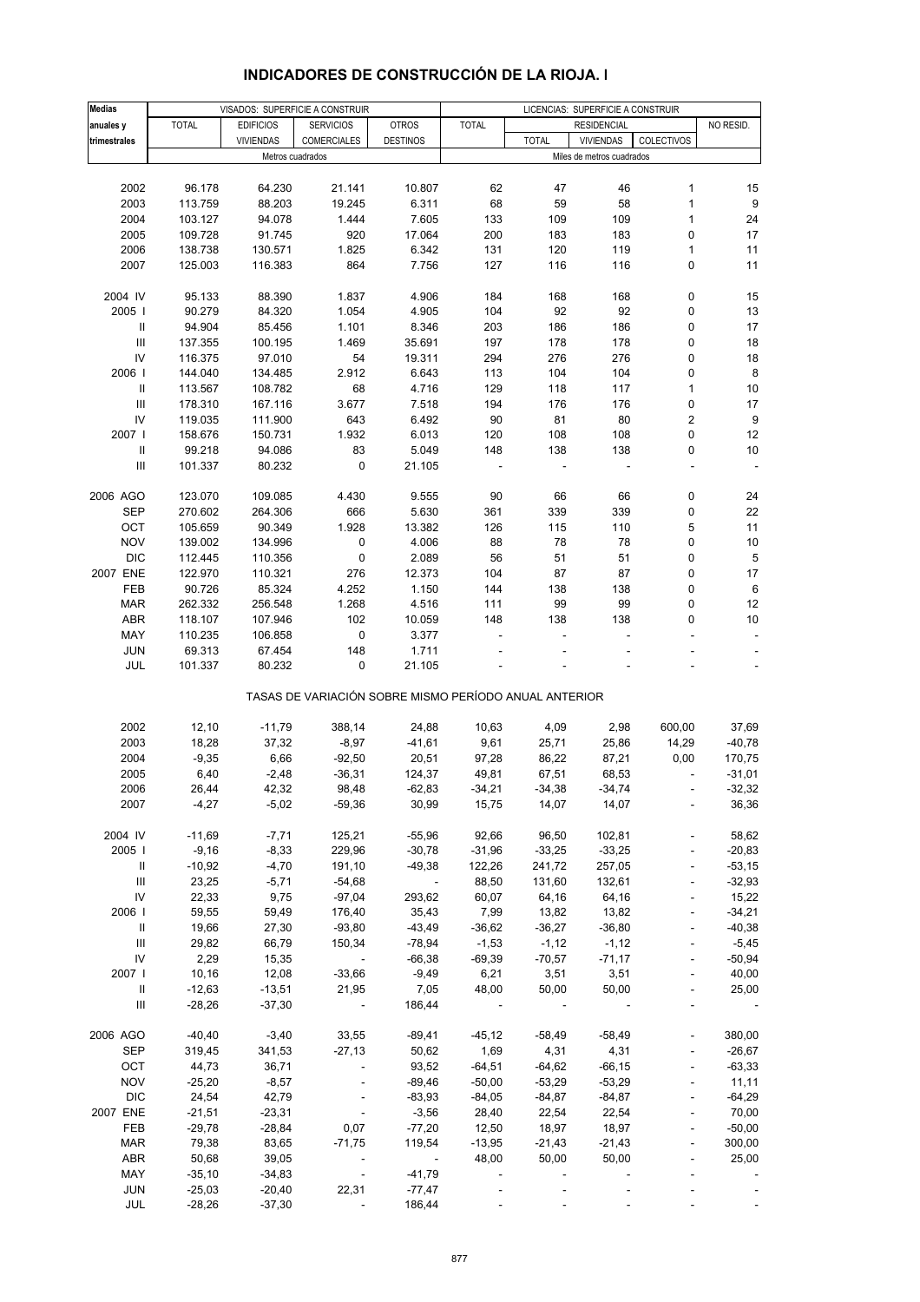| <b>Medias</b>                      |              |                  | VISADOS: SUPERFICIE A CONSTRUIR                       |                 |              |              | LICENCIAS: SUPERFICIE A CONSTRUIR |                          |                  |
|------------------------------------|--------------|------------------|-------------------------------------------------------|-----------------|--------------|--------------|-----------------------------------|--------------------------|------------------|
| anuales y                          | <b>TOTAL</b> | <b>EDIFICIOS</b> | <b>SERVICIOS</b>                                      | <b>OTROS</b>    | <b>TOTAL</b> |              | <b>RESIDENCIAL</b>                |                          | NO RESID.        |
| trimestrales                       |              | <b>VIVIENDAS</b> | <b>COMERCIALES</b>                                    | <b>DESTINOS</b> |              | <b>TOTAL</b> | <b>VIVIENDAS</b>                  | COLECTIVOS               |                  |
|                                    |              |                  | Metros cuadrados                                      |                 |              |              | Miles de metros cuadrados         |                          |                  |
|                                    |              |                  |                                                       |                 |              |              |                                   |                          |                  |
|                                    |              |                  |                                                       |                 |              |              |                                   |                          |                  |
| 2002                               | 96.178       | 64.230           | 21.141                                                | 10.807          | 62           | 47           | 46                                | 1                        | 15               |
| 2003                               | 113.759      | 88.203           | 19.245                                                | 6.311           | 68           | 59           | 58                                | $\mathbf{1}$             | 9                |
| 2004                               | 103.127      | 94.078           | 1.444                                                 | 7.605           | 133          | 109          | 109                               | $\mathbf{1}$             | 24               |
| 2005                               | 109.728      | 91.745           | 920                                                   | 17.064          | 200          | 183          | 183                               | 0                        | 17               |
| 2006                               | 138.738      | 130.571          | 1.825                                                 | 6.342           | 131          | 120          | 119                               | $\mathbf{1}$             | 11               |
| 2007                               | 125.003      | 116.383          | 864                                                   | 7.756           | 127          | 116          | 116                               | 0                        | 11               |
|                                    |              |                  |                                                       |                 |              |              |                                   |                          |                  |
|                                    |              |                  |                                                       |                 |              |              |                                   |                          |                  |
| 2004 IV                            | 95.133       | 88.390           | 1.837                                                 | 4.906           | 184          | 168          | 168                               | 0                        | 15               |
| 2005                               | 90.279       | 84.320           | 1.054                                                 | 4.905           | 104          | 92           | 92                                | 0                        | 13               |
| $\, \parallel$                     | 94.904       | 85.456           | 1.101                                                 | 8.346           | 203          | 186          | 186                               | 0                        | 17               |
| $\ensuremath{\mathsf{III}}\xspace$ | 137.355      | 100.195          | 1.469                                                 | 35.691          | 197          | 178          | 178                               | 0                        | 18               |
| IV                                 | 116.375      | 97.010           | 54                                                    | 19.311          | 294          | 276          | 276                               | 0                        | 18               |
| 2006                               | 144.040      | 134.485          | 2.912                                                 | 6.643           | 113          | 104          | 104                               | 0                        | $\bf 8$          |
| $\, \parallel$                     |              |                  |                                                       | 4.716           | 129          |              | 117                               | $\mathbf{1}$             | 10               |
|                                    | 113.567      | 108.782          | 68                                                    |                 |              | 118          |                                   |                          |                  |
| $\ensuremath{\mathsf{III}}\xspace$ | 178.310      | 167.116          | 3.677                                                 | 7.518           | 194          | 176          | 176                               | 0                        | 17               |
| IV                                 | 119.035      | 111.900          | 643                                                   | 6.492           | 90           | 81           | 80                                | 2                        | $\boldsymbol{9}$ |
| 2007 l                             | 158.676      | 150.731          | 1.932                                                 | 6.013           | 120          | 108          | 108                               | 0                        | 12               |
| Ш                                  | 99.218       | 94.086           | 83                                                    | 5.049           | 148          | 138          | 138                               | 0                        | 10               |
| $\ensuremath{\mathsf{III}}\xspace$ | 101.337      | 80.232           | $\pmb{0}$                                             | 21.105          |              |              |                                   | ÷,                       | ÷,               |
|                                    |              |                  |                                                       |                 |              |              |                                   |                          |                  |
|                                    |              |                  |                                                       |                 |              |              |                                   |                          |                  |
| 2006 AGO                           | 123.070      | 109.085          | 4.430                                                 | 9.555           | 90           | 66           | 66                                | 0                        | 24               |
| <b>SEP</b>                         | 270.602      | 264.306          | 666                                                   | 5.630           | 361          | 339          | 339                               | 0                        | 22               |
| OCT                                | 105.659      | 90.349           | 1.928                                                 | 13.382          | 126          | 115          | 110                               | 5                        | 11               |
| <b>NOV</b>                         | 139.002      | 134.996          | 0                                                     | 4.006           | 88           | 78           | 78                                | 0                        | $10$             |
| <b>DIC</b>                         | 112.445      | 110.356          | 0                                                     | 2.089           | 56           | 51           | 51                                | 0                        | $\,$ 5 $\,$      |
| 2007 ENE                           | 122.970      | 110.321          | 276                                                   | 12.373          | 104          | 87           | 87                                | 0                        | 17               |
|                                    |              |                  |                                                       |                 |              |              |                                   |                          |                  |
| FEB                                | 90.726       | 85.324           | 4.252                                                 | 1.150           | 144          | 138          | 138                               | 0                        | $\,6\,$          |
| <b>MAR</b>                         | 262.332      | 256.548          | 1.268                                                 | 4.516           | 111          | 99           | 99                                | 0                        | 12               |
| ABR                                | 118.107      | 107.946          | 102                                                   | 10.059          | 148          | 138          | 138                               | 0                        | 10               |
| MAY                                | 110.235      | 106.858          | $\pmb{0}$                                             | 3.377           |              |              |                                   |                          | $\blacksquare$   |
| <b>JUN</b>                         | 69.313       | 67.454           | 148                                                   | 1.711           |              |              |                                   |                          |                  |
| JUL                                | 101.337      | 80.232           | 0                                                     | 21.105          |              |              |                                   |                          |                  |
|                                    |              |                  |                                                       |                 |              |              |                                   |                          |                  |
|                                    |              |                  | TASAS DE VARIACIÓN SOBRE MISMO PERÍODO ANUAL ANTERIOR |                 |              |              |                                   |                          |                  |
|                                    |              |                  |                                                       |                 |              |              |                                   |                          |                  |
| 2002                               | 12,10        | $-11,79$         | 388,14                                                |                 |              | 4,09         |                                   | 600,00                   | 37,69            |
|                                    |              |                  |                                                       | 24,88           | 10,63        |              | 2,98                              |                          |                  |
| 2003                               | 18,28        | 37,32            | $-8,97$                                               | $-41,61$        | 9,61         | 25,71        | 25,86                             | 14,29                    | $-40,78$         |
| 2004                               | $-9,35$      | 6,66             | $-92,50$                                              | 20,51           | 97,28        | 86,22        | 87,21                             | 0,00                     | 170,75           |
| 2005                               | 6,40         | $-2,48$          | $-36,31$                                              | 124,37          | 49,81        | 67,51        | 68,53                             |                          | $-31,01$         |
| 2006                               | 26.44        | 42.32            | 98,48                                                 | $-62,83$        | $-34,21$     | $-34,38$     | $-34,74$                          |                          | $-32.32$         |
| 2007                               | $-4,27$      | $-5,02$          | $-59,36$                                              | 30,99           | 15,75        | 14,07        | 14,07                             |                          | 36,36            |
|                                    |              |                  |                                                       |                 |              |              |                                   |                          |                  |
| 2004 IV                            |              | $-7,71$          |                                                       |                 | 92,66        |              |                                   |                          |                  |
|                                    | $-11,69$     |                  | 125,21                                                | $-55,96$        |              | 96,50        | 102,81                            |                          | 58,62            |
| 2005                               | $-9,16$      | $-8,33$          | 229,96                                                | $-30,78$        | $-31,96$     | $-33,25$     | $-33,25$                          |                          | $-20,83$         |
| Ш                                  | $-10,92$     | $-4,70$          | 191,10                                                | $-49,38$        | 122,26       | 241,72       | 257,05                            |                          | $-53,15$         |
| Ш                                  | 23,25        | $-5,71$          | $-54,68$                                              | $\sim$          | 88,50        | 131,60       | 132,61                            | $\overline{\phantom{a}}$ | $-32,93$         |
| IV                                 | 22,33        | 9,75             | $-97,04$                                              | 293,62          | 60,07        | 64,16        | 64,16                             |                          | 15,22            |
| 2006                               | 59,55        | 59,49            | 176,40                                                | 35,43           | 7,99         | 13,82        | 13,82                             |                          | $-34,21$         |
| Ш                                  | 19,66        | 27,30            | $-93,80$                                              | $-43,49$        | $-36,62$     | $-36,27$     | $-36,80$                          | $\blacksquare$           | $-40,38$         |
|                                    |              |                  |                                                       |                 |              |              |                                   |                          |                  |
| Ш                                  | 29,82        | 66,79            | 150,34                                                | $-78,94$        | $-1,53$      | $-1,12$      | $-1,12$                           |                          | $-5,45$          |
| IV                                 | 2,29         | 15,35            | $\overline{\phantom{a}}$                              | $-66,38$        | $-69,39$     | $-70,57$     | $-71,17$                          |                          | $-50,94$         |
| 2007                               | 10,16        | 12,08            | $-33,66$                                              | $-9,49$         | 6,21         | 3,51         | 3,51                              | $\overline{\phantom{a}}$ | 40,00            |
| $\, \parallel$                     | $-12,63$     | $-13,51$         | 21,95                                                 | 7,05            | 48,00        | 50,00        | 50,00                             |                          | 25,00            |
| $\mathbf{III}$                     | $-28,26$     | $-37,30$         | $\blacksquare$                                        | 186,44          |              |              |                                   |                          |                  |
|                                    |              |                  |                                                       |                 |              |              |                                   |                          |                  |
|                                    |              |                  |                                                       |                 |              |              |                                   |                          |                  |
| 2006 AGO                           | $-40,40$     | $-3,40$          | 33,55                                                 | $-89,41$        | $-45, 12$    | $-58,49$     | $-58,49$                          |                          | 380,00           |
| <b>SEP</b>                         | 319,45       | 341,53           | $-27,13$                                              | 50,62           | 1,69         | 4,31         | 4,31                              | $\overline{\phantom{a}}$ | $-26,67$         |
| OCT                                | 44,73        | 36,71            |                                                       | 93,52           | $-64,51$     | $-64,62$     | $-66, 15$                         | $\blacksquare$           | $-63,33$         |
| <b>NOV</b>                         | $-25,20$     | $-8,57$          |                                                       | $-89,46$        | $-50,00$     | $-53,29$     | $-53,29$                          |                          | 11,11            |
| <b>DIC</b>                         | 24,54        | 42,79            |                                                       | $-83,93$        | $-84,05$     | $-84,87$     | $-84,87$                          |                          | $-64,29$         |
| 2007 ENE                           | $-21,51$     | $-23,31$         |                                                       | $-3,56$         | 28,40        | 22,54        | 22,54                             | $\blacksquare$           | 70,00            |
|                                    |              |                  |                                                       |                 |              |              |                                   |                          |                  |
| FEB                                | $-29,78$     | $-28,84$         | 0,07                                                  | $-77,20$        | 12,50        | 18,97        | 18,97                             |                          | $-50,00$         |
| <b>MAR</b>                         | 79,38        | 83,65            | $-71,75$                                              | 119,54          | $-13,95$     | $-21,43$     | $-21,43$                          | ä,                       | 300,00           |
| <b>ABR</b>                         | 50,68        | 39,05            |                                                       |                 | 48,00        | 50,00        | 50,00                             |                          | 25,00            |
| MAY                                | $-35,10$     | $-34,83$         | $\overline{\phantom{a}}$                              | $-41,79$        |              |              |                                   |                          |                  |
| <b>JUN</b>                         | $-25,03$     | $-20,40$         | 22,31                                                 | $-77,47$        |              |              |                                   |                          |                  |
| JUL                                | $-28,26$     | $-37,30$         |                                                       | 186,44          |              |              |                                   |                          |                  |
|                                    |              |                  |                                                       |                 |              |              |                                   |                          |                  |

# **INDICADORES DE CONSTRUCCIÓN DE LA RIOJA. I**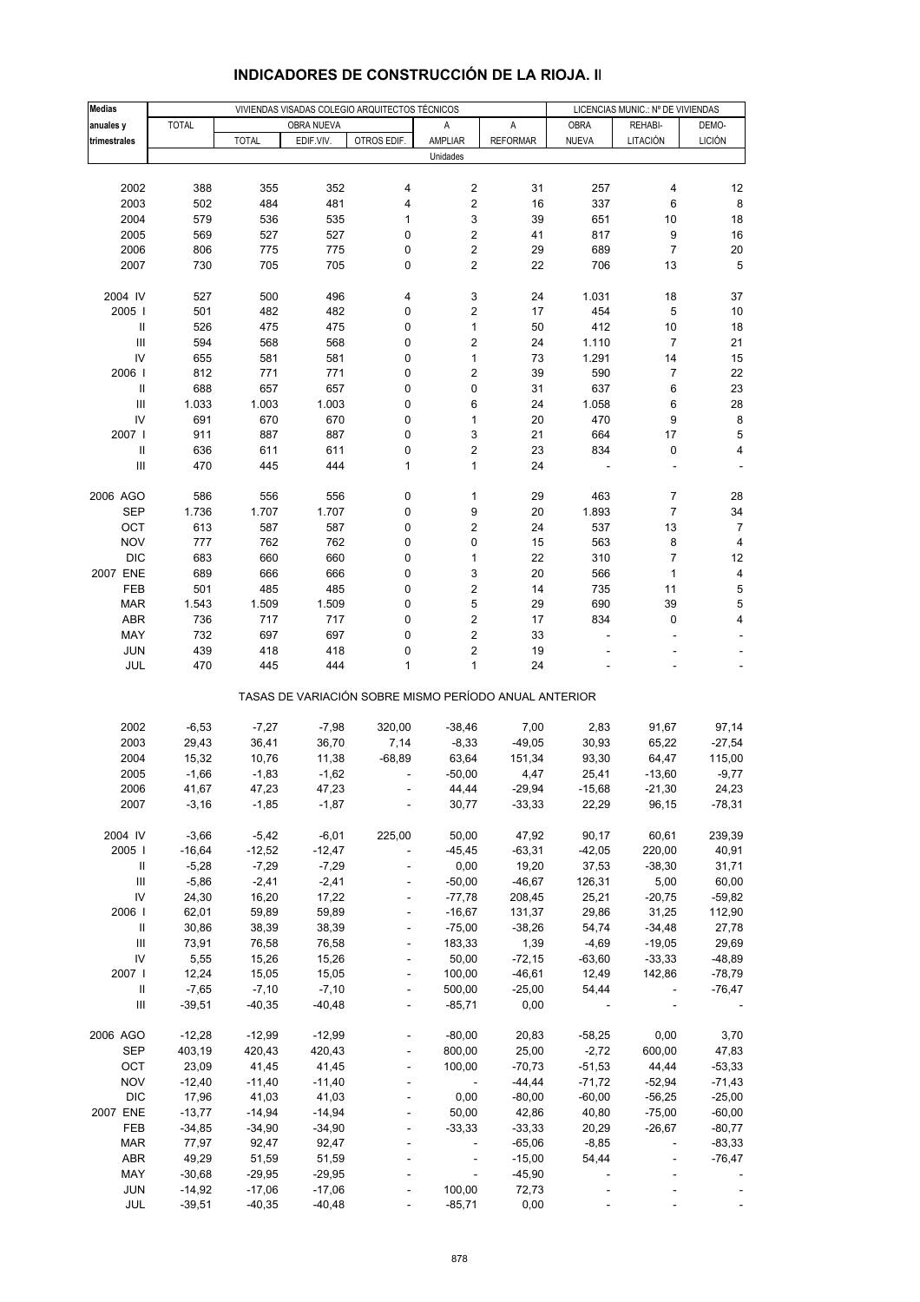| <b>Medias</b>                      |                |                |                | VIVIENDAS VISADAS COLEGIO ARQUITECTOS TÉCNICOS        |                          |                    | LICENCIAS MUNIC.: Nº DE VIVIENDAS |                          |                    |
|------------------------------------|----------------|----------------|----------------|-------------------------------------------------------|--------------------------|--------------------|-----------------------------------|--------------------------|--------------------|
| anuales y                          | <b>TOTAL</b>   |                | OBRA NUEVA     |                                                       | Α                        | А                  | <b>OBRA</b>                       | REHABI-                  | DEMO-              |
| trimestrales                       |                | <b>TOTAL</b>   | EDIF.VIV.      | OTROS EDIF.                                           | AMPLIAR                  | <b>REFORMAR</b>    | <b>NUEVA</b>                      | LITACIÓN                 | <b>LICIÓN</b>      |
|                                    |                |                |                |                                                       | Unidades                 |                    |                                   |                          |                    |
|                                    |                |                |                |                                                       |                          |                    |                                   |                          |                    |
| 2002                               | 388            | 355            | 352            | 4                                                     | 2                        | 31                 | 257                               | 4                        | 12                 |
| 2003                               | 502            | 484            | 481            | 4                                                     | 2                        | 16                 | 337                               | 6                        | 8                  |
| 2004                               | 579            | 536            | 535            | 1                                                     | 3                        | 39                 | 651                               | 10                       | 18                 |
| 2005                               | 569            | 527            | 527            | 0                                                     | 2                        | 41                 | 817                               | 9                        | 16                 |
| 2006                               | 806            | 775            | 775            | 0                                                     | 2                        | 29                 | 689                               | $\overline{7}$           | 20                 |
| 2007                               | 730            | 705            | 705            | 0                                                     | 2                        | 22                 | 706                               | 13                       | 5                  |
|                                    |                |                |                |                                                       |                          |                    |                                   |                          |                    |
| 2004 IV                            | 527            | 500            | 496            | 4                                                     | 3                        | 24                 | 1.031                             | 18                       | 37                 |
| 2005                               | 501            | 482            | 482            | 0                                                     | 2                        | 17                 | 454                               | 5                        | 10                 |
| $\, \parallel$                     | 526            | 475            | 475            | 0                                                     | $\mathbf{1}$             | 50                 | 412                               | 10                       | 18                 |
| III                                | 594            | 568            | 568            | 0                                                     | 2                        | 24                 | 1.110                             | 7                        | 21                 |
| IV                                 | 655            | 581            | 581            | 0                                                     | $\mathbf{1}$             | 73                 | 1.291                             | 14                       | 15                 |
| 2006                               | 812            | 771            | 771            | 0                                                     | 2                        | 39                 | 590                               | 7                        | 22                 |
| $\, \parallel$                     | 688            | 657            | 657            | 0                                                     | 0                        | 31                 | 637                               | 6                        | 23                 |
| Ш                                  | 1.033          | 1.003          | 1.003          | 0                                                     | 6                        | 24                 | 1.058                             | 6                        | 28                 |
| IV                                 | 691            | 670            | 670            | 0                                                     | $\mathbf{1}$             | 20                 | 470                               | 9                        | 8                  |
| 2007 l                             | 911            | 887            | 887            | 0                                                     | 3                        | 21                 | 664                               | 17                       | 5                  |
| $\, \parallel$                     | 636            | 611            | 611            | 0                                                     | $\overline{\mathbf{c}}$  | 23                 | 834                               | 0                        | 4                  |
| $\ensuremath{\mathsf{III}}\xspace$ | 470            | 445            | 444            | $\mathbf{1}$                                          | 1                        | 24                 |                                   |                          |                    |
|                                    |                |                |                |                                                       |                          |                    |                                   |                          |                    |
| 2006 AGO                           | 586            | 556            | 556            | 0                                                     | 1                        | 29                 | 463                               | 7                        | 28                 |
| <b>SEP</b>                         | 1.736          | 1.707          | 1.707          | 0                                                     | 9                        | 20                 | 1.893                             | 7                        | 34                 |
| OCT                                | 613            | 587            | 587            | 0                                                     | 2                        | 24                 | 537                               | 13                       | 7                  |
| <b>NOV</b>                         | 777            | 762            | 762            | 0                                                     | 0                        | 15                 | 563                               | 8                        | 4                  |
| <b>DIC</b>                         | 683            | 660            | 660            | 0                                                     | $\mathbf{1}$             | 22                 | 310                               | 7                        | 12                 |
| 2007 ENE                           | 689            | 666            | 666            | 0                                                     | 3                        | 20                 | 566                               | 1                        | 4                  |
| FEB                                | 501            | 485            | 485            | 0                                                     | 2                        | 14                 | 735                               | 11                       | 5                  |
| <b>MAR</b>                         | 1.543          | 1.509          | 1.509          | 0                                                     | 5                        | 29                 | 690                               | 39                       | 5                  |
| ABR                                | 736            | 717            | 717            | 0                                                     | 2                        | 17                 | 834                               | 0                        | 4                  |
| MAY                                | 732            | 697            | 697            | 0                                                     | $\mathbf 2$              | 33                 |                                   |                          |                    |
| <b>JUN</b>                         | 439            | 418            | 418            | 0                                                     | 2                        | 19                 |                                   |                          |                    |
| JUL                                | 470            | 445            | 444            | 1                                                     | 1                        | 24                 |                                   |                          |                    |
|                                    |                |                |                | TASAS DE VARIACIÓN SOBRE MISMO PERÍODO ANUAL ANTERIOR |                          |                    |                                   |                          |                    |
|                                    |                |                |                |                                                       |                          |                    |                                   |                          |                    |
| 2002<br>2003                       | $-6,53$        | $-7,27$        | $-7,98$        | 320,00                                                | $-38,46$                 | 7,00               | 2,83                              | 91,67                    | 97,14              |
| 2004                               | 29,43<br>15,32 | 36,41<br>10,76 | 36,70<br>11,38 | 7,14<br>$-68,89$                                      | $-8,33$<br>63,64         | $-49,05$<br>151,34 | 30,93<br>93,30                    | 65,22                    | $-27,54$<br>115,00 |
| 2005                               | $-1,66$        | $-1,83$        | $-1,62$        |                                                       | $-50,00$                 |                    | 25,41                             | 64,47<br>$-13,60$        | $-9,77$            |
| 2006                               | 41,67          | 47,23          | 47,23          |                                                       | 44,44                    | 4,47<br>$-29,94$   |                                   | $-21,30$                 | 24,23              |
|                                    | $-3,16$        |                |                |                                                       |                          |                    | $-15,68$                          |                          |                    |
| 2007                               |                | $-1,85$        | $-1,87$        |                                                       | 30,77                    | $-33,33$           | 22,29                             | 96,15                    | $-78,31$           |
| 2004 IV                            | $-3,66$        | $-5,42$        | $-6,01$        | 225,00                                                | 50,00                    | 47,92              | 90,17                             | 60,61                    | 239,39             |
| 2005                               | $-16,64$       | $-12,52$       | $-12,47$       |                                                       | $-45,45$                 | $-63,31$           | $-42,05$                          | 220,00                   | 40,91              |
| Ш                                  | $-5,28$        | $-7,29$        | $-7,29$        |                                                       | 0,00                     | 19,20              | 37,53                             | $-38,30$                 | 31,71              |
| $\ensuremath{\mathsf{III}}\xspace$ | $-5,86$        | $-2,41$        | $-2,41$        |                                                       | $-50,00$                 | $-46,67$           | 126,31                            | 5,00                     | 60,00              |
| IV                                 | 24,30          | 16,20          | 17,22          |                                                       | $-77,78$                 | 208,45             | 25,21                             | $-20,75$                 | $-59,82$           |
| 2006                               | 62,01          | 59,89          | 59,89          |                                                       | $-16,67$                 | 131,37             | 29,86                             | 31,25                    | 112,90             |
| Ш                                  | 30,86          | 38,39          | 38,39          | $\blacksquare$                                        | $-75,00$                 | $-38,26$           | 54,74                             | $-34,48$                 | 27,78              |
| Ш                                  | 73,91          | 76,58          | 76,58          |                                                       | 183,33                   | 1,39               | $-4,69$                           | $-19,05$                 | 29,69              |
| IV                                 | 5,55           | 15,26          | 15,26          |                                                       | 50,00                    | $-72,15$           | $-63,60$                          | $-33,33$                 | $-48,89$           |
| 2007 l                             | 12,24          | 15,05          | 15,05          | $\blacksquare$                                        | 100,00                   | $-46,61$           | 12,49                             | 142,86                   | $-78,79$           |
| Ш                                  | $-7,65$        | $-7,10$        | $-7,10$        |                                                       | 500,00                   | $-25,00$           | 54,44                             | $\overline{\phantom{a}}$ | $-76,47$           |
| III                                | $-39,51$       | $-40,35$       | $-40,48$       |                                                       | $-85,71$                 | 0,00               |                                   |                          |                    |
|                                    |                |                |                |                                                       |                          |                    |                                   |                          |                    |
| 2006 AGO                           | $-12,28$       | $-12,99$       | $-12,99$       |                                                       | $-80,00$                 | 20,83              | $-58,25$                          | 0,00                     | 3,70               |
| SEP                                | 403,19         | 420,43         | 420,43         |                                                       | 800,00                   | 25,00              | $-2,72$                           | 600,00                   | 47,83              |
| OCT                                | 23,09          | 41,45          | 41,45          | $\frac{1}{2}$                                         | 100,00                   | $-70,73$           | $-51,53$                          | 44,44                    | $-53,33$           |
| <b>NOV</b>                         | $-12,40$       | $-11,40$       | $-11,40$       |                                                       | $\sim$                   | $-44,44$           | $-71,72$                          | $-52,94$                 | $-71,43$           |
| <b>DIC</b>                         | 17,96          | 41,03          | 41,03          |                                                       | 0,00                     | $-80,00$           | $-60,00$                          | $-56,25$                 | $-25,00$           |
| 2007 ENE                           | $-13,77$       | $-14,94$       | $-14,94$       |                                                       | 50,00                    | 42,86              | 40,80                             | $-75,00$                 | $-60,00$           |
| FEB                                | $-34,85$       | $-34,90$       | $-34,90$       |                                                       | $-33,33$                 | $-33,33$           | 20,29                             | $-26,67$                 | $-80,77$           |
| <b>MAR</b>                         | 77,97          | 92,47          | 92,47          |                                                       | $\overline{\phantom{a}}$ | $-65,06$           | $-8,85$                           |                          | $-83,33$           |
| ABR                                | 49,29          | 51,59          | 51,59          |                                                       | $\blacksquare$           | $-15,00$           | 54,44                             |                          | $-76,47$           |
| MAY                                | $-30,68$       | $-29,95$       | $-29,95$       |                                                       | $\overline{\phantom{a}}$ | $-45,90$           |                                   |                          |                    |
| <b>JUN</b>                         | $-14,92$       | $-17,06$       | $-17,06$       |                                                       | 100,00                   | 72,73              |                                   |                          |                    |
| JUL                                | $-39,51$       | $-40,35$       | $-40,48$       |                                                       | $-85,71$                 | 0,00               |                                   |                          |                    |

## **INDICADORES DE CONSTRUCCIÓN DE LA RIOJA. II**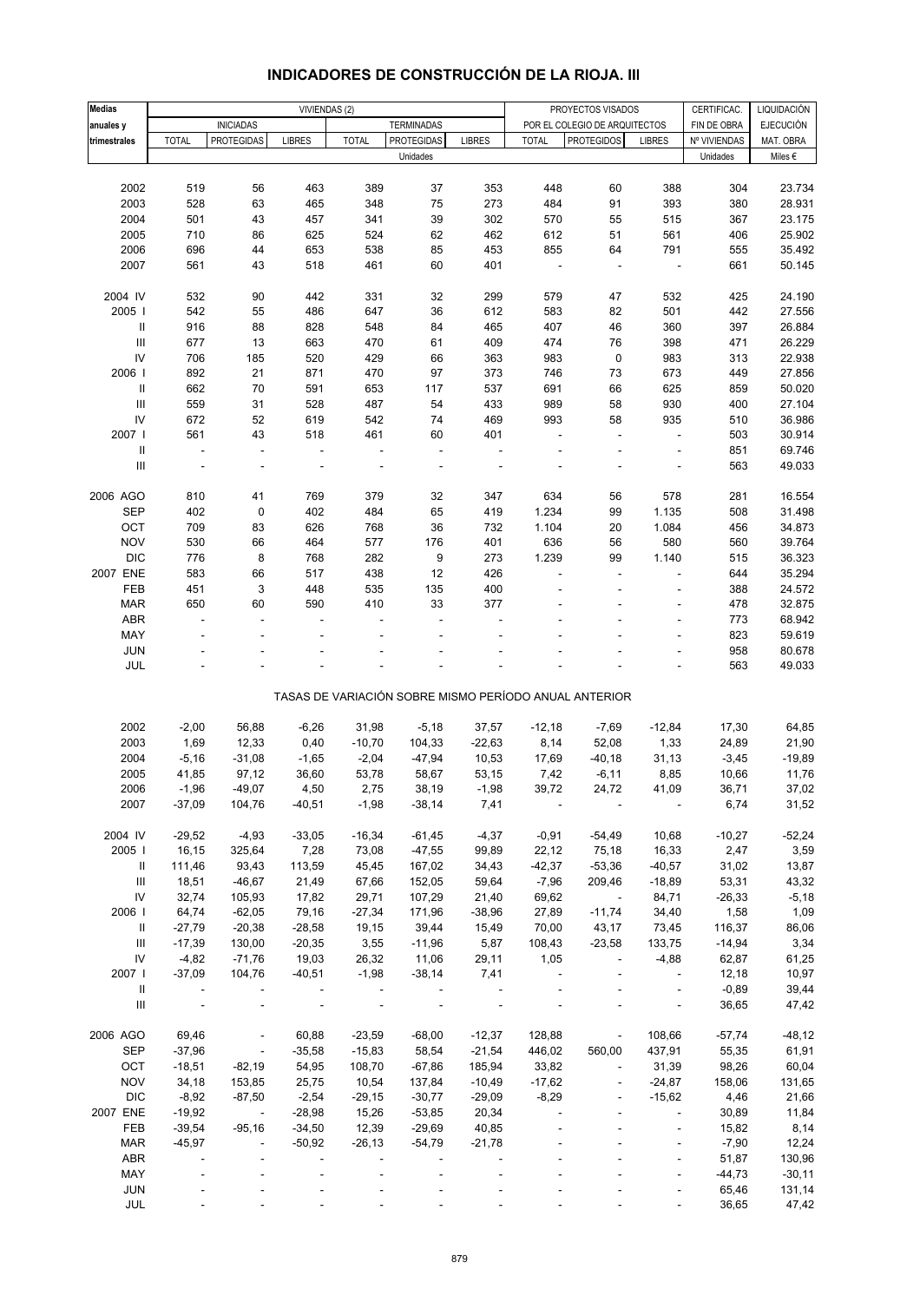| <b>Medias</b>                                                                                                                                                                                                                                                                                                                                                                                           |              |                          |                |              |                   |               |              |                                                       |                          | CERTIFICAC.  |                                 |
|---------------------------------------------------------------------------------------------------------------------------------------------------------------------------------------------------------------------------------------------------------------------------------------------------------------------------------------------------------------------------------------------------------|--------------|--------------------------|----------------|--------------|-------------------|---------------|--------------|-------------------------------------------------------|--------------------------|--------------|---------------------------------|
| anuales y                                                                                                                                                                                                                                                                                                                                                                                               |              | <b>INICIADAS</b>         | VIVIENDAS (2)  |              | <b>TERMINADAS</b> |               |              | PROYECTOS VISADOS<br>POR EL COLEGIO DE ARQUITECTOS    |                          | FIN DE OBRA  | LIQUIDACIÓN<br><b>EJECUCIÓN</b> |
|                                                                                                                                                                                                                                                                                                                                                                                                         | <b>TOTAL</b> | <b>PROTEGIDAS</b>        | <b>LIBRES</b>  | <b>TOTAL</b> | <b>PROTEGIDAS</b> | <b>LIBRES</b> | <b>TOTAL</b> | <b>PROTEGIDOS</b>                                     | <b>LIBRES</b>            | Nº VIVIENDAS | MAT. OBRA                       |
| trimestrales                                                                                                                                                                                                                                                                                                                                                                                            |              |                          |                |              | Unidades          |               |              |                                                       |                          | Unidades     | Miles €                         |
|                                                                                                                                                                                                                                                                                                                                                                                                         |              |                          |                |              |                   |               |              |                                                       |                          |              |                                 |
| 2002                                                                                                                                                                                                                                                                                                                                                                                                    | 519          | 56                       | 463            | 389          | 37                | 353           | 448          | 60                                                    | 388                      | 304          | 23.734                          |
| 2003                                                                                                                                                                                                                                                                                                                                                                                                    | 528          | 63                       | 465            | 348          | 75                | 273           | 484          | 91                                                    | 393                      | 380          | 28.931                          |
| 2004                                                                                                                                                                                                                                                                                                                                                                                                    | 501          | 43                       | 457            | 341          |                   | 302           | 570          |                                                       | 515                      |              | 23.175                          |
|                                                                                                                                                                                                                                                                                                                                                                                                         |              |                          |                |              | 39                |               |              | 55                                                    |                          | 367          |                                 |
| 2005                                                                                                                                                                                                                                                                                                                                                                                                    | 710          | 86                       | 625            | 524          | 62                | 462           | 612          | 51                                                    | 561                      | 406          | 25.902                          |
| 2006                                                                                                                                                                                                                                                                                                                                                                                                    | 696          | 44                       | 653            | 538          | 85                | 453           | 855          | 64                                                    | 791                      | 555          | 35.492                          |
| 2007                                                                                                                                                                                                                                                                                                                                                                                                    | 561          | 43                       | 518            | 461          | 60                | 401           | ÷,           | Ĭ.                                                    | ÷,                       | 661          | 50.145                          |
|                                                                                                                                                                                                                                                                                                                                                                                                         |              |                          |                |              |                   |               |              |                                                       |                          |              |                                 |
| 2004 IV                                                                                                                                                                                                                                                                                                                                                                                                 | 532          | 90                       | 442            | 331          | 32                | 299           | 579          | 47                                                    | 532                      | 425          | 24.190                          |
| 2005                                                                                                                                                                                                                                                                                                                                                                                                    | 542          | 55                       | 486            | 647          | 36                | 612           | 583          | 82                                                    | 501                      | 442          | 27.556                          |
| $\sf II$                                                                                                                                                                                                                                                                                                                                                                                                | 916          | 88                       | 828            | 548          | 84                | 465           | 407          | 46                                                    | 360                      | 397          | 26.884                          |
| $\ensuremath{\mathsf{III}}\xspace$                                                                                                                                                                                                                                                                                                                                                                      | 677          | 13                       | 663            | 470          | 61                | 409           | 474          | 76                                                    | 398                      | 471          | 26.229                          |
| IV                                                                                                                                                                                                                                                                                                                                                                                                      | 706          | 185                      | 520            | 429          | 66                | 363           | 983          | $\pmb{0}$                                             | 983                      | 313          | 22.938                          |
| 2006                                                                                                                                                                                                                                                                                                                                                                                                    | 892          | 21                       | 871            | 470          | 97                | 373           | 746          | 73                                                    | 673                      | 449          | 27.856                          |
| $\mathbf{I}$                                                                                                                                                                                                                                                                                                                                                                                            | 662          | 70                       | 591            | 653          | 117               | 537           | 691          | 66                                                    | 625                      | 859          | 50.020                          |
| $\ensuremath{\mathsf{III}}\xspace$                                                                                                                                                                                                                                                                                                                                                                      | 559          | 31                       | 528            | 487          | 54                | 433           | 989          | 58                                                    | 930                      | 400          | 27.104                          |
| IV                                                                                                                                                                                                                                                                                                                                                                                                      | 672          | 52                       | 619            | 542          | 74                | 469           | 993          | 58                                                    | 935                      | 510          | 36.986                          |
| 2007                                                                                                                                                                                                                                                                                                                                                                                                    | 561          | 43                       | 518            | 461          | 60                | 401           | ä,           | Ĭ.                                                    | ÷,                       | 503          | 30.914                          |
| $\sf II$                                                                                                                                                                                                                                                                                                                                                                                                | $\Box$       | $\overline{\phantom{a}}$ | $\blacksquare$ |              | $\blacksquare$    | Ĭ.            |              |                                                       | ÷,                       | 851          | 69.746                          |
| $\label{eq:1} \prod_{i=1}^n \mathbb{E} \left[ \prod_{i=1}^n \mathbb{E} \left[ \prod_{i=1}^n \mathbb{E} \left[ \prod_{i=1}^n \mathbb{E} \left[ \prod_{i=1}^n \mathbb{E} \left[ \prod_{i=1}^n \mathbb{E} \left[ \prod_{i=1}^n \mathbb{E} \left[ \prod_{i=1}^n \mathbb{E} \left[ \prod_{i=1}^n \mathbb{E} \left[ \prod_{i=1}^n \mathbb{E} \left[ \prod_{i=1}^n \mathbb{E} \left[ \prod_{i=1}^n \mathbb{E}$ |              | ä,                       |                |              |                   |               |              |                                                       | ÷,                       | 563          | 49.033                          |
|                                                                                                                                                                                                                                                                                                                                                                                                         |              |                          |                |              |                   |               |              |                                                       |                          |              |                                 |
| 2006 AGO                                                                                                                                                                                                                                                                                                                                                                                                | 810          | 41                       | 769            | 379          |                   |               | 634          |                                                       |                          | 281          | 16.554                          |
|                                                                                                                                                                                                                                                                                                                                                                                                         |              |                          |                |              | 32                | 347           |              | 56                                                    | 578                      |              |                                 |
| <b>SEP</b>                                                                                                                                                                                                                                                                                                                                                                                              | 402          | $\mathbf 0$              | 402            | 484          | 65                | 419           | 1.234        | 99                                                    | 1.135                    | 508          | 31.498                          |
| OCT                                                                                                                                                                                                                                                                                                                                                                                                     | 709          | 83                       | 626            | 768          | 36                | 732           | 1.104        | 20                                                    | 1.084                    | 456          | 34.873                          |
| <b>NOV</b>                                                                                                                                                                                                                                                                                                                                                                                              | 530          | 66                       | 464            | 577          | 176               | 401           | 636          | 56                                                    | 580                      | 560          | 39.764                          |
| <b>DIC</b>                                                                                                                                                                                                                                                                                                                                                                                              | 776          | 8                        | 768            | 282          | 9                 | 273           | 1.239        | 99                                                    | 1.140                    | 515          | 36.323                          |
| 2007 ENE                                                                                                                                                                                                                                                                                                                                                                                                | 583          | 66                       | 517            | 438          | 12                | 426           |              |                                                       |                          | 644          | 35.294                          |
| FEB                                                                                                                                                                                                                                                                                                                                                                                                     | 451          | 3                        | 448            | 535          | 135               | 400           |              | ä,                                                    | $\overline{\phantom{a}}$ | 388          | 24.572                          |
| <b>MAR</b>                                                                                                                                                                                                                                                                                                                                                                                              | 650          | 60                       | 590            | 410          | 33                | 377           |              |                                                       |                          | 478          | 32.875                          |
| <b>ABR</b>                                                                                                                                                                                                                                                                                                                                                                                              | ÷,           | ÷,                       |                |              |                   |               |              |                                                       | ÷,                       | 773          | 68.942                          |
| MAY                                                                                                                                                                                                                                                                                                                                                                                                     |              |                          |                |              |                   |               |              |                                                       | ÷,                       | 823          | 59.619                          |
| <b>JUN</b>                                                                                                                                                                                                                                                                                                                                                                                              |              |                          |                |              |                   |               |              |                                                       |                          | 958          | 80.678                          |
| <b>JUL</b>                                                                                                                                                                                                                                                                                                                                                                                              |              |                          |                |              |                   |               |              |                                                       |                          | 563          | 49.033                          |
|                                                                                                                                                                                                                                                                                                                                                                                                         |              |                          |                |              |                   |               |              |                                                       |                          |              |                                 |
|                                                                                                                                                                                                                                                                                                                                                                                                         |              |                          |                |              |                   |               |              | TASAS DE VARIACIÓN SOBRE MISMO PERÍODO ANUAL ANTERIOR |                          |              |                                 |
|                                                                                                                                                                                                                                                                                                                                                                                                         |              |                          |                |              |                   |               |              |                                                       |                          |              |                                 |
| 2002                                                                                                                                                                                                                                                                                                                                                                                                    | $-2,00$      | 56,88                    | $-6,26$        | 31,98        | $-5,18$           | 37,57         | $-12,18$     | $-7,69$                                               | $-12,84$                 | 17,30        | 64,85                           |
| 2003                                                                                                                                                                                                                                                                                                                                                                                                    | 1,69         | 12,33                    | 0,40           | $-10,70$     | 104,33            | $-22,63$      | 8,14         | 52,08                                                 | 1,33                     | 24,89        | 21,90                           |
| 2004                                                                                                                                                                                                                                                                                                                                                                                                    | $-5,16$      | $-31,08$                 | $-1,65$        | $-2,04$      | $-47,94$          | 10,53         | 17,69        | $-40,18$                                              | 31,13                    | $-3,45$      | $-19,89$                        |
| 2005                                                                                                                                                                                                                                                                                                                                                                                                    | 41,85        | 97,12                    | 36,60          | 53,78        | 58,67             | 53,15         | 7,42         | $-6,11$                                               | 8,85                     | 10,66        | 11,76                           |
| 2006                                                                                                                                                                                                                                                                                                                                                                                                    | -1,96        | -49,07                   | 4,50           | 2,75         | 38,19             | -1,98         | 39,72        | 24,72                                                 | 41,09                    | 36,71        | 37,02                           |
| 2007                                                                                                                                                                                                                                                                                                                                                                                                    | $-37,09$     | 104,76                   | $-40,51$       | $-1,98$      | $-38,14$          | 7,41          |              |                                                       |                          | 6,74         | 31,52                           |
|                                                                                                                                                                                                                                                                                                                                                                                                         |              |                          |                |              |                   |               |              |                                                       |                          |              |                                 |
| 2004 IV                                                                                                                                                                                                                                                                                                                                                                                                 | $-29,52$     | $-4,93$                  | $-33,05$       | $-16,34$     | $-61,45$          | $-4,37$       | $-0,91$      | $-54,49$                                              | 10,68                    | $-10,27$     | $-52,24$                        |
| 2005                                                                                                                                                                                                                                                                                                                                                                                                    | 16,15        | 325,64                   | 7,28           | 73,08        | $-47,55$          | 99,89         | 22,12        | 75,18                                                 | 16,33                    | 2,47         | 3,59                            |
| Ш                                                                                                                                                                                                                                                                                                                                                                                                       | 111,46       | 93,43                    | 113,59         | 45,45        | 167,02            | 34,43         | $-42,37$     | $-53,36$                                              | $-40,57$                 | 31,02        | 13,87                           |
| $\mathbf{III}$                                                                                                                                                                                                                                                                                                                                                                                          | 18,51        | $-46,67$                 | 21,49          | 67,66        | 152,05            | 59,64         | $-7,96$      | 209,46                                                | $-18,89$                 | 53,31        | 43,32                           |
| IV                                                                                                                                                                                                                                                                                                                                                                                                      | 32,74        | 105,93                   | 17,82          | 29,71        | 107,29            | 21,40         | 69,62        | $\sim$                                                | 84,71                    | $-26,33$     | $-5,18$                         |
|                                                                                                                                                                                                                                                                                                                                                                                                         |              |                          |                |              |                   |               |              |                                                       |                          |              |                                 |
| 2006                                                                                                                                                                                                                                                                                                                                                                                                    | 64,74        | $-62,05$                 | 79,16          | $-27,34$     | 171,96            | $-38,96$      | 27,89        | $-11,74$                                              | 34,40                    | 1,58         | 1,09                            |
| Ш                                                                                                                                                                                                                                                                                                                                                                                                       | $-27,79$     | $-20,38$                 | $-28,58$       | 19,15        | 39,44             | 15,49         | 70,00        | 43,17                                                 | 73,45                    | 116,37       | 86,06                           |
| $\ensuremath{\mathsf{III}}\xspace$                                                                                                                                                                                                                                                                                                                                                                      | $-17,39$     | 130,00                   | $-20,35$       | 3,55         | $-11,96$          | 5,87          | 108,43       | $-23,58$                                              | 133,75                   | $-14,94$     | 3,34                            |
| IV                                                                                                                                                                                                                                                                                                                                                                                                      | $-4,82$      | $-71,76$                 | 19,03          | 26,32        | 11,06             | 29,11         | 1,05         | $\blacksquare$                                        | $-4,88$                  | 62,87        | 61,25                           |
| 2007 l                                                                                                                                                                                                                                                                                                                                                                                                  | $-37,09$     | 104,76                   | $-40,51$       | $-1,98$      | $-38,14$          | 7,41          |              |                                                       | $\overline{\phantom{a}}$ | 12,18        | 10,97                           |
| Ш                                                                                                                                                                                                                                                                                                                                                                                                       |              |                          |                |              |                   |               |              |                                                       | $\overline{\phantom{a}}$ | $-0,89$      | 39,44                           |
| $\mathbf{III}$                                                                                                                                                                                                                                                                                                                                                                                          |              |                          |                |              |                   |               |              |                                                       | $\overline{\phantom{a}}$ | 36,65        | 47,42                           |
|                                                                                                                                                                                                                                                                                                                                                                                                         |              |                          |                |              |                   |               |              |                                                       |                          |              |                                 |
| 2006 AGO                                                                                                                                                                                                                                                                                                                                                                                                | 69,46        | $\overline{\phantom{a}}$ | 60,88          | $-23,59$     | $-68,00$          | $-12,37$      | 128,88       | $\overline{\phantom{a}}$                              | 108,66                   | $-57,74$     | $-48, 12$                       |
| <b>SEP</b>                                                                                                                                                                                                                                                                                                                                                                                              | $-37,96$     | $\overline{\phantom{a}}$ | $-35,58$       | $-15,83$     | 58,54             | $-21,54$      | 446,02       | 560,00                                                | 437,91                   | 55,35        | 61,91                           |
| OCT                                                                                                                                                                                                                                                                                                                                                                                                     | $-18,51$     | $-82,19$                 | 54,95          | 108,70       | $-67,86$          | 185,94        | 33,82        | $\overline{a}$                                        | 31,39                    | 98,26        | 60,04                           |
| <b>NOV</b>                                                                                                                                                                                                                                                                                                                                                                                              | 34,18        | 153,85                   | 25,75          | 10,54        | 137,84            | $-10,49$      | $-17,62$     | $\blacksquare$                                        | $-24,87$                 | 158,06       | 131,65                          |
| <b>DIC</b>                                                                                                                                                                                                                                                                                                                                                                                              | $-8,92$      | $-87,50$                 | $-2,54$        | $-29,15$     | $-30,77$          | $-29,09$      | $-8,29$      | $\blacksquare$                                        | $-15,62$                 | 4,46         | 21,66                           |
| 2007 ENE                                                                                                                                                                                                                                                                                                                                                                                                | $-19,92$     | $\blacksquare$           | $-28,98$       | 15,26        | $-53,85$          | 20,34         |              |                                                       |                          | 30,89        | 11,84                           |
| FEB                                                                                                                                                                                                                                                                                                                                                                                                     | $-39,54$     | $-95,16$                 | $-34,50$       | 12,39        | $-29,69$          | 40,85         |              |                                                       | $\overline{\phantom{a}}$ | 15,82        | 8,14                            |
| <b>MAR</b>                                                                                                                                                                                                                                                                                                                                                                                              | $-45,97$     | $\blacksquare$           | $-50,92$       | $-26, 13$    | $-54,79$          | $-21,78$      |              |                                                       | $\blacksquare$           | $-7,90$      | 12,24                           |
|                                                                                                                                                                                                                                                                                                                                                                                                         |              |                          |                |              |                   |               |              |                                                       |                          |              |                                 |
| <b>ABR</b>                                                                                                                                                                                                                                                                                                                                                                                              |              |                          |                |              |                   |               |              |                                                       | $\blacksquare$           | 51,87        | 130,96                          |
| MAY                                                                                                                                                                                                                                                                                                                                                                                                     |              |                          |                |              |                   |               |              |                                                       | ÷,                       | $-44,73$     | $-30,11$                        |
| <b>JUN</b>                                                                                                                                                                                                                                                                                                                                                                                              |              |                          |                |              |                   |               |              |                                                       |                          | 65,46        | 131,14                          |
| JUL                                                                                                                                                                                                                                                                                                                                                                                                     |              |                          |                |              |                   |               |              |                                                       |                          | 36,65        | 47,42                           |

# **INDICADORES DE CONSTRUCCIÓN DE LA RIOJA. III**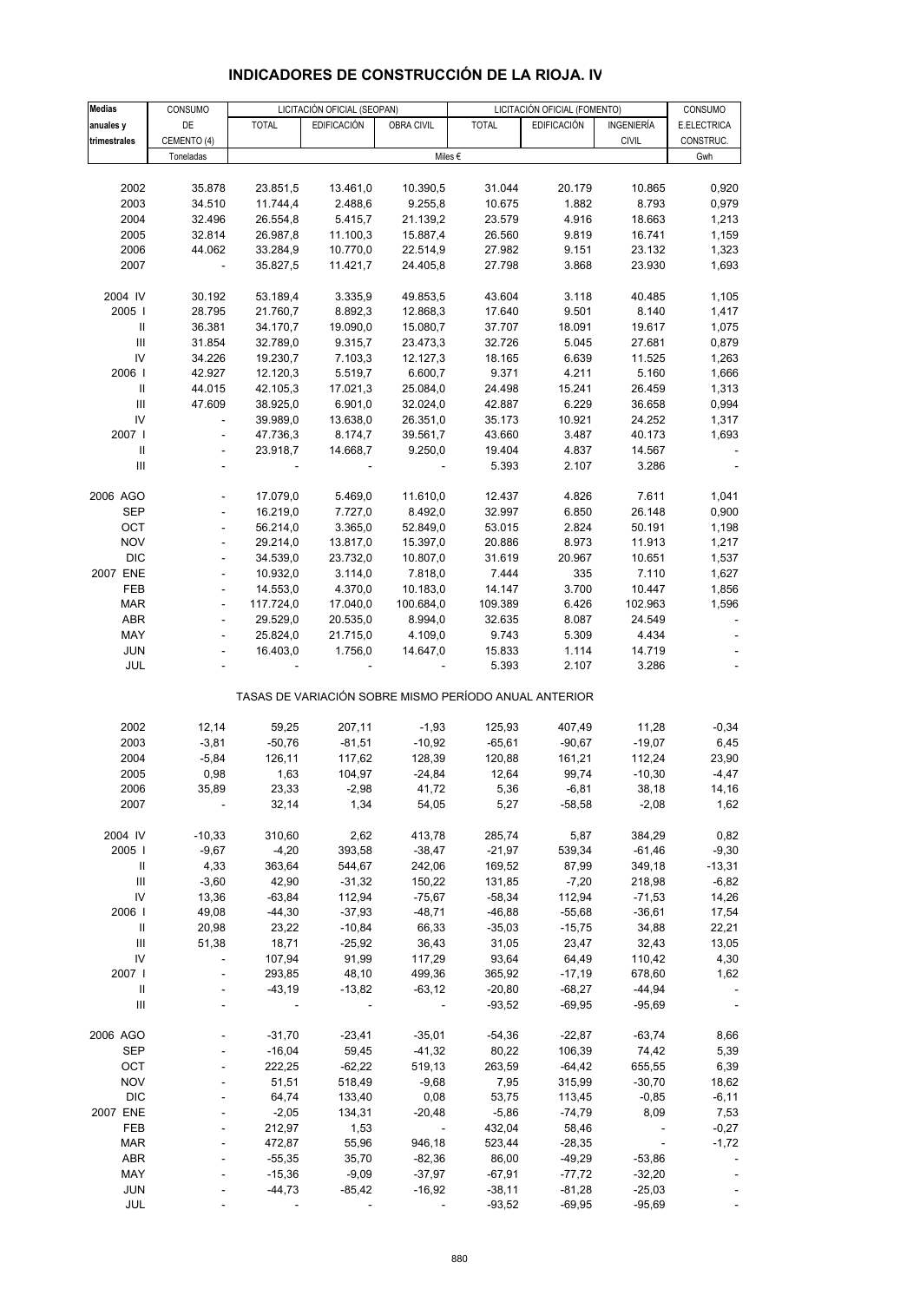| <b>Medias</b>                      | CONSUMO                  |                | LICITACIÓN OFICIAL (SEOPAN) |                          |                                                       | LICITACIÓN OFICIAL (FOMENTO) |                   | CONSUMO                  |
|------------------------------------|--------------------------|----------------|-----------------------------|--------------------------|-------------------------------------------------------|------------------------------|-------------------|--------------------------|
| anuales y                          | DE                       | <b>TOTAL</b>   | <b>EDIFICACIÓN</b>          | OBRA CIVIL               | <b>TOTAL</b>                                          | <b>EDIFICACIÓN</b>           | INGENIERÍA        | E.ELECTRICA              |
| trimestrales                       | CEMENTO (4)              |                |                             |                          |                                                       |                              | <b>CIVIL</b>      | CONSTRUC.                |
|                                    | Toneladas                |                |                             |                          | Miles $\epsilon$                                      |                              |                   | Gwh                      |
|                                    |                          |                |                             |                          |                                                       |                              |                   |                          |
| 2002                               | 35.878                   | 23.851,5       | 13.461,0                    | 10.390,5                 | 31.044                                                | 20.179                       | 10.865            | 0,920                    |
| 2003                               | 34.510                   | 11.744,4       | 2.488,6                     | 9.255,8                  | 10.675                                                | 1.882                        | 8.793             | 0,979                    |
| 2004                               | 32.496                   | 26.554,8       | 5.415,7                     | 21.139,2                 | 23.579                                                | 4.916                        | 18.663            | 1,213                    |
| 2005                               | 32.814                   | 26.987,8       | 11.100,3                    | 15.887,4                 | 26.560                                                | 9.819                        | 16.741            | 1,159                    |
| 2006                               | 44.062                   | 33.284,9       | 10.770,0                    | 22.514,9                 | 27.982                                                | 9.151                        | 23.132            | 1,323                    |
| 2007                               | $\overline{\phantom{a}}$ | 35.827,5       | 11.421,7                    | 24.405,8                 | 27.798                                                | 3.868                        | 23.930            | 1,693                    |
|                                    |                          |                |                             |                          |                                                       |                              |                   |                          |
| 2004 IV                            | 30.192                   | 53.189,4       | 3.335,9                     | 49.853,5                 | 43.604                                                | 3.118                        | 40.485            | 1,105                    |
| 2005                               | 28.795                   | 21.760,7       | 8.892,3                     | 12.868,3                 | 17.640                                                | 9.501                        | 8.140             | 1,417                    |
| Ш                                  | 36.381                   | 34.170,7       | 19.090,0                    | 15.080,7                 | 37.707                                                | 18.091                       | 19.617            | 1,075                    |
| $\ensuremath{\mathsf{III}}\xspace$ | 31.854                   | 32.789,0       | 9.315,7                     | 23.473,3                 | 32.726                                                | 5.045                        | 27.681            | 0,879                    |
| IV                                 | 34.226                   | 19.230,7       | 7.103,3                     | 12.127,3                 | 18.165                                                | 6.639                        | 11.525            | 1,263                    |
| 2006                               | 42.927                   | 12.120,3       | 5.519,7                     | 6.600,7                  | 9.371                                                 | 4.211                        | 5.160             | 1,666                    |
| Ш                                  | 44.015                   | 42.105,3       | 17.021,3                    | 25.084,0                 | 24.498                                                | 15.241                       | 26.459            | 1,313                    |
| Ш                                  | 47.609                   | 38.925,0       | 6.901,0                     | 32.024,0                 | 42.887                                                | 6.229                        | 36.658            | 0,994                    |
| IV                                 |                          | 39.989,0       | 13.638,0                    | 26.351,0                 | 35.173                                                | 10.921                       | 24.252            | 1,317                    |
| 2007 l                             | $\overline{\phantom{a}}$ | 47.736,3       | 8.174,7                     | 39.561,7                 | 43.660                                                | 3.487                        | 40.173            | 1,693                    |
| Ш                                  | $\frac{1}{2}$            | 23.918,7       | 14.668,7                    | 9.250,0                  | 19.404                                                | 4.837                        | 14.567            |                          |
| III                                |                          |                |                             |                          | 5.393                                                 | 2.107                        | 3.286             |                          |
| 2006 AGO                           |                          | 17.079,0       | 5.469,0                     | 11.610,0                 | 12.437                                                | 4.826                        | 7.611             | 1,041                    |
| SEP                                |                          | 16.219,0       | 7.727,0                     | 8.492,0                  | 32.997                                                | 6.850                        | 26.148            | 0,900                    |
| OCT                                | $\blacksquare$           | 56.214,0       | 3.365,0                     | 52.849,0                 | 53.015                                                | 2.824                        | 50.191            | 1,198                    |
| <b>NOV</b>                         |                          | 29.214,0       | 13.817,0                    | 15.397,0                 | 20.886                                                | 8.973                        | 11.913            | 1,217                    |
| <b>DIC</b>                         |                          | 34.539,0       | 23.732,0                    | 10.807,0                 | 31.619                                                | 20.967                       | 10.651            | 1,537                    |
| 2007 ENE                           | $\overline{\phantom{a}}$ | 10.932,0       | 3.114,0                     | 7.818,0                  | 7.444                                                 | 335                          | 7.110             | 1,627                    |
| FEB                                |                          | 14.553,0       | 4.370,0                     | 10.183,0                 | 14.147                                                | 3.700                        | 10.447            | 1,856                    |
| <b>MAR</b>                         |                          | 117.724,0      | 17.040,0                    | 100.684,0                | 109.389                                               | 6.426                        | 102.963           | 1,596                    |
| ABR                                | $\overline{\phantom{a}}$ | 29.529,0       | 20.535,0                    | 8.994,0                  | 32.635                                                | 8.087                        | 24.549            |                          |
| MAY                                |                          | 25.824,0       | 21.715,0                    | 4.109,0                  | 9.743                                                 | 5.309                        | 4.434             |                          |
| <b>JUN</b>                         |                          | 16.403,0       | 1.756,0                     | 14.647,0                 | 15.833                                                | 1.114                        | 14.719            |                          |
| JUL                                |                          |                |                             |                          | 5.393                                                 | 2.107                        | 3.286             | $\overline{\phantom{a}}$ |
|                                    |                          |                |                             |                          | TASAS DE VARIACIÓN SOBRE MISMO PERÍODO ANUAL ANTERIOR |                              |                   |                          |
|                                    |                          |                |                             |                          |                                                       |                              |                   |                          |
| 2002                               | 12,14                    | 59,25          | 207,11                      | $-1,93$                  | 125,93                                                | 407,49                       | 11,28             | $-0,34$                  |
| 2003                               | $-3,81$                  | $-50,76$       | $-81,51$                    | $-10,92$                 | $-65,61$                                              | $-90,67$                     | $-19,07$          | 6,45                     |
| 2004                               | $-5,84$                  | 126,11         | 117,62                      | 128,39                   | 120,88                                                | 161,21                       | 112,24            | 23,90                    |
| 2005<br>2006                       | 0,98<br>35,89            | 1,63           | 104,97                      | $-24,84$<br>41,72        | 12,64<br>5,36                                         | 99,74                        | $-10,30$<br>38,18 | $-4,47$                  |
| 2007                               |                          | 23,33<br>32,14 | $-2,98$<br>1,34             | 54,05                    | 5,27                                                  | -6,81<br>$-58,58$            | $-2,08$           | 14,16<br>1,62            |
|                                    |                          |                |                             |                          |                                                       |                              |                   |                          |
| 2004 IV                            | $-10,33$                 | 310,60         | 2,62                        | 413,78                   | 285,74                                                | 5,87                         | 384,29            | 0,82                     |
| 2005                               | $-9,67$                  | $-4,20$        | 393,58                      | $-38,47$                 | $-21,97$                                              | 539,34                       | $-61,46$          | $-9,30$                  |
| Ш                                  | 4,33                     | 363,64         | 544,67                      | 242,06                   | 169,52                                                | 87,99                        | 349,18            | $-13,31$                 |
| III                                | $-3,60$                  | 42,90          | $-31,32$                    | 150,22                   | 131,85                                                | $-7,20$                      | 218,98            | $-6,82$                  |
| IV                                 | 13,36                    | $-63,84$       | 112,94                      | $-75,67$                 | $-58,34$                                              | 112,94                       | $-71,53$          | 14,26                    |
| 2006                               | 49,08                    | $-44,30$       | $-37,93$                    | $-48,71$                 | $-46,88$                                              | $-55,68$                     | $-36,61$          | 17,54                    |
| $\mathbf{II}$                      | 20,98                    | 23,22          | $-10,84$                    | 66,33                    | $-35,03$                                              | $-15,75$                     | 34,88             | 22,21                    |
| $\ensuremath{\mathsf{III}}\xspace$ | 51,38                    | 18,71          | $-25,92$                    | 36,43                    | 31,05                                                 | 23,47                        | 32,43             | 13,05                    |
| IV                                 |                          | 107,94         | 91,99                       | 117,29                   | 93,64                                                 | 64,49                        | 110,42            | 4,30                     |
| 2007                               |                          | 293,85         | 48,10                       | 499,36                   | 365,92                                                | $-17,19$                     | 678,60            | 1,62                     |
| $\, \parallel$                     |                          | $-43,19$       | $-13,82$                    | $-63,12$                 | $-20,80$                                              | $-68,27$                     | $-44,94$          |                          |
| $\ensuremath{\mathsf{III}}\xspace$ |                          |                |                             | $\overline{\phantom{a}}$ | $-93,52$                                              | $-69,95$                     | $-95,69$          |                          |
| 2006 AGO                           |                          | $-31,70$       | $-23,41$                    | $-35,01$                 | $-54,36$                                              | $-22,87$                     | $-63,74$          | 8,66                     |
| <b>SEP</b>                         |                          | $-16,04$       | 59,45                       | $-41,32$                 | 80,22                                                 | 106,39                       | 74,42             | 5,39                     |
| OCT                                |                          | 222,25         | $-62,22$                    | 519,13                   | 263,59                                                | $-64,42$                     | 655,55            | 6,39                     |
| <b>NOV</b>                         |                          | 51,51          | 518,49                      | $-9,68$                  | 7,95                                                  | 315,99                       | $-30,70$          | 18,62                    |
| <b>DIC</b>                         |                          | 64,74          | 133,40                      | 0,08                     | 53,75                                                 | 113,45                       | $-0,85$           | $-6,11$                  |
| 2007 ENE                           |                          | $-2,05$        | 134,31                      | $-20,48$                 | $-5,86$                                               | $-74,79$                     | 8,09              | 7,53                     |
| FEB                                |                          | 212,97         | 1,53                        | $\overline{\phantom{a}}$ | 432,04                                                | 58,46                        |                   | $-0,27$                  |
| <b>MAR</b>                         |                          | 472,87         | 55,96                       | 946,18                   | 523,44                                                | $-28,35$                     |                   | $-1,72$                  |
| <b>ABR</b>                         |                          | $-55,35$       | 35,70                       | $-82,36$                 | 86,00                                                 | $-49,29$                     | $-53,86$          |                          |
| MAY                                |                          | $-15,36$       | $-9,09$                     | $-37,97$                 | $-67,91$                                              | $-77,72$                     | $-32,20$          |                          |
| <b>JUN</b>                         |                          | $-44,73$       | $-85,42$                    | $-16,92$                 | $-38,11$                                              | $-81,28$                     | $-25,03$          |                          |
| JUL                                |                          |                |                             |                          | $-93,52$                                              | $-69,95$                     | $-95,69$          |                          |

# **INDICADORES DE CONSTRUCCIÓN DE LA RIOJA. IV**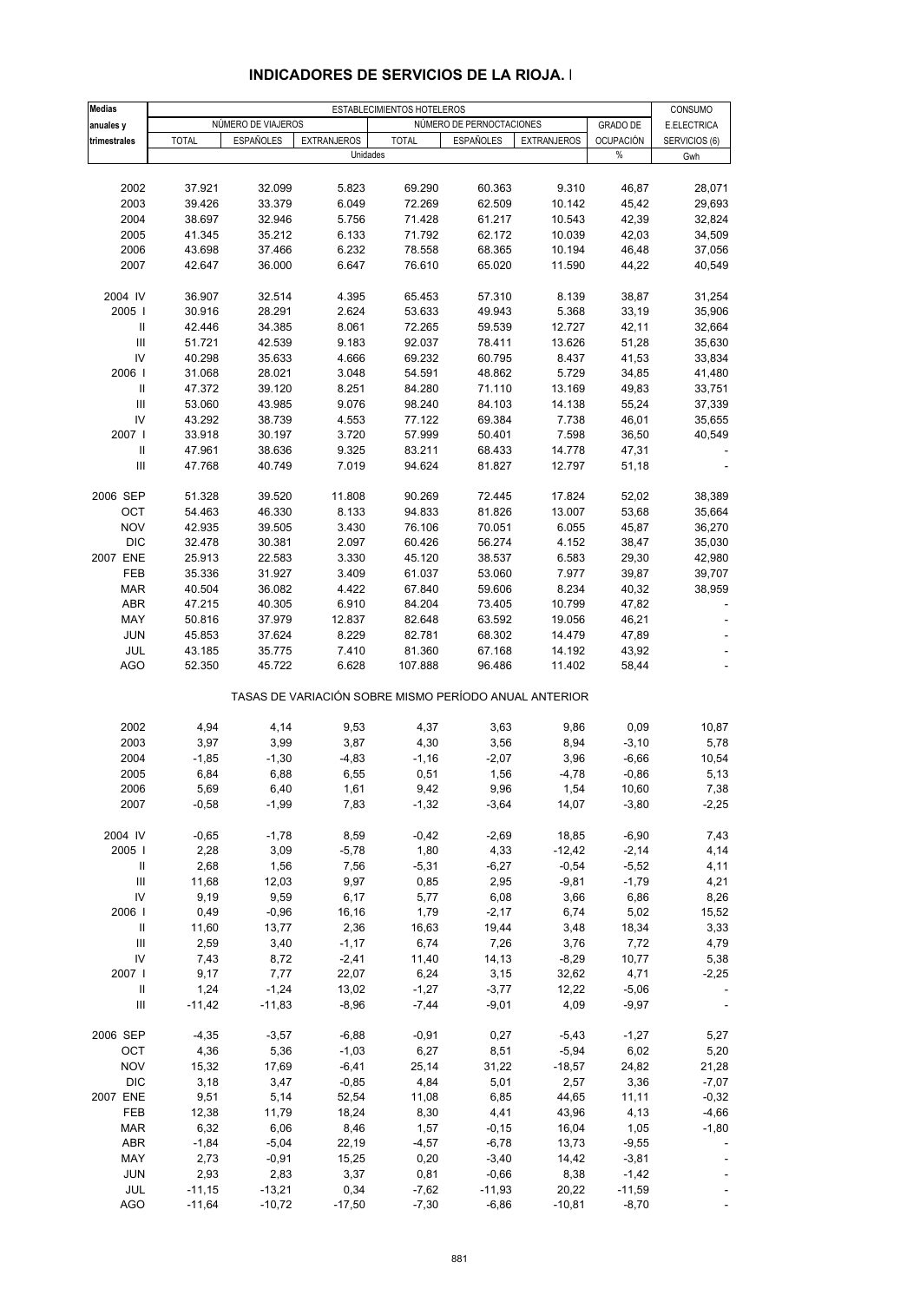| <b>Medias</b>                      |              |                    |                    | ESTABLECIMIENTOS HOTELEROS                            |                          |                    |                  | CONSUMO       |
|------------------------------------|--------------|--------------------|--------------------|-------------------------------------------------------|--------------------------|--------------------|------------------|---------------|
| anuales y                          |              | NÚMERO DE VIAJEROS |                    |                                                       | NÚMERO DE PERNOCTACIONES |                    | <b>GRADO DE</b>  | E.ELECTRICA   |
| trimestrales                       | <b>TOTAL</b> | <b>ESPAÑOLES</b>   | <b>EXTRANJEROS</b> | <b>TOTAL</b>                                          | <b>ESPAÑOLES</b>         | <b>EXTRANJEROS</b> | <b>OCUPACIÓN</b> | SERVICIOS (6) |
|                                    |              |                    |                    | Unidades                                              |                          |                    | $\%$             | Gwh           |
|                                    |              |                    |                    |                                                       |                          |                    |                  |               |
| 2002                               | 37.921       | 32.099             | 5.823              | 69.290                                                | 60.363                   | 9.310              | 46,87            | 28,071        |
| 2003                               | 39.426       | 33.379             | 6.049              | 72.269                                                | 62.509                   | 10.142             | 45,42            | 29,693        |
| 2004                               | 38.697       | 32.946             | 5.756              | 71.428                                                | 61.217                   | 10.543             | 42,39            | 32,824        |
| 2005                               | 41.345       | 35.212             | 6.133              | 71.792                                                | 62.172                   | 10.039             | 42,03            | 34,509        |
| 2006                               | 43.698       | 37.466             | 6.232              | 78.558                                                | 68.365                   | 10.194             | 46,48            | 37,056        |
| 2007                               | 42.647       | 36.000             | 6.647              | 76.610                                                | 65.020                   | 11.590             | 44,22            | 40,549        |
| 2004 IV                            | 36.907       | 32.514             | 4.395              | 65.453                                                | 57.310                   | 8.139              | 38,87            | 31,254        |
| 2005                               | 30.916       | 28.291             | 2.624              | 53.633                                                | 49.943                   | 5.368              | 33,19            | 35,906        |
| $\, \parallel$                     | 42.446       | 34.385             | 8.061              | 72.265                                                | 59.539                   | 12.727             | 42,11            | 32,664        |
| III                                | 51.721       | 42.539             | 9.183              | 92.037                                                | 78.411                   | 13.626             | 51,28            | 35,630        |
| IV                                 | 40.298       | 35.633             | 4.666              | 69.232                                                | 60.795                   | 8.437              | 41,53            | 33,834        |
| 2006                               | 31.068       | 28.021             | 3.048              | 54.591                                                | 48.862                   | 5.729              | 34,85            | 41,480        |
| Ш                                  | 47.372       | 39.120             | 8.251              | 84.280                                                | 71.110                   | 13.169             | 49,83            | 33,751        |
| $\ensuremath{\mathsf{III}}\xspace$ | 53.060       | 43.985             | 9.076              | 98.240                                                | 84.103                   | 14.138             | 55,24            | 37,339        |
| IV                                 | 43.292       | 38.739             | 4.553              | 77.122                                                | 69.384                   | 7.738              | 46,01            | 35,655        |
| 2007 l                             | 33.918       | 30.197             | 3.720              | 57.999                                                | 50.401                   | 7.598              | 36,50            | 40,549        |
| $\, \parallel$                     | 47.961       | 38.636             | 9.325              | 83.211                                                | 68.433                   | 14.778             | 47,31            |               |
| $\ensuremath{\mathsf{III}}\xspace$ | 47.768       | 40.749             | 7.019              | 94.624                                                | 81.827                   | 12.797             | 51,18            |               |
| 2006 SEP                           | 51.328       | 39.520             | 11.808             | 90.269                                                | 72.445                   | 17.824             | 52,02            | 38,389        |
| OCT                                | 54.463       | 46.330             | 8.133              | 94.833                                                | 81.826                   | 13.007             | 53,68            | 35,664        |
| <b>NOV</b>                         | 42.935       | 39.505             | 3.430              | 76.106                                                | 70.051                   | 6.055              | 45,87            | 36,270        |
| <b>DIC</b>                         | 32.478       | 30.381             | 2.097              | 60.426                                                | 56.274                   | 4.152              | 38,47            | 35,030        |
| 2007 ENE                           | 25.913       | 22.583             | 3.330              | 45.120                                                | 38.537                   | 6.583              | 29,30            | 42,980        |
| FEB                                | 35.336       | 31.927             | 3.409              | 61.037                                                | 53.060                   | 7.977              | 39,87            | 39,707        |
| <b>MAR</b>                         | 40.504       | 36.082             | 4.422              | 67.840                                                | 59.606                   | 8.234              | 40,32            | 38,959        |
| <b>ABR</b>                         | 47.215       | 40.305             | 6.910              | 84.204                                                | 73.405                   | 10.799             | 47,82            |               |
| MAY                                | 50.816       | 37.979             | 12.837             | 82.648                                                | 63.592                   | 19.056             | 46,21            |               |
| <b>JUN</b>                         | 45.853       | 37.624             | 8.229              | 82.781                                                | 68.302                   | 14.479             | 47,89            |               |
| JUL                                | 43.185       | 35.775             | 7.410              | 81.360                                                | 67.168                   | 14.192             | 43,92            |               |
| AGO                                | 52.350       | 45.722             | 6.628              | 107.888                                               | 96.486                   | 11.402             | 58,44            |               |
|                                    |              |                    |                    | TASAS DE VARIACIÓN SOBRE MISMO PERÍODO ANUAL ANTERIOR |                          |                    |                  |               |
| 2002                               | 4,94         | 4,14               | 9,53               | 4,37                                                  | 3,63                     | 9,86               | 0,09             | 10,87         |
| 2003                               | 3,97         | 3,99               | 3,87               | 4,30                                                  | 3,56                     | 8,94               | $-3,10$          | 5,78          |
| 2004                               | $-1,85$      | $-1,30$            | $-4,83$            | $-1,16$                                               | $-2,07$                  | 3,96               | $-6,66$          | 10,54         |
| 2005                               | 6,84         | 6,88               | 6,55               | 0,51                                                  | 1,56                     | $-4,78$            | $-0,86$          | 5,13          |
| 2006                               | 5,69         | 6,40               | 1,61               | 9,42                                                  | 9,96                     | 1,54               | 10,60            | 7,38          |
| 2007                               | $-0,58$      | $-1,99$            | 7,83               | $-1,32$                                               | $-3,64$                  | 14,07              | $-3,80$          | $-2,25$       |
| 2004 IV                            | $-0,65$      | $-1,78$            | 8,59               | $-0,42$                                               | $-2,69$                  | 18,85              | $-6,90$          | 7,43          |
| 2005                               | 2,28         | 3,09               | $-5,78$            | 1,80                                                  | 4,33                     | $-12,42$           | $-2,14$          | 4,14          |
| Ш                                  | 2,68         | 1,56               | 7,56               | $-5,31$                                               | $-6,27$                  | $-0,54$            | $-5,52$          | 4,11          |
| $\mathbf{III}$                     | 11,68        | 12,03              | 9,97               | 0,85                                                  | 2,95                     | $-9,81$            | $-1,79$          | 4,21          |
| IV                                 | 9,19         | 9,59               | 6,17               | 5,77                                                  | 6,08                     | 3,66               | 6,86             | 8,26          |
| 2006                               | 0,49         | $-0,96$            | 16,16              | 1,79                                                  | $-2,17$                  | 6,74               | 5,02             | 15,52         |
| $\mathbf{II}$                      | 11,60        | 13,77              | 2,36               | 16,63                                                 | 19,44                    | 3,48               | 18,34            | 3,33          |
| $\ensuremath{\mathsf{III}}\xspace$ | 2,59         | 3,40               | $-1,17$            | 6,74                                                  | 7,26                     | 3,76               | 7,72             | 4,79          |
| IV                                 | 7,43         | 8,72               | $-2,41$            | 11,40                                                 | 14,13                    | $-8,29$            | 10,77            | 5,38          |
| 2007 l                             | 9,17         | 7,77               | 22,07              | 6,24                                                  | 3,15                     | 32,62              | 4,71             | $-2,25$       |
| $\ensuremath{\mathsf{II}}$         | 1,24         | $-1,24$            | 13,02              | $-1,27$                                               | $-3,77$                  | 12,22              | $-5,06$          |               |
| $\ensuremath{\mathsf{III}}\xspace$ | $-11,42$     | $-11,83$           | $-8,96$            | $-7,44$                                               | $-9,01$                  | 4,09               | $-9,97$          |               |
| 2006 SEP                           | $-4,35$      | $-3,57$            | $-6,88$            | $-0,91$                                               | 0,27                     | $-5,43$            | $-1,27$          | 5,27          |
| OCT                                | 4,36         | 5,36               | $-1,03$            | 6,27                                                  | 8,51                     | $-5,94$            | 6,02             | 5,20          |
| <b>NOV</b>                         | 15,32        | 17,69              | $-6,41$            | 25,14                                                 | 31,22                    | $-18,57$           | 24,82            | 21,28         |
| <b>DIC</b>                         | 3,18         | 3,47               | $-0,85$            | 4,84                                                  | 5,01                     | 2,57               | 3,36             | $-7,07$       |
| 2007 ENE                           | 9,51         | 5,14               | 52,54              | 11,08                                                 | 6,85                     | 44,65              | 11,11            | $-0,32$       |
| FEB                                | 12,38        | 11,79              | 18,24              | 8,30                                                  | 4,41                     | 43,96              | 4,13             | $-4,66$       |
| <b>MAR</b>                         | 6,32         | 6,06               | 8,46               | 1,57                                                  | $-0,15$                  | 16,04              | 1,05             | $-1,80$       |
| ABR                                | $-1,84$      | $-5,04$            | 22,19              | $-4,57$                                               | $-6,78$                  | 13,73              | $-9,55$          |               |
| MAY                                | 2,73         | $-0,91$            | 15,25              | 0,20                                                  | $-3,40$                  | 14,42              | $-3,81$          |               |
| <b>JUN</b>                         | 2,93         | 2,83               | 3,37               | 0,81                                                  | $-0,66$                  | 8,38               | $-1,42$          |               |
| JUL                                | $-11,15$     | $-13,21$           | 0,34               | $-7,62$                                               | $-11,93$                 | 20,22              | $-11,59$         |               |
| <b>AGO</b>                         | $-11,64$     | $-10,72$           | $-17,50$           | $-7,30$                                               | $-6,86$                  | $-10,81$           | $-8,70$          |               |

#### **INDICADORES DE SERVICIOS DE LA RIOJA. I**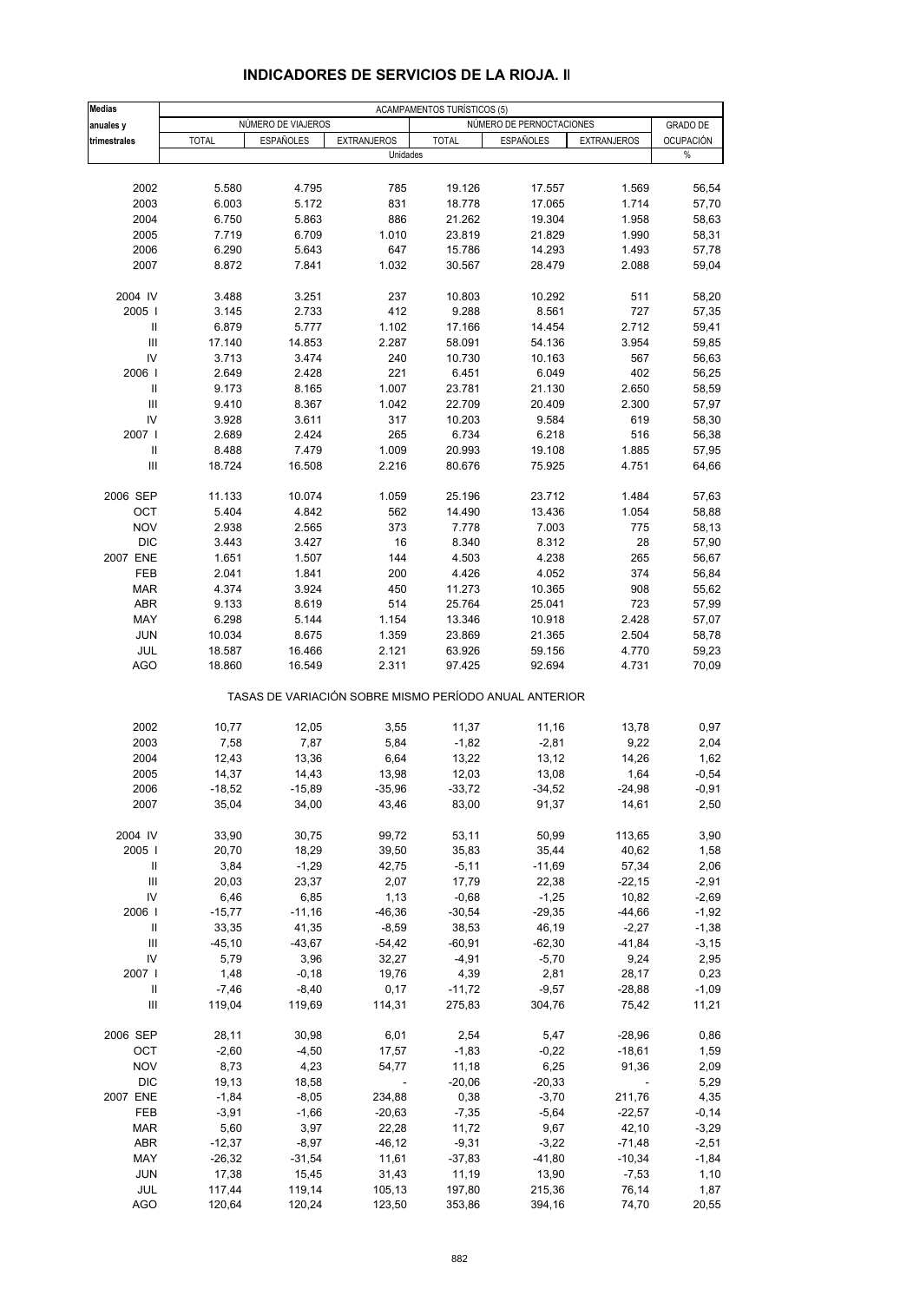| <b>Medias</b><br>anuales y         |              | NÚMERO DE VIAJEROS |                                                       | ACAMPAMENTOS TURÍSTICOS (5) | NÚMERO DE PERNOCTACIONES |                          | <b>GRADO DE</b>  |
|------------------------------------|--------------|--------------------|-------------------------------------------------------|-----------------------------|--------------------------|--------------------------|------------------|
| trimestrales                       | <b>TOTAL</b> | <b>ESPAÑOLES</b>   | <b>EXTRANJEROS</b>                                    | <b>TOTAL</b>                | <b>ESPAÑOLES</b>         | <b>EXTRANJEROS</b>       | <b>OCUPACIÓN</b> |
|                                    |              |                    | Unidades                                              |                             |                          |                          | %                |
|                                    |              |                    |                                                       |                             |                          |                          |                  |
| 2002                               | 5.580        | 4.795              | 785                                                   | 19.126                      | 17.557                   | 1.569                    | 56,54            |
| 2003                               | 6.003        | 5.172              | 831                                                   | 18.778                      | 17.065                   | 1.714                    | 57,70            |
| 2004                               | 6.750        | 5.863              | 886                                                   | 21.262                      | 19.304                   | 1.958                    | 58,63            |
| 2005                               | 7.719        | 6.709              | 1.010                                                 | 23.819                      | 21.829                   | 1.990                    | 58,31            |
| 2006                               | 6.290        | 5.643              | 647                                                   | 15.786                      | 14.293                   | 1.493                    | 57,78            |
| 2007                               | 8.872        | 7.841              | 1.032                                                 | 30.567                      | 28.479                   | 2.088                    | 59,04            |
| 2004 IV                            | 3.488        | 3.251              | 237                                                   | 10.803                      | 10.292                   | 511                      | 58,20            |
| 2005                               | 3.145        | 2.733              | 412                                                   | 9.288                       | 8.561                    | 727                      | 57,35            |
|                                    |              |                    |                                                       |                             |                          |                          |                  |
| Ш                                  | 6.879        | 5.777              | 1.102                                                 | 17.166                      | 14.454                   | 2.712                    | 59,41            |
| $\mathbf{III}$                     | 17.140       | 14.853             | 2.287                                                 | 58.091                      | 54.136                   | 3.954                    | 59,85            |
| IV                                 | 3.713        | 3.474              | 240                                                   | 10.730                      | 10.163                   | 567                      | 56,63            |
| 2006                               | 2.649        | 2.428              | 221                                                   | 6.451                       | 6.049                    | 402                      | 56,25            |
| Ш                                  | 9.173        | 8.165              | 1.007                                                 | 23.781                      | 21.130                   | 2.650                    | 58,59            |
| $\mathbf{III}$                     | 9.410        | 8.367              | 1.042                                                 | 22.709                      | 20.409                   | 2.300                    | 57,97            |
| IV                                 | 3.928        | 3.611              | 317                                                   | 10.203                      | 9.584                    | 619                      | 58,30            |
| 2007                               | 2.689        | 2.424              | 265                                                   | 6.734                       | 6.218                    | 516                      | 56,38            |
| $\ensuremath{\mathsf{II}}$         |              |                    | 1.009                                                 |                             |                          |                          | 57,95            |
|                                    | 8.488        | 7.479              |                                                       | 20.993                      | 19.108                   | 1.885                    |                  |
| $\mathbf{III}$                     | 18.724       | 16.508             | 2.216                                                 | 80.676                      | 75.925                   | 4.751                    | 64,66            |
| 2006 SEP                           | 11.133       | 10.074             | 1.059                                                 | 25.196                      | 23.712                   | 1.484                    | 57,63            |
| OCT                                | 5.404        | 4.842              | 562                                                   | 14.490                      | 13.436                   | 1.054                    | 58,88            |
| <b>NOV</b>                         | 2.938        | 2.565              | 373                                                   | 7.778                       | 7.003                    | 775                      | 58,13            |
| <b>DIC</b>                         | 3.443        | 3.427              | 16                                                    | 8.340                       | 8.312                    | 28                       | 57,90            |
| 2007 ENE                           | 1.651        | 1.507              | 144                                                   | 4.503                       | 4.238                    | 265                      | 56,67            |
|                                    |              |                    |                                                       |                             |                          |                          |                  |
| FEB                                | 2.041        | 1.841              | 200                                                   | 4.426                       | 4.052                    | 374                      | 56,84            |
| <b>MAR</b>                         | 4.374        | 3.924              | 450                                                   | 11.273                      | 10.365                   | 908                      | 55,62            |
| <b>ABR</b>                         | 9.133        | 8.619              | 514                                                   | 25.764                      | 25.041                   | 723                      | 57,99            |
| MAY                                | 6.298        | 5.144              | 1.154                                                 | 13.346                      | 10.918                   | 2.428                    | 57,07            |
| <b>JUN</b>                         | 10.034       | 8.675              | 1.359                                                 | 23.869                      | 21.365                   | 2.504                    | 58,78            |
| JUL                                | 18.587       | 16.466             | 2.121                                                 | 63.926                      | 59.156                   | 4.770                    | 59,23            |
| <b>AGO</b>                         | 18.860       | 16.549             | 2.311                                                 | 97.425                      | 92.694                   | 4.731                    | 70,09            |
|                                    |              |                    | TASAS DE VARIACIÓN SOBRE MISMO PERÍODO ANUAL ANTERIOR |                             |                          |                          |                  |
| 2002                               | 10,77        | 12,05              | 3,55                                                  | 11,37                       | 11,16                    | 13,78                    | 0,97             |
| 2003                               | 7,58         | 7,87               | 5,84                                                  | $-1,82$                     | $-2,81$                  | 9,22                     | 2,04             |
|                                    |              |                    |                                                       |                             |                          |                          |                  |
| 2004                               | 12,43        | 13,36              | 6,64                                                  | 13,22                       | 13,12                    | 14,26                    | 1,62             |
| 2005                               | 14,37        | 14,43              | 13,98                                                 | 12,03                       | 13,08                    | 1,64                     | $-0,54$          |
| 2006                               | $-18,52$     | $-15,89$           | $-35,96$                                              | $-33,72$                    | $-34,52$                 | $-24,98$                 | $-0,91$          |
| 2007                               | 35,04        | 34,00              | 43,46                                                 | 83,00                       | 91,37                    | 14,61                    | 2,50             |
| 2004 IV                            | 33,90        | 30,75              | 99,72                                                 | 53,11                       | 50,99                    | 113,65                   | 3,90             |
| 2005                               | 20,70        | 18,29              | 39,50                                                 | 35,83                       | 35,44                    | 40,62                    | 1,58             |
| Ш                                  | 3,84         | $-1,29$            | 42,75                                                 | $-5,11$                     | $-11,69$                 | 57,34                    | 2,06             |
| $\ensuremath{\mathsf{III}}\xspace$ |              |                    |                                                       | 17,79                       |                          |                          |                  |
|                                    | 20,03        | 23,37              | 2,07                                                  |                             | 22,38                    | $-22,15$                 | $-2,91$          |
| IV                                 | 6,46         | 6,85               | 1,13                                                  | $-0,68$                     | $-1,25$                  | 10,82                    | $-2,69$          |
| 2006                               | $-15,77$     | $-11,16$           | $-46,36$                                              | $-30,54$                    | $-29,35$                 | $-44,66$                 | $-1,92$          |
| Ш                                  | 33,35        | 41,35              | $-8,59$                                               | 38,53                       | 46,19                    | $-2,27$                  | $-1,38$          |
| $\ensuremath{\mathsf{III}}\xspace$ | $-45,10$     | $-43,67$           | $-54,42$                                              | $-60,91$                    | $-62,30$                 | $-41,84$                 | $-3,15$          |
| IV                                 | 5,79         | 3,96               | 32,27                                                 | $-4,91$                     | $-5,70$                  | 9,24                     | 2,95             |
| 2007 l                             | 1,48         | $-0,18$            | 19,76                                                 | 4,39                        | 2,81                     | 28,17                    | 0,23             |
| $\mathbf{II}$                      | $-7,46$      | $-8,40$            | 0,17                                                  | $-11,72$                    | $-9,57$                  | $-28,88$                 | $-1,09$          |
| $\ensuremath{\mathsf{III}}\xspace$ | 119,04       | 119,69             | 114,31                                                | 275,83                      | 304,76                   | 75,42                    | 11,21            |
|                                    |              |                    |                                                       |                             |                          |                          |                  |
| 2006 SEP                           | 28,11        | 30,98              | 6,01                                                  | 2,54                        | 5,47                     | $-28,96$                 | 0,86             |
| OCT                                | $-2,60$      | $-4,50$            | 17,57                                                 | $-1,83$                     | $-0,22$                  | $-18,61$                 | 1,59             |
| <b>NOV</b>                         | 8,73         | 4,23               | 54,77                                                 | 11,18                       | 6,25                     | 91,36                    | 2,09             |
| <b>DIC</b>                         | 19,13        | 18,58              | $\overline{\phantom{a}}$                              | $-20,06$                    | $-20,33$                 | $\overline{\phantom{a}}$ | 5,29             |
| 2007 ENE                           | $-1,84$      | $-8,05$            | 234,88                                                | 0,38                        | $-3,70$                  | 211,76                   | 4,35             |
|                                    |              |                    |                                                       |                             |                          |                          |                  |
| FEB                                | $-3,91$      | $-1,66$            | $-20,63$                                              | $-7,35$                     | $-5,64$                  | $-22,57$                 | $-0,14$          |
| <b>MAR</b>                         | 5,60         | 3,97               | 22,28                                                 | 11,72                       | 9,67                     | 42,10                    | $-3,29$          |
| ABR                                | $-12,37$     | $-8,97$            | $-46, 12$                                             | $-9,31$                     | $-3,22$                  | -71,48                   | $-2,51$          |
| MAY                                | $-26,32$     | $-31,54$           | 11,61                                                 | $-37,83$                    | $-41,80$                 | $-10,34$                 | $-1,84$          |
| <b>JUN</b>                         | 17,38        | 15,45              | 31,43                                                 | 11,19                       | 13,90                    | $-7,53$                  | 1,10             |
| JUL                                | 117,44       | 119,14             | 105,13                                                | 197,80                      | 215,36                   | 76,14                    | 1,87             |
| <b>AGO</b>                         | 120,64       | 120,24             | 123,50                                                | 353,86                      | 394,16                   | 74,70                    | 20,55            |
|                                    |              |                    |                                                       |                             |                          |                          |                  |

#### **INDICADORES DE SERVICIOS DE LA RIOJA. II**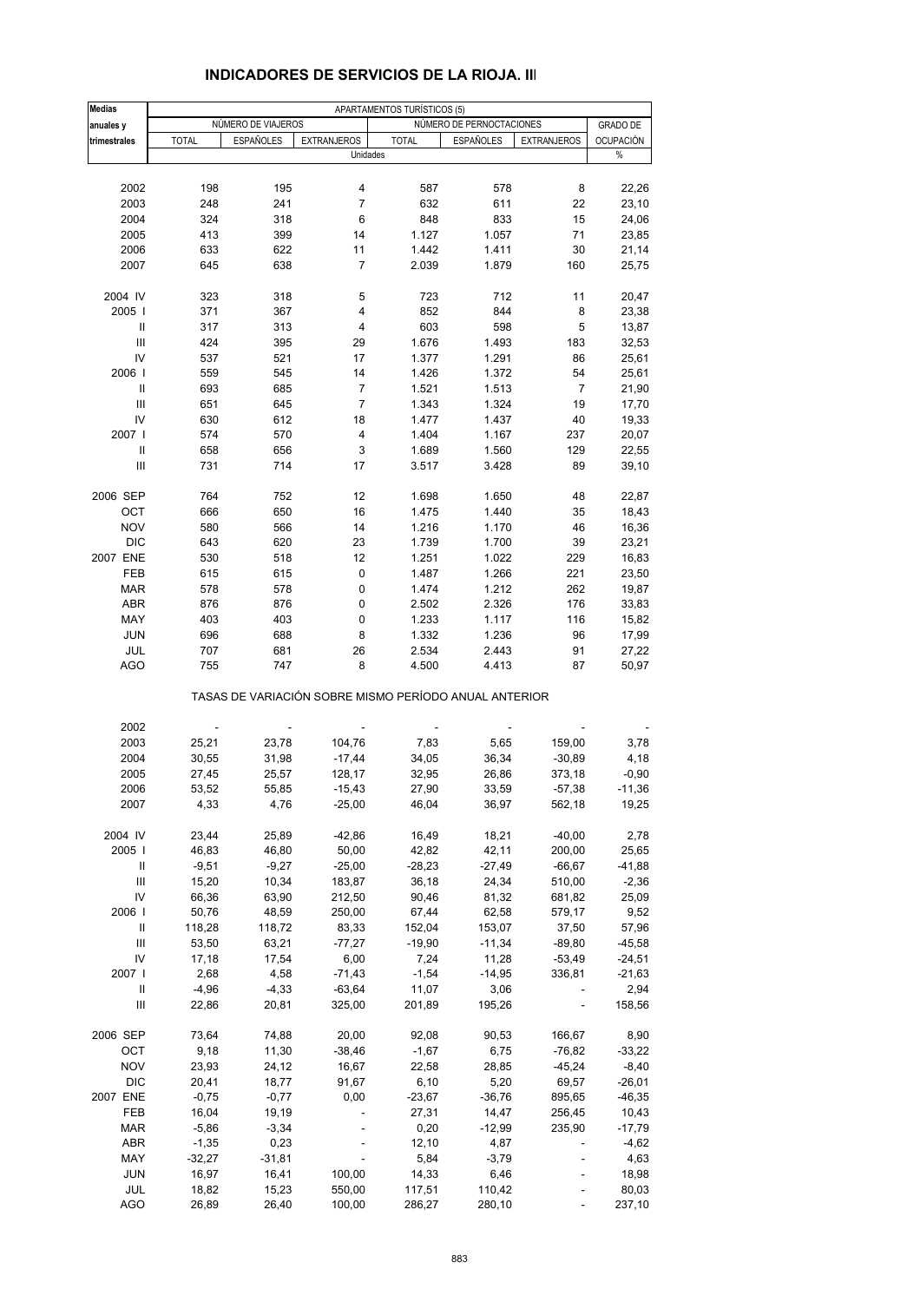| <b>Medias</b>                      |                         |                         |                          | APARTAMENTOS TURÍSTICOS (5) |                                                       |                          |                  |
|------------------------------------|-------------------------|-------------------------|--------------------------|-----------------------------|-------------------------------------------------------|--------------------------|------------------|
| anuales y                          |                         | NÚMERO DE VIAJEROS      |                          |                             | NÚMERO DE PERNOCTACIONES                              |                          | <b>GRADO DE</b>  |
| trimestrales                       | <b>TOTAL</b>            | <b>ESPAÑOLES</b>        | <b>EXTRANJEROS</b>       | <b>TOTAL</b>                | <b>ESPAÑOLES</b>                                      | <b>EXTRANJEROS</b>       | <b>OCUPACIÓN</b> |
|                                    |                         |                         | Unidades                 |                             |                                                       |                          | %                |
|                                    | 198                     |                         | 4                        |                             |                                                       |                          |                  |
| 2002                               |                         | 195                     |                          | 587                         | 578                                                   | 8                        | 22,26            |
| 2003                               | 248                     | 241                     | $\overline{7}$           | 632                         | 611                                                   | 22                       | 23,10            |
| 2004                               | 324                     | 318                     | 6                        | 848                         | 833                                                   | 15                       | 24,06            |
| 2005                               | 413                     | 399                     | 14                       | 1.127                       | 1.057                                                 | 71                       | 23,85            |
| 2006                               | 633                     | 622                     | 11                       | 1.442                       | 1.411                                                 | 30                       | 21,14            |
| 2007                               | 645                     | 638                     | 7                        | 2.039                       | 1.879                                                 | 160                      | 25,75            |
| 2004 IV                            | 323                     | 318                     | 5                        | 723                         | 712                                                   | 11                       | 20,47            |
| 2005                               | 371                     | 367                     | 4                        | 852                         | 844                                                   | 8                        | 23,38            |
| Ш                                  | 317                     | 313                     | 4                        | 603                         | 598                                                   | 5                        | 13,87            |
| $\ensuremath{\mathsf{III}}\xspace$ | 424                     | 395                     | 29                       | 1.676                       | 1.493                                                 | 183                      | 32,53            |
| IV                                 | 537                     | 521                     | 17                       | 1.377                       | 1.291                                                 | 86                       | 25,61            |
| 2006                               | 559                     | 545                     | 14                       | 1.426                       | 1.372                                                 | 54                       | 25,61            |
| Ш                                  | 693                     | 685                     | 7                        | 1.521                       | 1.513                                                 | 7                        | 21,90            |
| Ш                                  | 651                     | 645                     | 7                        | 1.343                       | 1.324                                                 | 19                       | 17,70            |
| IV                                 | 630                     | 612                     | 18                       | 1.477                       | 1.437                                                 | 40                       | 19,33            |
| 2007 l                             |                         |                         | 4                        |                             |                                                       |                          |                  |
|                                    | 574                     | 570                     |                          | 1.404                       | 1.167                                                 | 237                      | 20,07            |
| Ш                                  | 658                     | 656                     | 3                        | 1.689                       | 1.560                                                 | 129                      | 22,55            |
| III                                | 731                     | 714                     | 17                       | 3.517                       | 3.428                                                 | 89                       | 39,10            |
| 2006 SEP                           | 764                     | 752                     | 12                       | 1.698                       | 1.650                                                 | 48                       | 22,87            |
| OCT                                | 666                     | 650                     | 16                       | 1.475                       | 1.440                                                 | 35                       | 18,43            |
| <b>NOV</b>                         | 580                     | 566                     | 14                       | 1.216                       | 1.170                                                 | 46                       | 16,36            |
| DIC                                | 643                     | 620                     | 23                       | 1.739                       | 1.700                                                 | 39                       | 23,21            |
| 2007 ENE                           | 530                     | 518                     | 12                       | 1.251                       | 1.022                                                 | 229                      | 16,83            |
| FEB                                | 615                     | 615                     | 0                        | 1.487                       | 1.266                                                 | 221                      | 23,50            |
| MAR                                | 578                     | 578                     | 0                        | 1.474                       | 1.212                                                 | 262                      | 19,87            |
| <b>ABR</b>                         | 876                     | 876                     | 0                        | 2.502                       | 2.326                                                 | 176                      | 33,83            |
| MAY                                | 403                     | 403                     | 0                        | 1.233                       | 1.117                                                 | 116                      | 15,82            |
|                                    |                         |                         |                          |                             |                                                       |                          |                  |
| <b>JUN</b>                         | 696                     | 688                     | 8                        | 1.332                       | 1.236                                                 | 96                       | 17,99            |
| JUL<br><b>AGO</b>                  | 707<br>755              | 681<br>747              | 26<br>8                  | 2.534<br>4.500              | 2.443<br>4.413                                        | 91<br>87                 | 27,22<br>50,97   |
|                                    |                         |                         |                          |                             | TASAS DE VARIACIÓN SOBRE MISMO PERÍODO ANUAL ANTERIOR |                          |                  |
|                                    |                         |                         |                          |                             |                                                       |                          |                  |
| 2002<br>2003                       | $\overline{a}$<br>25,21 | $\overline{a}$<br>23,78 | 104,76                   | 7,83                        | 5,65                                                  | 159,00                   |                  |
|                                    |                         |                         |                          |                             |                                                       |                          | 3,78             |
| 2004                               | 30,55                   | 31,98                   | $-17,44$                 | 34,05                       | 36,34                                                 | $-30,89$                 | 4,18             |
| 2005                               | 27,45                   | 25,57                   | 128,17                   | 32,95                       | 26,86                                                 | 373,18                   | $-0,90$          |
| 2006                               | 53,52                   | 55,85                   | $-15,43$                 | 27,90                       | 33,59                                                 | $-57,38$                 | $-11,36$         |
| 2007                               | 4,33                    | 4,76                    | $-25,00$                 | 46,04                       | 36,97                                                 | 562,18                   | 19,25            |
| 2004 IV                            | 23,44                   | 25,89                   | $-42,86$                 | 16,49                       | 18,21                                                 | $-40,00$                 | 2,78             |
| 2005                               | 46,83                   | 46,80                   | 50,00                    | 42,82                       | 42,11                                                 | 200,00                   | 25,65            |
| Ш                                  | $-9,51$                 | $-9,27$                 | $-25,00$                 | $-28,23$                    | $-27,49$                                              | $-66,67$                 | $-41,88$         |
| Ш                                  | 15,20                   | 10,34                   | 183,87                   | 36,18                       | 24,34                                                 | 510,00                   | $-2,36$          |
| IV                                 | 66,36                   | 63,90                   | 212,50                   | 90,46                       | 81,32                                                 | 681,82                   | 25,09            |
| 2006                               | 50,76                   | 48,59                   | 250,00                   | 67,44                       | 62,58                                                 | 579,17                   | 9,52             |
| Ш                                  | 118,28                  | 118,72                  | 83,33                    | 152,04                      | 153,07                                                | 37,50                    | 57,96            |
|                                    |                         |                         |                          |                             |                                                       |                          | $-45,58$         |
| Ш                                  | 53,50                   | 63,21                   | $-77,27$                 | $-19,90$                    | $-11,34$                                              | $-89,80$                 |                  |
| IV                                 | 17,18                   | 17,54                   | 6,00                     | 7,24                        | 11,28                                                 | $-53,49$                 | $-24,51$         |
| 2007                               | 2,68                    | 4,58                    | $-71,43$                 | $-1,54$                     | $-14,95$                                              | 336,81                   | $-21,63$         |
| Ш                                  | $-4,96$                 | $-4,33$                 | $-63,64$                 | 11,07                       | 3,06                                                  |                          | 2,94             |
| Ш                                  | 22,86                   | 20,81                   | 325,00                   | 201,89                      | 195,26                                                | $\overline{\phantom{a}}$ | 158,56           |
| 2006 SEP                           | 73,64                   | 74,88                   | 20,00                    | 92,08                       | 90,53                                                 | 166,67                   | 8,90             |
| OCT                                | 9,18                    | 11,30                   | $-38,46$                 | $-1,67$                     | 6,75                                                  | $-76,82$                 | $-33,22$         |
| <b>NOV</b>                         | 23,93                   | 24,12                   | 16,67                    | 22,58                       | 28,85                                                 | $-45,24$                 | $-8,40$          |
| DIC                                | 20,41                   | 18,77                   | 91,67                    | 6, 10                       | 5,20                                                  | 69,57                    | $-26,01$         |
| 2007 ENE                           | $-0,75$                 | $-0,77$                 | 0,00                     | $-23,67$                    | $-36,76$                                              | 895,65                   | $-46,35$         |
| FEB                                | 16,04                   | 19,19                   | $\frac{1}{2}$            | 27,31                       | 14,47                                                 | 256,45                   | 10,43            |
|                                    |                         |                         |                          |                             |                                                       |                          |                  |
| <b>MAR</b>                         | $-5,86$                 | $-3,34$                 | $\blacksquare$           | 0,20                        | $-12,99$                                              | 235,90                   | $-17,79$         |
| ABR                                | $-1,35$                 | 0,23                    | $\overline{\phantom{a}}$ | 12,10                       | 4,87                                                  |                          | $-4,62$          |
| MAY                                | $-32,27$                | $-31,81$                | $\overline{\phantom{a}}$ | 5,84                        | $-3,79$                                               |                          | 4,63             |
| <b>JUN</b>                         | 16,97                   | 16,41                   | 100,00                   | 14,33                       | 6,46                                                  |                          | 18,98            |
| JUL                                | 18,82                   | 15,23                   | 550,00                   | 117,51                      | 110,42                                                |                          | 80,03            |
| <b>AGO</b>                         | 26,89                   | 26,40                   | 100,00                   | 286,27                      | 280,10                                                | ÷.                       | 237,10           |

#### **INDICADORES DE SERVICIOS DE LA RIOJA. III**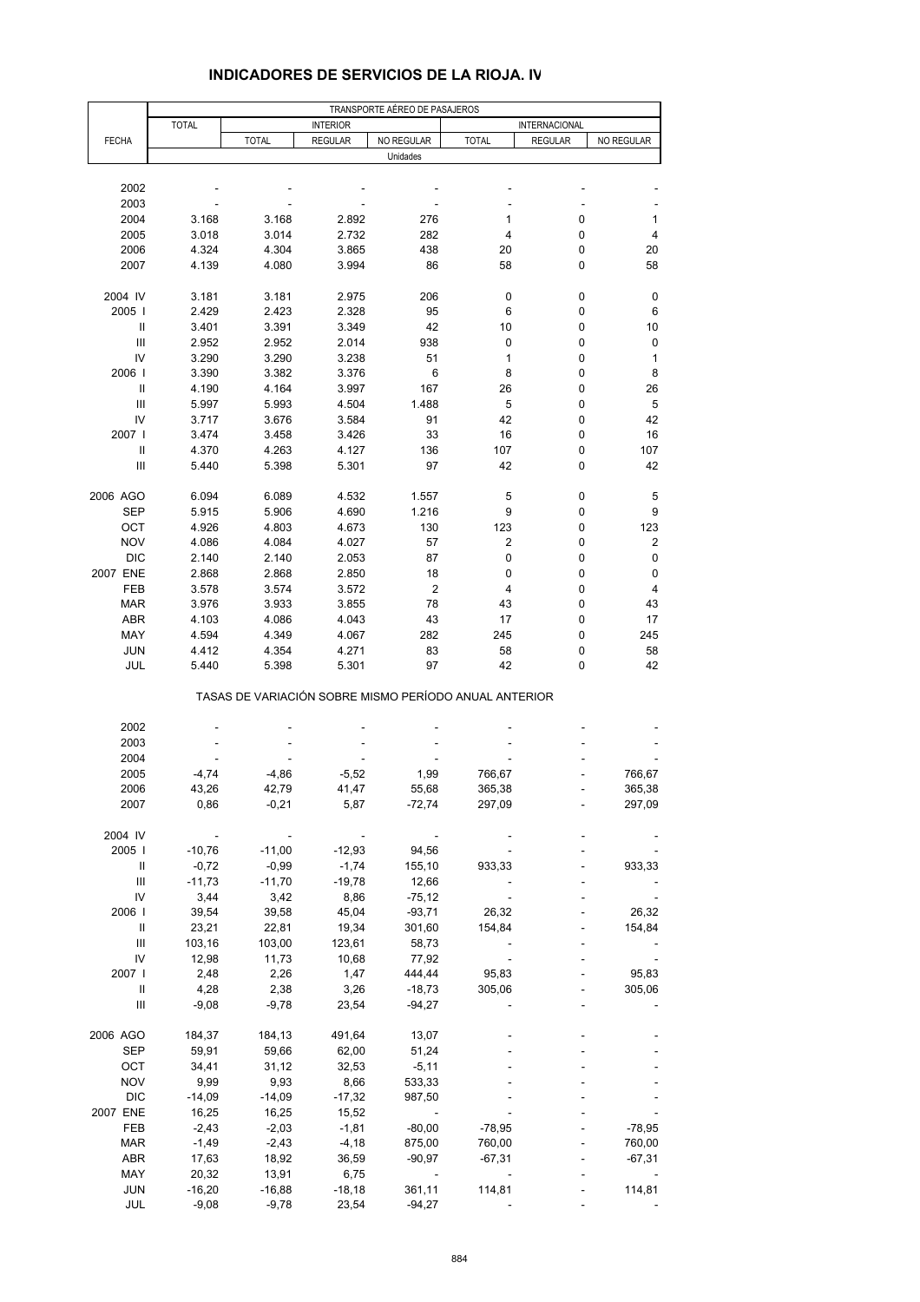|                            | TRANSPORTE AÉREO DE PASAJEROS |                                                       |                  |                                    |              |                |                  |  |  |  |
|----------------------------|-------------------------------|-------------------------------------------------------|------------------|------------------------------------|--------------|----------------|------------------|--|--|--|
|                            | <b>TOTAL</b>                  |                                                       | <b>INTERIOR</b>  |                                    |              | INTERNACIONAL  |                  |  |  |  |
| <b>FECHA</b>               |                               | <b>TOTAL</b>                                          | <b>REGULAR</b>   | NO REGULAR                         | <b>TOTAL</b> | <b>REGULAR</b> | NO REGULAR       |  |  |  |
|                            |                               |                                                       |                  | Unidades                           |              |                |                  |  |  |  |
| 2002                       |                               |                                                       |                  |                                    |              |                |                  |  |  |  |
| 2003                       |                               |                                                       |                  |                                    |              |                |                  |  |  |  |
| 2004                       | 3.168                         | 3.168                                                 | 2.892            | 276                                | 1            | 0              | 1                |  |  |  |
| 2005                       | 3.018                         | 3.014                                                 | 2.732            | 282                                | 4            | 0              | 4                |  |  |  |
| 2006                       | 4.324                         | 4.304                                                 | 3.865            | 438                                | 20           | 0              | 20               |  |  |  |
| 2007                       | 4.139                         | 4.080                                                 | 3.994            | 86                                 | 58           | 0              | 58               |  |  |  |
|                            |                               |                                                       |                  |                                    |              |                |                  |  |  |  |
| 2004 IV                    | 3.181                         | 3.181                                                 | 2.975            | 206                                | 0            | 0              | 0                |  |  |  |
| 2005                       | 2.429                         | 2.423                                                 | 2.328            | 95                                 | 6            | 0              | 6                |  |  |  |
| $\mathop{\rm II}\nolimits$ | 3.401                         | 3.391                                                 | 3.349            | 42                                 | 10           | 0              | 10               |  |  |  |
| Ш                          | 2.952                         | 2.952                                                 | 2.014            | 938                                | 0            | 0              | $\pmb{0}$        |  |  |  |
| IV                         | 3.290                         | 3.290                                                 | 3.238            | 51                                 | 1            | 0              | 1                |  |  |  |
| 2006                       | 3.390                         | 3.382                                                 | 3.376            | 6                                  | 8            | 0              | 8                |  |  |  |
| Ш                          | 4.190                         | 4.164                                                 | 3.997            | 167                                | 26           | 0              | 26               |  |  |  |
| Ш                          | 5.997                         | 5.993                                                 | 4.504            | 1.488                              | 5            | 0              | 5                |  |  |  |
| IV                         | 3.717                         | 3.676                                                 | 3.584            | 91                                 | 42           | 0              | 42               |  |  |  |
| 2007 l                     | 3.474                         | 3.458                                                 | 3.426            | 33                                 | 16           | 0              | 16               |  |  |  |
| Ш                          | 4.370                         | 4.263                                                 | 4.127            | 136                                | 107          | 0              | 107              |  |  |  |
| $\mathsf{III}\,$           | 5.440                         | 5.398                                                 | 5.301            | 97                                 | 42           | 0              | 42               |  |  |  |
| 2006 AGO                   | 6.094                         | 6.089                                                 | 4.532            | 1.557                              | 5            | 0              | 5                |  |  |  |
| <b>SEP</b>                 | 5.915                         | 5.906                                                 | 4.690            | 1.216                              | 9            | 0              | 9                |  |  |  |
| OCT                        | 4.926                         | 4.803                                                 | 4.673            | 130                                | 123          | 0              | 123              |  |  |  |
| <b>NOV</b>                 | 4.086                         | 4.084                                                 | 4.027            | 57                                 | 2            | 0              | $\boldsymbol{2}$ |  |  |  |
| <b>DIC</b>                 | 2.140                         | 2.140                                                 | 2.053            | 87                                 | 0            | 0              | $\pmb{0}$        |  |  |  |
| 2007 ENE                   | 2.868                         | 2.868                                                 | 2.850            | 18                                 | 0            | 0              | 0                |  |  |  |
| FEB                        | 3.578                         | 3.574                                                 | 3.572            | $\boldsymbol{2}$                   | 4            | 0              | 4                |  |  |  |
| <b>MAR</b>                 | 3.976                         | 3.933                                                 | 3.855            | 78                                 | 43           | 0              | 43               |  |  |  |
| <b>ABR</b>                 | 4.103                         | 4.086                                                 | 4.043            | 43                                 | 17           | 0              | 17               |  |  |  |
| MAY                        | 4.594                         | 4.349                                                 | 4.067            | 282                                | 245          | 0              | 245              |  |  |  |
| <b>JUN</b>                 | 4.412                         | 4.354                                                 | 4.271            | 83                                 | 58           | 0              | 58               |  |  |  |
| JUL                        | 5.440                         | 5.398                                                 | 5.301            | 97                                 | 42           | 0              | 42               |  |  |  |
|                            |                               | TASAS DE VARIACIÓN SOBRE MISMO PERÍODO ANUAL ANTERIOR |                  |                                    |              |                |                  |  |  |  |
| 2002                       |                               |                                                       |                  |                                    |              |                |                  |  |  |  |
| 2003                       |                               |                                                       |                  |                                    |              |                |                  |  |  |  |
| 2004                       |                               |                                                       |                  |                                    |              |                |                  |  |  |  |
| 2005                       | $-4,74$                       | -4,86                                                 | $-5,52$          | 1,99                               | 766,67       |                | 766,67           |  |  |  |
| 2006                       | 43,26                         | 42,79                                                 | 41,47            | 55,68                              | 365,38       |                | 365,38           |  |  |  |
| 2007                       | 0,86                          | $-0,21$                                               | 5,87             | $-72,74$                           | 297,09       |                | 297,09           |  |  |  |
|                            |                               |                                                       |                  |                                    |              |                |                  |  |  |  |
| 2004 IV                    |                               |                                                       |                  |                                    |              |                |                  |  |  |  |
| 2005                       | $-10,76$                      | $-11,00$                                              | $-12,93$         | 94,56                              |              |                |                  |  |  |  |
| Ш                          | $-0,72$                       | $-0,99$                                               | $-1,74$          | 155,10                             | 933,33       |                | 933,33           |  |  |  |
| Ш<br>IV                    | $-11,73$<br>3,44              | $-11,70$                                              | $-19,78$<br>8,86 | 12,66<br>$-75,12$                  |              |                |                  |  |  |  |
| 2006                       | 39,54                         | 3,42<br>39,58                                         | 45,04            | $-93,71$                           | 26,32        |                | 26,32            |  |  |  |
| Ш                          | 23,21                         | 22,81                                                 | 19,34            | 301,60                             | 154,84       |                | 154,84           |  |  |  |
| Ш                          | 103,16                        | 103,00                                                | 123,61           | 58,73                              |              |                |                  |  |  |  |
| IV                         | 12,98                         | 11,73                                                 | 10,68            | 77,92                              |              |                |                  |  |  |  |
| 2007 l                     | 2,48                          | 2,26                                                  | 1,47             | 444,44                             | 95,83        |                | 95,83            |  |  |  |
| Ш                          | 4,28                          | 2,38                                                  | 3,26             | $-18,73$                           | 305,06       |                | 305,06           |  |  |  |
| Ш                          | $-9,08$                       | $-9,78$                                               | 23,54            | $-94,27$                           |              |                |                  |  |  |  |
|                            |                               |                                                       |                  |                                    |              |                |                  |  |  |  |
| 2006 AGO                   | 184,37                        | 184,13                                                | 491,64           | 13,07                              |              |                |                  |  |  |  |
| SEP                        | 59,91                         | 59,66                                                 | 62,00            | 51,24                              |              |                |                  |  |  |  |
| OCT                        | 34,41                         | 31,12                                                 | 32,53            | $-5,11$                            |              |                |                  |  |  |  |
| <b>NOV</b>                 | 9,99                          | 9,93                                                  | 8,66             | 533,33                             |              |                |                  |  |  |  |
| <b>DIC</b>                 | $-14,09$                      | $-14,09$                                              | $-17,32$         | 987,50                             |              |                |                  |  |  |  |
| 2007 ENE                   | 16,25                         | 16,25                                                 | 15,52            |                                    |              |                |                  |  |  |  |
| FEB                        | $-2,43$                       | $-2,03$                                               | $-1,81$          | $-80,00$                           | $-78,95$     |                | $-78,95$         |  |  |  |
| <b>MAR</b>                 | $-1,49$                       | $-2,43$                                               | $-4,18$          | 875,00                             | 760,00       |                | 760,00           |  |  |  |
| <b>ABR</b>                 | 17,63                         | 18,92                                                 | 36,59            | $-90,97$                           | $-67,31$     |                | $-67,31$         |  |  |  |
| MAY<br><b>JUN</b>          | 20,32<br>$-16,20$             | 13,91<br>$-16,88$                                     | 6,75<br>$-18,18$ | $\overline{\phantom{a}}$<br>361,11 | 114,81       |                | 114,81           |  |  |  |
| JUL                        | $-9,08$                       | $-9,78$                                               | 23,54            | $-94,27$                           |              |                |                  |  |  |  |
|                            |                               |                                                       |                  |                                    |              |                |                  |  |  |  |

#### **INDICADORES DE SERVICIOS DE LA RIOJA. IV**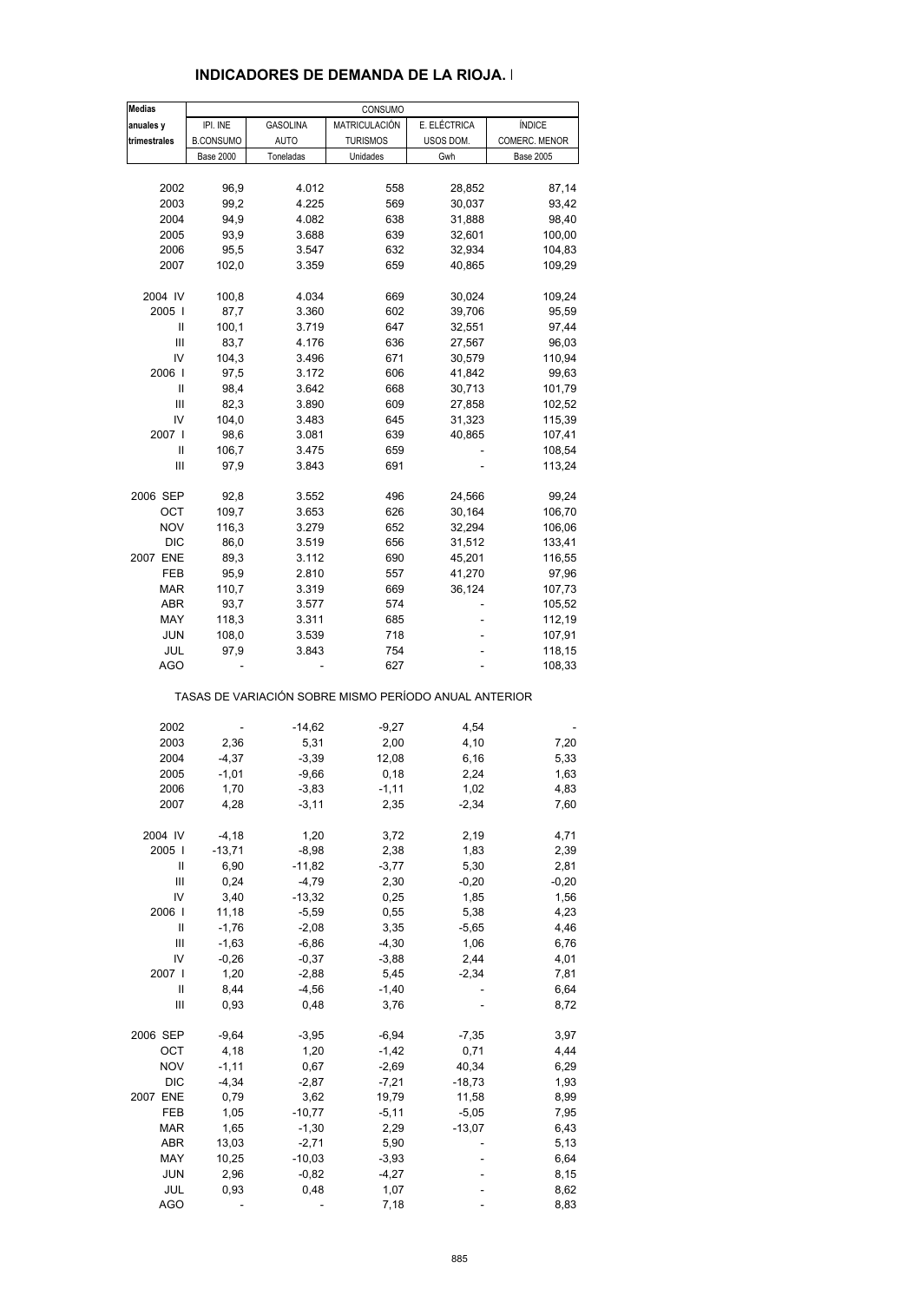| <b>Medias</b> |                  |                 | CONSUMO         |                                                       |                  |
|---------------|------------------|-----------------|-----------------|-------------------------------------------------------|------------------|
| anuales y     | IPI. INE         | <b>GASOLINA</b> | MATRICULACIÓN   | E. ELÉCTRICA                                          | <b>ÍNDICE</b>    |
| trimestrales  | <b>B.CONSUMO</b> | <b>AUTO</b>     | <b>TURISMOS</b> | USOS DOM.                                             | COMERC. MENOR    |
|               | <b>Base 2000</b> | Toneladas       | Unidades        | Gwh                                                   | <b>Base 2005</b> |
|               |                  |                 |                 |                                                       |                  |
| 2002          | 96,9             | 4.012           | 558             | 28,852                                                | 87,14            |
|               |                  |                 |                 |                                                       |                  |
| 2003          | 99,2             | 4.225           | 569             | 30,037                                                | 93,42            |
| 2004          | 94,9             | 4.082           | 638             | 31,888                                                | 98,40            |
| 2005          | 93,9             | 3.688           | 639             | 32,601                                                | 100,00           |
| 2006          | 95,5             | 3.547           | 632             | 32,934                                                | 104,83           |
| 2007          |                  |                 | 659             |                                                       | 109,29           |
|               | 102,0            | 3.359           |                 | 40,865                                                |                  |
| 2004 IV       | 100,8            | 4.034           | 669             | 30,024                                                | 109,24           |
| 2005          |                  | 3.360           | 602             | 39,706                                                |                  |
|               | 87,7             |                 |                 |                                                       | 95,59            |
| Ш             | 100,1            | 3.719           | 647             | 32,551                                                | 97,44            |
| Ш             | 83,7             | 4.176           | 636             | 27,567                                                | 96,03            |
| IV            | 104,3            | 3.496           | 671             | 30,579                                                | 110,94           |
| 2006          | 97,5             | 3.172           | 606             | 41,842                                                | 99,63            |
|               |                  |                 |                 |                                                       |                  |
| Ш             | 98,4             | 3.642           | 668             | 30,713                                                | 101,79           |
| Ш             | 82,3             | 3.890           | 609             | 27,858                                                | 102,52           |
| IV            | 104,0            | 3.483           | 645             | 31,323                                                | 115,39           |
|               |                  |                 |                 |                                                       |                  |
| 2007 l        | 98,6             | 3.081           | 639             | 40,865                                                | 107,41           |
| Ш             | 106,7            | 3.475           | 659             |                                                       | 108,54           |
| Ш             | 97,9             | 3.843           | 691             |                                                       | 113,24           |
|               |                  |                 |                 |                                                       |                  |
| 2006 SEP      | 92,8             | 3.552           | 496             | 24,566                                                | 99,24            |
| OCT           | 109,7            | 3.653           | 626             | 30,164                                                | 106,70           |
| <b>NOV</b>    | 116,3            | 3.279           | 652             | 32,294                                                | 106,06           |
| DIC           | 86,0             | 3.519           | 656             | 31,512                                                | 133,41           |
|               |                  |                 |                 |                                                       |                  |
| 2007 ENE      | 89,3             | 3.112           | 690             | 45,201                                                | 116,55           |
| FEB           | 95,9             | 2.810           | 557             | 41,270                                                | 97,96            |
| <b>MAR</b>    | 110,7            | 3.319           | 669             | 36,124                                                | 107,73           |
| <b>ABR</b>    |                  | 3.577           |                 |                                                       |                  |
|               | 93,7             |                 | 574             |                                                       | 105,52           |
| MAY           | 118,3            | 3.311           | 685             |                                                       | 112,19           |
| <b>JUN</b>    | 108,0            | 3.539           | 718             |                                                       | 107,91           |
| JUL           | 97,9             | 3.843           | 754             |                                                       | 118,15           |
| AGO           |                  |                 | 627             |                                                       | 108,33           |
|               |                  |                 |                 | TASAS DE VARIACIÓN SOBRE MISMO PERÍODO ANUAL ANTERIOR |                  |
|               |                  |                 |                 |                                                       |                  |
| 2002          |                  | $-14,62$        | $-9,27$         | 4,54                                                  |                  |
| 2003          | 2,36             | 5,31            | 2,00            | 4,10                                                  | 7,20             |
| 2004          | $-4,37$          | $-3,39$         | 12,08           | 6,16                                                  | 5,33             |
| 2005          | $-1,01$          | $-9,66$         | 0,18            | 2,24                                                  | 1,63             |
| 2006          | 1,70             | $-3,83$         | $-1,11$         | 1,02                                                  | 4,83             |
| 2007          | 4,28             | $-3,11$         | 2,35            | $-2,34$                                               | 7,60             |
|               |                  |                 |                 |                                                       |                  |
| 2004 IV       | $-4,18$          | 1,20            | 3,72            | 2,19                                                  | 4,71             |
| 2005          | $-13,71$         | $-8,98$         | 2,38            | 1,83                                                  | 2,39             |
|               |                  |                 |                 |                                                       |                  |
| Ш             | 6,90             | $-11,82$        | $-3,77$         | 5,30                                                  | 2,81             |
| Ш             | 0,24             | $-4,79$         | 2,30            | $-0,20$                                               | -0,20            |
| IV            | 3,40             | $-13,32$        | 0,25            | 1,85                                                  | 1,56             |
| 2006          | 11,18            | $-5,59$         | 0,55            | 5,38                                                  | 4,23             |
| Ш             | $-1,76$          | $-2,08$         | 3,35            | $-5,65$                                               | 4,46             |
|               |                  |                 |                 |                                                       |                  |
| Ш             | $-1,63$          | $-6,86$         | $-4,30$         | 1,06                                                  | 6,76             |
| IV            | $-0,26$          | $-0,37$         | $-3,88$         | 2,44                                                  | 4,01             |
| 2007 l        | 1,20             | $-2,88$         | 5,45            | $-2,34$                                               | 7,81             |
| Ш             | 8,44             | $-4,56$         | $-1,40$         |                                                       | 6,64             |
|               |                  |                 |                 |                                                       |                  |
| Ш             | 0,93             | 0,48            | 3,76            |                                                       | 8,72             |
| 2006 SEP      | $-9,64$          | $-3,95$         | $-6,94$         | $-7,35$                                               | 3,97             |
|               |                  |                 |                 |                                                       |                  |
| ост           | 4,18             | 1,20            | $-1,42$         | 0,71                                                  | 4,44             |
| <b>NOV</b>    | $-1, 11$         | 0,67            | $-2,69$         | 40,34                                                 | 6,29             |
| DIC           | $-4,34$          | $-2,87$         | $-7,21$         | $-18,73$                                              | 1,93             |
| 2007 ENE      | 0,79             | 3,62            | 19,79           | 11,58                                                 | 8,99             |
|               |                  |                 |                 |                                                       |                  |
| FEB           | 1,05             | $-10,77$        | $-5,11$         | $-5,05$                                               | 7,95             |
| <b>MAR</b>    | 1,65             | $-1,30$         | 2,29            | $-13,07$                                              | 6,43             |
| ABR           | 13,03            | $-2,71$         | 5,90            |                                                       | 5,13             |
| MAY           | 10,25            | $-10,03$        | $-3,93$         |                                                       | 6,64             |
|               |                  |                 |                 |                                                       |                  |
| <b>JUN</b>    | 2,96             | $-0,82$         | $-4,27$         |                                                       | 8,15             |
| JUL           | 0,93             | 0,48            | 1,07            |                                                       | 8,62             |
| <b>AGO</b>    |                  |                 | 7,18            |                                                       | 8,83             |

#### **INDICADORES DE DEMANDA DE LA RIOJA. I**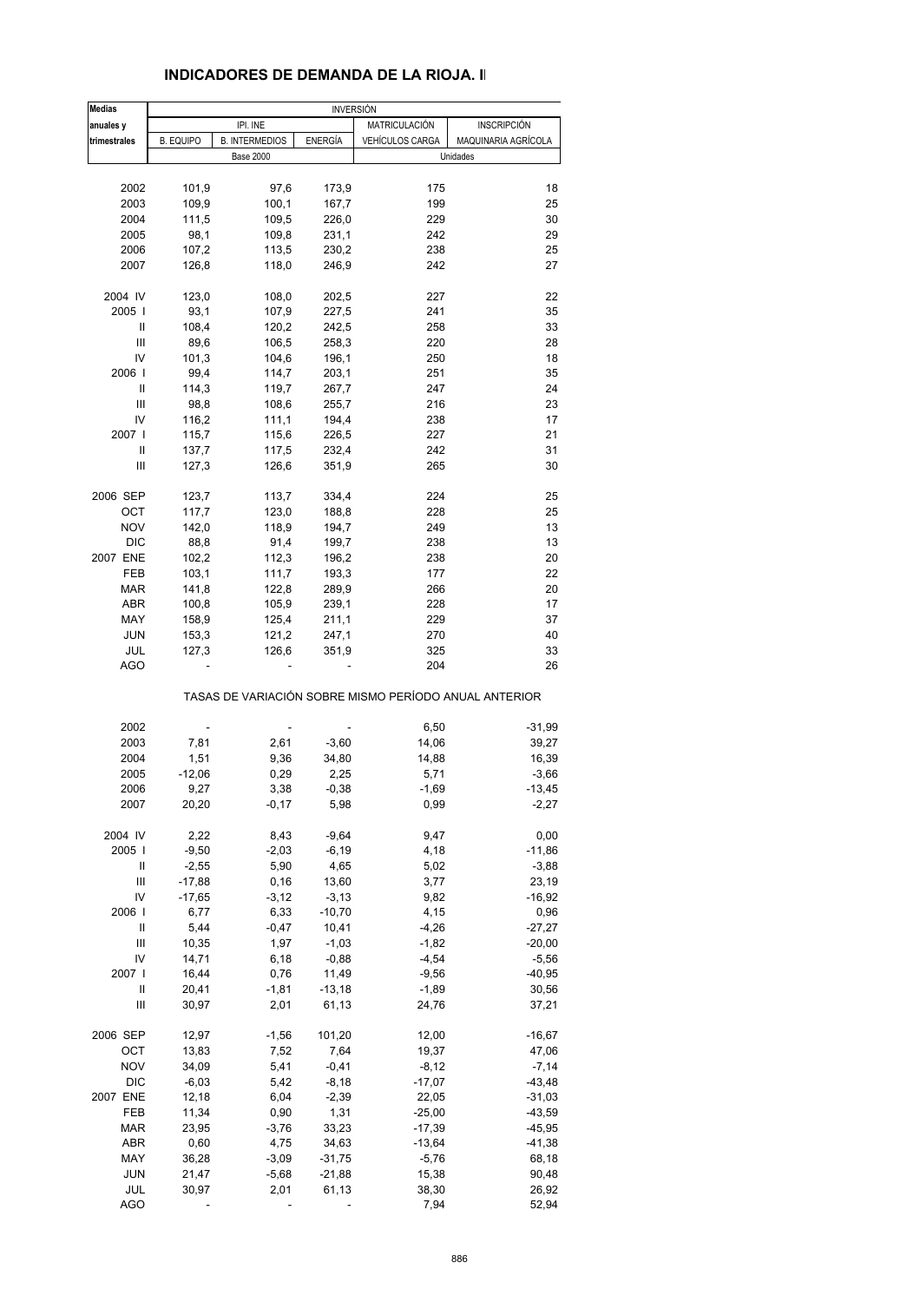| <b>Medias</b>    |                  |                       |          | <b>INVERSIÓN</b>       |                                                       |  |  |  |
|------------------|------------------|-----------------------|----------|------------------------|-------------------------------------------------------|--|--|--|
| anuales y        |                  | IPI. INE              |          | MATRICULACIÓN          | <b>INSCRIPCIÓN</b>                                    |  |  |  |
| trimestrales     | <b>B. EQUIPO</b> | <b>B. INTERMEDIOS</b> | ENERGÍA  | <b>VEHÍCULOS CARGA</b> | MAQUINARIA AGRÍCOLA                                   |  |  |  |
|                  |                  | <b>Base 2000</b>      |          |                        | Unidades                                              |  |  |  |
| 2002             | 101,9            | 97,6                  | 173,9    | 175                    | 18                                                    |  |  |  |
| 2003             | 109,9            | 100,1                 | 167,7    | 199                    | 25                                                    |  |  |  |
| 2004             | 111,5            | 109,5                 | 226,0    | 229                    | 30                                                    |  |  |  |
| 2005             | 98,1             | 109,8                 | 231,1    | 242                    | 29                                                    |  |  |  |
| 2006             | 107,2            | 113,5                 | 230,2    | 238                    | 25                                                    |  |  |  |
| 2007             | 126,8            | 118,0                 | 246,9    | 242                    | 27                                                    |  |  |  |
| 2004 IV          | 123,0            | 108,0                 | 202,5    | 227                    | 22                                                    |  |  |  |
| 2005             | 93,1             | 107,9                 | 227,5    | 241                    | 35                                                    |  |  |  |
| Ш                | 108,4            | 120,2                 | 242,5    | 258                    | 33                                                    |  |  |  |
| Ш                | 89,6             | 106,5                 | 258,3    | 220                    | 28                                                    |  |  |  |
| IV               | 101,3            | 104,6                 | 196,1    | 250                    | 18                                                    |  |  |  |
| 2006             | 99,4             | 114,7                 | 203,1    | 251                    | 35                                                    |  |  |  |
| Ш                | 114,3            | 119,7                 | 267,7    | 247                    | 24                                                    |  |  |  |
| Ш                | 98,8             | 108,6                 | 255,7    | 216                    | 23                                                    |  |  |  |
| IV               |                  |                       |          |                        | 17                                                    |  |  |  |
| 2007 l           | 116,2            | 111,1                 | 194,4    | 238                    | 21                                                    |  |  |  |
|                  | 115,7            | 115,6                 | 226,5    | 227                    |                                                       |  |  |  |
| Ш                | 137,7            | 117,5                 | 232,4    | 242                    | 31                                                    |  |  |  |
| Ш                | 127,3            | 126,6                 | 351,9    | 265                    | 30                                                    |  |  |  |
| 2006 SEP         | 123,7            | 113,7                 | 334,4    | 224                    | 25                                                    |  |  |  |
| OCT              | 117,7            | 123,0                 | 188,8    | 228                    | 25                                                    |  |  |  |
| <b>NOV</b>       | 142,0            | 118,9                 | 194,7    | 249                    | 13                                                    |  |  |  |
| DIC              | 88,8             | 91,4                  | 199,7    | 238                    | 13                                                    |  |  |  |
| 2007 ENE         | 102,2            | 112,3                 | 196,2    | 238                    | 20                                                    |  |  |  |
| FEB              | 103,1            | 111,7                 | 193,3    | 177                    | 22                                                    |  |  |  |
| <b>MAR</b>       | 141,8            | 122,8                 | 289,9    | 266                    | 20                                                    |  |  |  |
| <b>ABR</b>       | 100,8            | 105,9                 | 239,1    | 228                    | 17                                                    |  |  |  |
| MAY              | 158,9            | 125,4                 | 211,1    | 229                    | 37                                                    |  |  |  |
| <b>JUN</b>       | 153,3            | 121,2                 | 247,1    | 270                    | 40                                                    |  |  |  |
| JUL              | 127,3            | 126,6                 | 351,9    | 325                    | 33                                                    |  |  |  |
| <b>AGO</b>       |                  |                       |          | 204                    | 26                                                    |  |  |  |
|                  |                  |                       |          |                        | TASAS DE VARIACIÓN SOBRE MISMO PERÍODO ANUAL ANTERIOR |  |  |  |
|                  |                  |                       |          |                        |                                                       |  |  |  |
| 2002             |                  |                       |          | 6,50                   | $-31,99$                                              |  |  |  |
| 2003             | 7,81             | 2,61                  | $-3,60$  | 14,06                  | 39,27                                                 |  |  |  |
| 2004             | 1,51             | 9,36                  | 34,80    | 14,88                  | 16,39                                                 |  |  |  |
| 2005             | $-12,06$         | 0,29                  | 2,25     | 5,71                   | $-3,66$                                               |  |  |  |
| 2006             | 9,27             | 3,38                  | $-0,38$  | $-1,69$                | $-13,45$                                              |  |  |  |
| 2007             | 20,20            | $-0,17$               | 5,98     | 0,99                   | $-2,27$                                               |  |  |  |
| 2004 IV          | 2,22             | 8,43                  | $-9,64$  | 9,47                   | 0,00                                                  |  |  |  |
| 2005             | $-9,50$          | $-2,03$               | $-6,19$  | 4,18                   | $-11,86$                                              |  |  |  |
| Ш                | $-2,55$          | 5,90                  | 4,65     | 5,02                   | $-3,88$                                               |  |  |  |
| $\mathsf{III}\,$ | $-17,88$         | 0, 16                 | 13,60    | 3,77                   | 23,19                                                 |  |  |  |
| IV               | $-17,65$         | $-3,12$               | $-3,13$  | 9,82                   | $-16,92$                                              |  |  |  |
| 2006             | 6,77             | 6,33                  | $-10,70$ | 4,15                   | 0,96                                                  |  |  |  |
| Ш                | 5,44             | $-0,47$               | 10,41    | $-4,26$                | $-27,27$                                              |  |  |  |
| $\mathsf{III}\,$ | 10,35            | 1,97                  | $-1,03$  | $-1,82$                | $-20,00$                                              |  |  |  |
| IV               | 14,71            | 6,18                  | $-0,88$  | $-4,54$                | $-5,56$                                               |  |  |  |
| 2007 l           | 16,44            | 0,76                  | 11,49    | $-9,56$                | $-40,95$                                              |  |  |  |
| Ш                | 20,41            | $-1,81$               | $-13,18$ | $-1,89$                | 30,56                                                 |  |  |  |
| Ш                | 30,97            | 2,01                  | 61,13    | 24,76                  | 37,21                                                 |  |  |  |
| 2006 SEP         | 12,97            | $-1,56$               | 101,20   | 12,00                  | $-16,67$                                              |  |  |  |
| ОСТ              | 13,83            | 7,52                  | 7,64     | 19,37                  | 47,06                                                 |  |  |  |
| <b>NOV</b>       | 34,09            | 5,41                  | $-0,41$  | $-8,12$                | $-7,14$                                               |  |  |  |
| DIC              | $-6,03$          | 5,42                  | $-8,18$  | $-17,07$               | $-43,48$                                              |  |  |  |
| 2007 ENE         | 12,18            | 6,04                  | $-2,39$  | 22,05                  | $-31,03$                                              |  |  |  |
|                  | 11,34            |                       | 1,31     |                        |                                                       |  |  |  |
| FEB              |                  | 0,90                  |          | $-25,00$               | -43,59                                                |  |  |  |
| <b>MAR</b>       | 23,95            | $-3,76$               | 33,23    | $-17,39$               | $-45,95$                                              |  |  |  |
| ABR              | 0,60             | 4,75                  | 34,63    | $-13,64$               | $-41,38$                                              |  |  |  |
| MAY              | 36,28            | $-3,09$               | $-31,75$ | $-5,76$                | 68,18                                                 |  |  |  |
| <b>JUN</b>       | 21,47            | $-5,68$               | $-21,88$ | 15,38                  | 90,48                                                 |  |  |  |

 JUL 30,97 2,01 61,13 38,30 26,92 AGO - - - - - 7,94 52,94

### **INDICADORES DE DEMANDA DE LA RIOJA. II**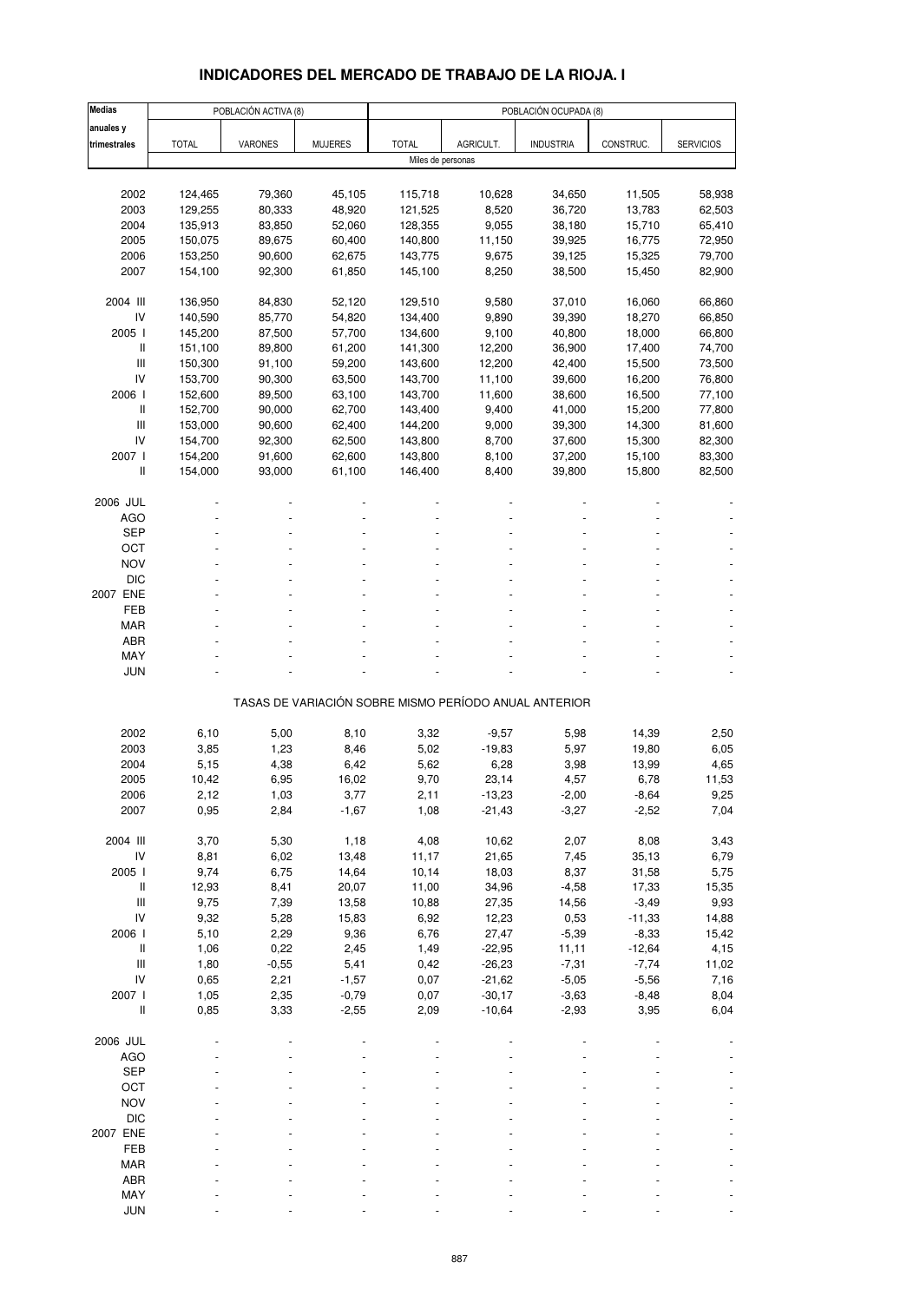# **INDICADORES DEL MERCADO DE TRABAJO DE LA RIOJA. I**

| Medias                                                                    |              | POBLACIÓN ACTIVA (8) |                |                   |           | POBLACIÓN OCUPADA (8)                                 |           |                  |
|---------------------------------------------------------------------------|--------------|----------------------|----------------|-------------------|-----------|-------------------------------------------------------|-----------|------------------|
| anuales y                                                                 |              |                      |                |                   |           |                                                       |           |                  |
| trimestrales                                                              | <b>TOTAL</b> | VARONES              | <b>MUJERES</b> | <b>TOTAL</b>      | AGRICULT. | <b>INDUSTRIA</b>                                      | CONSTRUC. | <b>SERVICIOS</b> |
|                                                                           |              |                      |                | Miles de personas |           |                                                       |           |                  |
|                                                                           |              |                      |                |                   |           |                                                       |           |                  |
| 2002                                                                      | 124,465      | 79,360               | 45,105         | 115,718           | 10,628    | 34,650                                                | 11,505    | 58,938           |
| 2003                                                                      | 129,255      | 80,333               | 48,920         | 121,525           | 8,520     | 36,720                                                | 13,783    | 62,503           |
| 2004                                                                      | 135,913      | 83,850               | 52,060         | 128,355           | 9,055     | 38,180                                                | 15,710    | 65,410           |
| 2005                                                                      | 150,075      | 89,675               | 60,400         | 140,800           | 11,150    | 39,925                                                | 16,775    | 72,950           |
| 2006                                                                      | 153,250      | 90,600               | 62,675         | 143,775           | 9,675     | 39,125                                                | 15,325    | 79,700           |
|                                                                           |              |                      |                |                   |           |                                                       |           |                  |
| 2007                                                                      | 154,100      | 92,300               | 61,850         | 145,100           | 8,250     | 38,500                                                | 15,450    | 82,900           |
| 2004 III                                                                  | 136,950      | 84,830               | 52,120         | 129,510           | 9,580     | 37,010                                                | 16,060    | 66,860           |
| IV                                                                        | 140,590      | 85,770               | 54,820         | 134,400           | 9,890     | 39,390                                                | 18,270    | 66,850           |
| 2005 l                                                                    |              | 87,500               | 57,700         | 134,600           |           |                                                       | 18,000    | 66,800           |
|                                                                           | 145,200      |                      |                |                   | 9,100     | 40,800                                                |           |                  |
| Ш                                                                         | 151,100      | 89,800               | 61,200         | 141,300           | 12,200    | 36,900                                                | 17,400    | 74,700           |
| $\ensuremath{\mathsf{III}}\xspace$                                        | 150,300      | 91,100               | 59,200         | 143,600           | 12,200    | 42,400                                                | 15,500    | 73,500           |
| IV                                                                        | 153,700      | 90,300               | 63,500         | 143,700           | 11,100    | 39,600                                                | 16,200    | 76,800           |
| 2006 l                                                                    | 152,600      | 89,500               | 63,100         | 143,700           | 11,600    | 38,600                                                | 16,500    | 77,100           |
| $\label{eq:1} \prod_{i=1}^n \left\{ \prod_{i=1}^n \frac{1}{n_i} \right\}$ | 152,700      | 90,000               | 62,700         | 143,400           | 9,400     | 41,000                                                | 15,200    | 77,800           |
| $\ensuremath{\mathsf{III}}\xspace$                                        | 153,000      | 90,600               | 62,400         | 144,200           | 9,000     | 39,300                                                | 14,300    | 81,600           |
| IV                                                                        | 154,700      | 92,300               | 62,500         | 143,800           | 8,700     | 37,600                                                | 15,300    | 82,300           |
| 2007 l                                                                    | 154,200      | 91,600               | 62,600         | 143,800           | 8,100     | 37,200                                                | 15,100    | 83,300           |
| Ш                                                                         | 154,000      | 93,000               | 61,100         | 146,400           | 8,400     | 39,800                                                | 15,800    | 82,500           |
|                                                                           |              |                      |                |                   |           |                                                       |           |                  |
| 2006 JUL                                                                  |              |                      |                |                   |           |                                                       |           |                  |
| <b>AGO</b>                                                                |              |                      |                |                   |           |                                                       |           |                  |
| <b>SEP</b>                                                                |              |                      |                |                   |           |                                                       |           |                  |
| OCT                                                                       |              |                      |                |                   |           |                                                       |           |                  |
| <b>NOV</b>                                                                |              |                      |                |                   |           |                                                       |           |                  |
| <b>DIC</b>                                                                |              |                      |                |                   |           |                                                       |           |                  |
| 2007 ENE                                                                  |              |                      |                |                   |           |                                                       |           |                  |
|                                                                           |              |                      |                |                   |           |                                                       |           |                  |
| FEB                                                                       |              |                      |                |                   |           |                                                       |           |                  |
| <b>MAR</b>                                                                |              |                      |                |                   |           |                                                       |           |                  |
| ABR                                                                       |              |                      |                |                   |           |                                                       |           |                  |
| MAY                                                                       |              |                      |                |                   |           |                                                       |           |                  |
| JUN                                                                       |              |                      |                |                   |           |                                                       |           |                  |
|                                                                           |              |                      |                |                   |           | TASAS DE VARIACIÓN SOBRE MISMO PERÍODO ANUAL ANTERIOR |           |                  |
|                                                                           |              |                      |                |                   |           |                                                       |           |                  |
| 2002                                                                      | 6,10         | 5,00                 | 8,10           | 3,32              | $-9,57$   | 5,98                                                  | 14,39     | 2,50             |
| 2003                                                                      | 3,85         | 1,23                 | 8,46           | 5,02              | $-19,83$  | 5,97                                                  | 19,80     | 6,05             |
| 2004                                                                      | 5,15         | 4,38                 | 6,42           | 5,62              | 6,28      | 3,98                                                  | 13,99     | 4,65             |
| 2005                                                                      | 10,42        | 6,95                 | 16,02          | 9,70              | 23,14     | 4,57                                                  | 6,78      | 11,53            |
| 2006                                                                      | 2,12         | 1,03                 | 3,77           | 2,11              | $-13,23$  | $-2,00$                                               | -8,64     | 9,25             |
| 2007                                                                      | 0,95         | 2,84                 | $-1,67$        | 1,08              | $-21,43$  | $-3,27$                                               | $-2,52$   | 7,04             |
|                                                                           |              |                      |                |                   |           |                                                       |           |                  |
| 2004 III                                                                  | 3,70         | 5,30                 | 1,18           | 4,08              | 10,62     | 2,07                                                  | 8,08      | 3,43             |
| IV                                                                        | 8,81         | 6,02                 | 13,48          | 11,17             | 21,65     | 7,45                                                  | 35, 13    | 6,79             |
| 2005 l                                                                    | 9,74         | 6,75                 | 14,64          | 10,14             | 18,03     | 8,37                                                  | 31,58     | 5,75             |
| $\, \parallel$                                                            | 12,93        | 8,41                 | 20,07          | 11,00             | 34,96     | $-4,58$                                               | 17,33     | 15,35            |
| $\ensuremath{\mathsf{III}}\xspace$                                        | 9,75         | 7,39                 | 13,58          | 10,88             | 27,35     | 14,56                                                 | $-3,49$   | 9,93             |
| IV                                                                        | 9,32         | 5,28                 | 15,83          | 6,92              | 12,23     | 0,53                                                  | $-11,33$  | 14,88            |
| 2006 l                                                                    | 5,10         | 2,29                 | 9,36           | 6,76              | 27,47     | $-5,39$                                               | $-8,33$   | 15,42            |
| $\, \parallel$                                                            | 1,06         | 0,22                 | 2,45           | 1,49              | $-22,95$  | 11,11                                                 | $-12,64$  | 4,15             |
|                                                                           |              |                      |                |                   | $-26,23$  |                                                       |           |                  |
| $\mathsf{III}$                                                            | 1,80         | $-0,55$              | 5,41           | 0,42              |           | $-7,31$                                               | $-7,74$   | 11,02            |
| IV                                                                        | 0,65         | 2,21                 | $-1,57$        | 0,07              | $-21,62$  | $-5,05$                                               | $-5,56$   | 7,16             |
| 2007 l                                                                    | 1,05         | 2,35                 | $-0,79$        | 0,07              | $-30,17$  | $-3,63$                                               | $-8,48$   | 8,04             |
| Ш                                                                         | 0,85         | 3,33                 | $-2,55$        | 2,09              | $-10,64$  | $-2,93$                                               | 3,95      | 6,04             |
|                                                                           |              |                      |                |                   |           |                                                       |           |                  |
| 2006 JUL                                                                  |              |                      |                |                   |           |                                                       |           |                  |
| <b>AGO</b>                                                                |              |                      |                |                   |           |                                                       |           |                  |
| <b>SEP</b>                                                                |              |                      |                |                   |           |                                                       |           |                  |
| OCT                                                                       |              |                      |                |                   |           |                                                       |           |                  |
| <b>NOV</b>                                                                |              |                      |                |                   |           |                                                       |           |                  |
| <b>DIC</b>                                                                |              |                      |                |                   |           |                                                       |           |                  |
| 2007 ENE                                                                  |              |                      |                |                   |           |                                                       |           |                  |
| FEB                                                                       |              |                      |                |                   |           |                                                       |           |                  |
|                                                                           |              |                      |                |                   |           |                                                       |           |                  |
| <b>MAR</b>                                                                |              |                      |                |                   |           |                                                       |           |                  |
| ABR                                                                       |              |                      |                |                   |           |                                                       |           |                  |
| MAY                                                                       |              |                      |                |                   |           |                                                       |           |                  |
| <b>JUN</b>                                                                |              |                      |                |                   |           |                                                       |           |                  |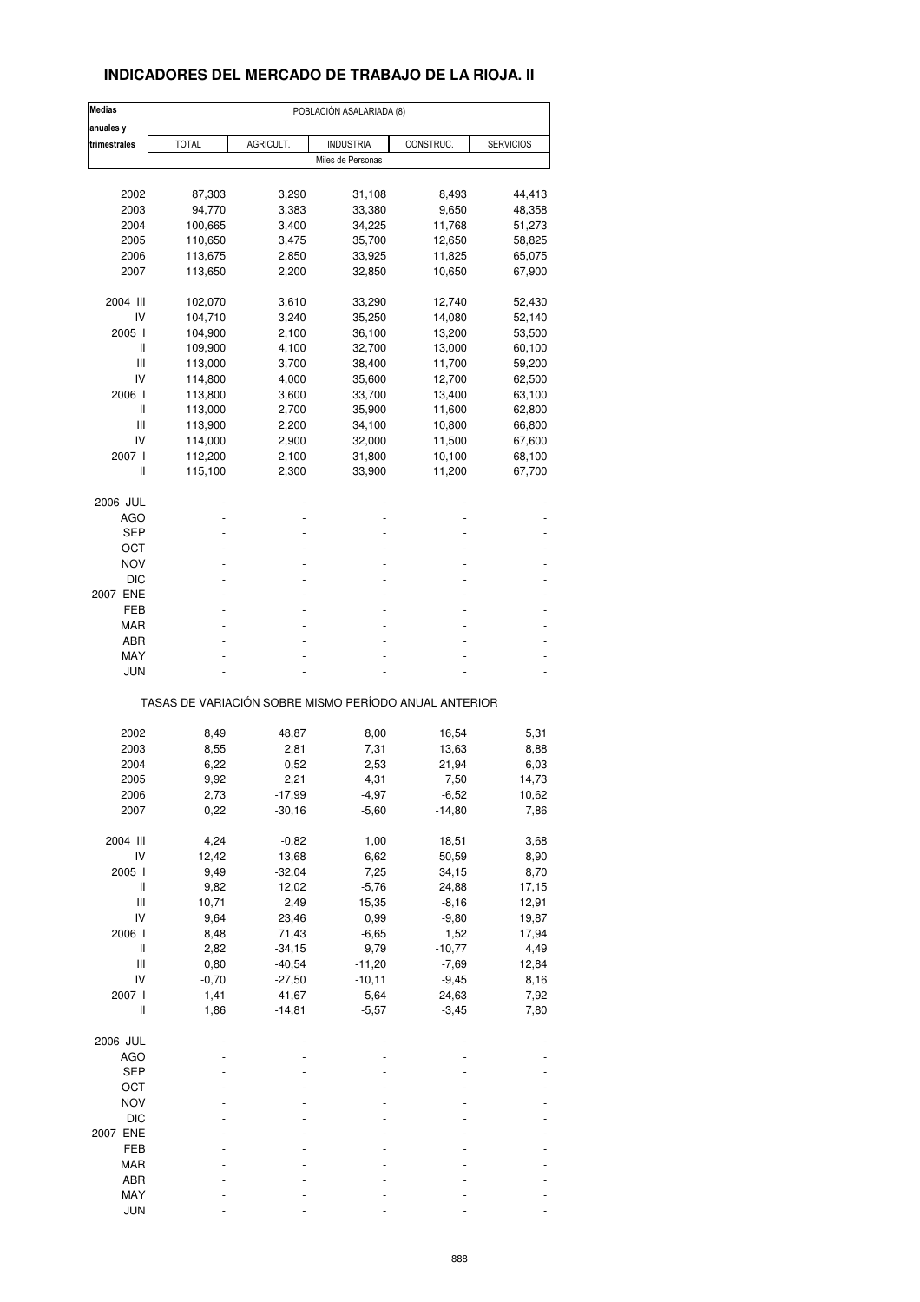## **INDICADORES DEL MERCADO DE TRABAJO DE LA RIOJA. II**

| <b>Medias</b>                      | POBLACIÓN ASALARIADA (8)                              |           |                   |           |                  |  |  |
|------------------------------------|-------------------------------------------------------|-----------|-------------------|-----------|------------------|--|--|
| anuales y                          |                                                       |           |                   |           |                  |  |  |
| trimestrales                       | <b>TOTAL</b>                                          | AGRICULT. | <b>INDUSTRIA</b>  | CONSTRUC. | <b>SERVICIOS</b> |  |  |
|                                    |                                                       |           | Miles de Personas |           |                  |  |  |
|                                    |                                                       |           |                   |           |                  |  |  |
| 2002                               | 87,303                                                | 3,290     | 31,108            | 8,493     | 44,413           |  |  |
| 2003                               | 94,770                                                | 3,383     | 33,380            | 9,650     | 48,358           |  |  |
| 2004                               | 100,665                                               | 3,400     | 34,225            | 11,768    | 51,273           |  |  |
| 2005                               | 110,650                                               | 3,475     | 35,700            | 12,650    | 58,825           |  |  |
| 2006                               | 113,675                                               | 2,850     | 33,925            | 11,825    | 65,075           |  |  |
| 2007                               | 113,650                                               | 2,200     | 32,850            | 10,650    | 67,900           |  |  |
| 2004 III                           | 102,070                                               | 3,610     | 33,290            | 12,740    | 52,430           |  |  |
| IV                                 | 104,710                                               | 3,240     | 35,250            | 14,080    | 52,140           |  |  |
| 2005 l                             | 104,900                                               | 2,100     | 36,100            | 13,200    | 53,500           |  |  |
| Ш                                  | 109,900                                               | 4,100     | 32,700            | 13,000    | 60,100           |  |  |
| Ш                                  | 113,000                                               | 3,700     | 38,400            | 11,700    | 59,200           |  |  |
| IV                                 | 114,800                                               | 4,000     | 35,600            | 12,700    | 62,500           |  |  |
| 2006                               | 113,800                                               | 3,600     | 33,700            | 13,400    | 63,100           |  |  |
| Ш                                  | 113,000                                               | 2,700     | 35,900            | 11,600    | 62,800           |  |  |
| Ш                                  | 113,900                                               | 2,200     | 34,100            | 10,800    | 66,800           |  |  |
| IV                                 |                                                       |           | 32,000            |           |                  |  |  |
| 2007 l                             | 114,000                                               | 2,900     |                   | 11,500    | 67,600           |  |  |
| Ш                                  | 112,200                                               | 2,100     | 31,800            | 10,100    | 68,100           |  |  |
|                                    | 115,100                                               | 2,300     | 33,900            | 11,200    | 67,700           |  |  |
| 2006 JUL                           |                                                       |           |                   |           |                  |  |  |
| <b>AGO</b>                         |                                                       |           |                   |           |                  |  |  |
| SEP                                |                                                       |           |                   |           |                  |  |  |
| ост                                |                                                       |           |                   |           |                  |  |  |
| <b>NOV</b>                         |                                                       |           |                   |           |                  |  |  |
| DIC                                |                                                       |           |                   |           |                  |  |  |
| 2007 ENE                           |                                                       |           |                   |           |                  |  |  |
| FEB                                |                                                       |           |                   |           |                  |  |  |
| MAR                                |                                                       |           |                   |           |                  |  |  |
| ABR                                |                                                       |           |                   |           |                  |  |  |
| <b>MAY</b>                         |                                                       |           |                   |           |                  |  |  |
| JUN                                |                                                       |           |                   |           |                  |  |  |
|                                    |                                                       |           |                   |           |                  |  |  |
|                                    | TASAS DE VARIACIÓN SOBRE MISMO PERÍODO ANUAL ANTERIOR |           |                   |           |                  |  |  |
| 2002                               | 8,49                                                  | 48,87     | 8,00              | 16,54     | 5,31             |  |  |
| 2003                               | 8,55                                                  | 2,81      | 7,31              | 13,63     | 8,88             |  |  |
| 2004                               | 6,22                                                  | 0,52      | 2,53              | 21,94     | 6,03             |  |  |
|                                    |                                                       |           |                   |           |                  |  |  |
| 2005                               | 9,92                                                  | 2,21      | 4,31              | 7,50      | 14,73            |  |  |
| 2006                               | 2,73                                                  | -17,99    | -4,97             | $-6,52$   | 10,62            |  |  |
| 2007                               | 0,22                                                  | $-30,16$  | $-5,60$           | $-14,80$  | 7,86             |  |  |
| 2004 III                           | 4,24                                                  | $-0,82$   | 1,00              | 18,51     | 3,68             |  |  |
| IV                                 | 12,42                                                 | 13,68     | 6,62              | 50,59     | 8,90             |  |  |
| 2005 l                             | 9,49                                                  | $-32,04$  | 7,25              | 34,15     | 8,70             |  |  |
| Ш                                  | 9,82                                                  | 12,02     | $-5,76$           | 24,88     | 17,15            |  |  |
| Ш                                  | 10,71                                                 | 2,49      | 15,35             | $-8,16$   | 12,91            |  |  |
| IV                                 | 9,64                                                  | 23,46     | 0,99              | $-9,80$   | 19,87            |  |  |
| 2006 l                             | 8,48                                                  | 71,43     | $-6,65$           | 1,52      | 17,94            |  |  |
| Ш                                  | 2,82                                                  | $-34,15$  | 9,79              | $-10,77$  | 4,49             |  |  |
| $\ensuremath{\mathsf{III}}\xspace$ | 0,80                                                  | $-40,54$  | $-11,20$          | $-7,69$   | 12,84            |  |  |
| IV                                 | $-0,70$                                               | $-27,50$  | $-10,11$          | $-9,45$   | 8,16             |  |  |
| 2007 l                             | $-1,41$                                               | $-41,67$  | $-5,64$           | $-24,63$  | 7,92             |  |  |
| Ш                                  | 1,86                                                  | $-14,81$  | $-5,57$           | $-3,45$   | 7,80             |  |  |
|                                    |                                                       |           |                   |           |                  |  |  |
| 2006 JUL                           |                                                       |           |                   |           |                  |  |  |
| AGO                                |                                                       |           |                   |           |                  |  |  |
| <b>SEP</b>                         |                                                       |           |                   |           |                  |  |  |
| OCT                                |                                                       |           |                   |           |                  |  |  |
| <b>NOV</b>                         |                                                       |           |                   |           |                  |  |  |
| <b>DIC</b>                         |                                                       |           |                   |           |                  |  |  |
| 2007 ENE                           |                                                       |           |                   |           |                  |  |  |
| FEB                                |                                                       |           |                   |           |                  |  |  |
| MAR                                |                                                       |           |                   |           |                  |  |  |
| ABR                                |                                                       |           |                   |           |                  |  |  |
| MAY                                |                                                       |           |                   |           |                  |  |  |
| <b>JUN</b>                         |                                                       |           |                   |           |                  |  |  |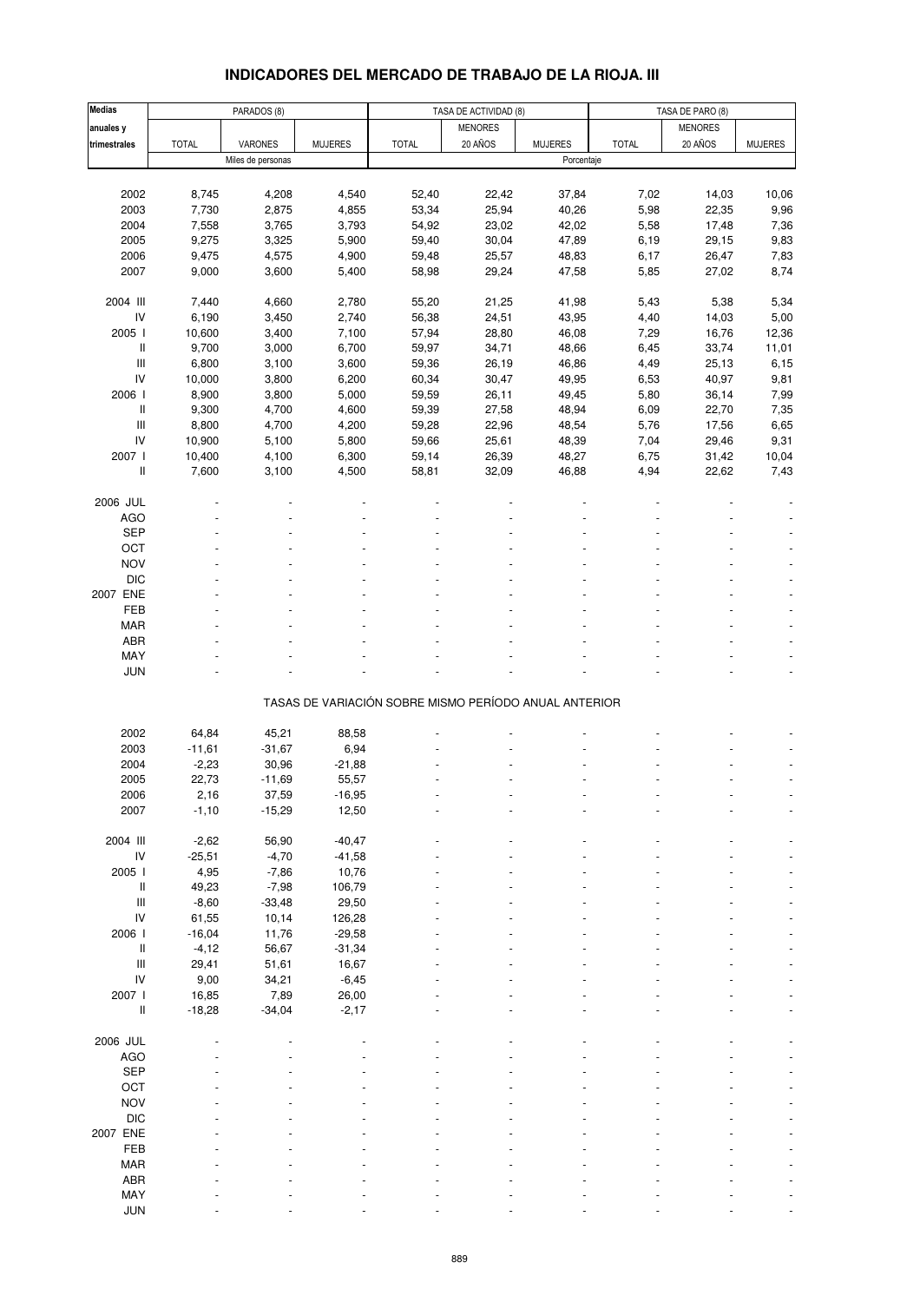#### Medias | PARADOS (8) TASA DE ACTIVIDAD (8) TASA DE PARO (8) TASA DE PARO (8) anuales y website that the second contract of the second of the MENORES (which is a second of the second of th trimestrales | TOTAL | VARONES | MUJERES | TOTAL | 20 AÑOS | MUJERES | TOTAL | 20 AÑOS | MUJERES Miles de personas Porcentaje 2002 8,745 4,208 4,540 52,40 22,42 37,84 7,02 14,03 10,06 2003 7,730 2,875 4,855 53,34 25,94 40,26 5,98 22,35 9,96 2004 7,558 3,765 3,793 54,92 23,02 42,02 5,58 17,48 7,36 2005 9,275 3,325 5,900 59,40 30,04 47,89 6,19 29,15 9,83 2006 9,475 4,575 4,900 59,48 25,57 48,83 6,17 26,47 7,83 2007 9,000 3,600 5,400 58,98 29,24 47,58 5,85 27,02 8,74 2004 III 7,440 4,660 2,780 55,20 21,25 41,98 5,43 5,38 5,34 IV 6,190 3,450 2,740 56,38 24,51 43,95 4,40 14,03 5,00 2005 I 10,600 3,400 7,100 57,94 28,80 46,08 7,29 16,76 12,36 II 9,700 3,000 6,700 59,97 34,71 48,66 6,45 33,74 11,01 III 6,800 3,100 3,600 59,36 26,19 46,86 4,49 25,13 6,15 IV 10,000 3,800 6,200 60,34 30,47 49,95 6,53 40,97 9,81 2006 I 8,900 3,800 5,000 59,59 26,11 49,45 5,80 36,14 7,99 II 9,300 4,700 4,600 59,39 27,58 48,94 6,09 22,70 7,35 III 8,800 4,700 4,200 59,28 22,96 48,54 5,76 17,56 6,65 IV 10,900 5,100 5,800 59,66 25,61 48,39 7,04 29,46 9,31 2007 I 10,400 4,100 6,300 59,14 26,39 48,27 6,75 31,42 10,04 II 7,600 3,100 4,500 58,81 32,09 46,88 4,94 22,62 7,43 2006 JUL - - - - - - - - -  $\overline{A}\overline{G}O$  . The set of the set of the set of the set of the set of the set of the set of the set of the set of the set of the set of the set of the set of the set of the set of the set of the set of the set of the se  $\begin{array}{lllllllllllll} \text{SEP} & \text{~~} & \text{~~} & \text{~~} & \text{~~} & \text{~~} & \text{~~} & \text{~~} & \text{~~} & \text{~~} & \text{~~} & \text{~~} & \text{~~} & \text{~~} & \text{~~} & \text{~~} & \text{~~} & \text{~~} & \text{~~} & \text{~~} & \text{~~} & \text{~~} & \text{~~} & \text{~~} \end{array}$ OCT is a set of the set of the set of the set of the set of the set of the set of the set of the set of the set  $NOV$  , and the set of the set of the set of the set of the set of the set of the set of the set of the set of the set of the set of the set of the set of the set of the set of the set of the set of the set of the set of t DIC  $\qquad \qquad -$  -  $\qquad \qquad -$  -  $\qquad \qquad -$  -  $\qquad \qquad -$  -  $\qquad \qquad -$  -  $\qquad \qquad -$  -  $\qquad \qquad -$ 2007 ENE - - - - - - - - - FEB - - - - - - - - - MAR - - - - - - - - -  $ABR$  . The set of the set of the set of the set of the set of the set of the set of the set of the set of the set of the set of the set of the set of the set of the set of the set of the set of the set of the set of the s  $\textsf{MAY}$  . The set of the set of the set of the set of the set of the set of the set of the set of the set of the set of the set of the set of the set of the set of the set of the set of the set of the set of the set of JUN  $\qquad \qquad \bullet$  -  $\qquad \bullet$  -  $\qquad \bullet$  -  $\qquad \bullet$  -  $\qquad \bullet$  -  $\qquad \bullet$  -  $\qquad \bullet$  -  $\qquad \bullet$  -  $\qquad \bullet$ TASAS DE VARIACIÓN SOBRE MISMO PERÍODO ANUAL ANTERIOR 2002 64,84 45,21 88,58 - - - - - - 2003 -11,61 -31,67 6,94 - - - - - - 2004 -2,23 30,96 -21,88 - - - - - - 2005 22,73 -11,69 55,57 - - - - - - 2006 2,16 37,59 -16,95 - - - - - - 2007 -1,10 -15,29 12,50 - - - - - - 2004 III -2,62 56,90 -40,47 - - - - - - IV -25,51 -4,70 -41,58 - - - - - - 2005 I 4,95 -7,86 10,76 - - - - - - II 49,23 -7,98 106,79 - - - - - - III -8,60 -33,48 29,50 - - - - - - IV 61,55 10,14 126,28 - - - - - - 2006 I -16,04 11,76 -29,58 - - - - - - II -4,12 56,67 -31,34 - - - - - -  $III$  29,41 51,61 16,67 - - - - - - - - - - - IV 9,00 34,21 -6,45 - - - - - - 2007 I 16,85 7,89 26,00 - - - - - - II -18,28 -34,04 -2,17 - - - - - - 2006 JUL - - - - - - - - -  $\overline{A}\overline{G}O$  . The set of the set of the set of the set of the set of the set of the set of the set of the set of the set of the set of the set of the set of the set of the set of the set of the set of the set of the se  $\begin{array}{lllllllllll} \text{SEP} & \text{~~} & \text{~~} & \text{~~} & \text{~~} & \text{~~} & \text{~~} & \text{~~} & \text{~~} & \text{~~} & \text{~~} & \text{~~} & \text{~~} & \text{~~} & \text{~~} & \text{~~} & \text{~~} & \text{~~} & \text{~~} & \text{~~} & \text{~~} & \text{~~} & \text{~~} & \text{~~} \end{array}$ OCT is a set of the set of the set of the set of the set of the set of the set of the set of the set of the set  $NOV$  , and the set of the set of the set of the set of the set of the set of the set of the set of the set of the set of the set of the set of the set of the set of the set of the set of the set of the set of the set of t DIC  $\qquad \qquad -$  -  $\qquad \qquad -$  -  $\qquad \qquad -$  -  $\qquad \qquad -$  -  $\qquad \qquad -$  -  $\qquad \qquad -$  -  $\qquad \qquad -$ 2007 ENE - - - - - - - - - FEB - - - - - - - - - MAR - - - - - - - - - ABR - - - - - - - - -  $\textsf{MAY}$  . The set of the set of the set of the set of the set of the set of the set of the set of the set of the set of the set of the set of the set of the set of the set of the set of the set of the set of the set of

### **INDICADORES DEL MERCADO DE TRABAJO DE LA RIOJA. III**

JUN  $\qquad \qquad \bullet$  -  $\qquad \bullet$  -  $\qquad \bullet$  -  $\qquad \bullet$  -  $\qquad \bullet$  -  $\qquad \bullet$  -  $\qquad \bullet$  -  $\qquad \bullet$  -  $\qquad \bullet$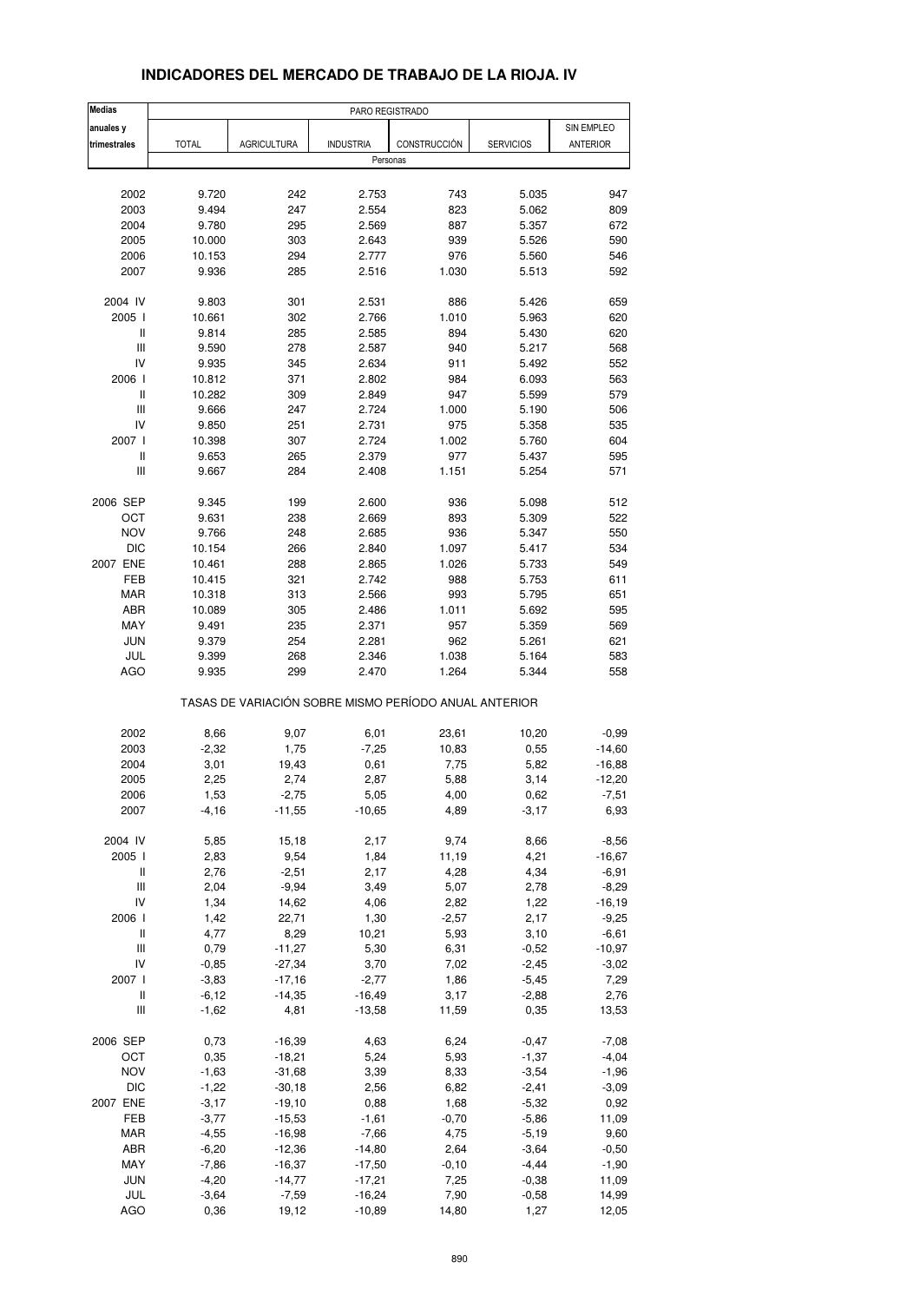| <b>Medias</b>                      |              |                                                       | PARO REGISTRADO  |              |                  |               |
|------------------------------------|--------------|-------------------------------------------------------|------------------|--------------|------------------|---------------|
| anuales y                          |              |                                                       |                  |              |                  | SIN EMPLEO    |
| trimestrales                       | <b>TOTAL</b> | <b>AGRICULTURA</b>                                    | <b>INDUSTRIA</b> | CONSTRUCCIÓN | <b>SERVICIOS</b> | ANTERIOR      |
|                                    |              |                                                       | Personas         |              |                  |               |
|                                    |              |                                                       |                  |              |                  |               |
| 2002                               | 9.720        | 242                                                   | 2.753            | 743          | 5.035            | 947           |
| 2003                               | 9.494        | 247                                                   | 2.554            | 823          | 5.062            | 809           |
| 2004                               | 9.780        | 295                                                   | 2.569            | 887          | 5.357            | 672           |
| 2005                               | 10.000       | 303                                                   | 2.643            | 939          | 5.526            | 590           |
| 2006                               | 10.153       | 294                                                   | 2.777            | 976          | 5.560            | 546           |
| 2007                               | 9.936        | 285                                                   | 2.516            | 1.030        | 5.513            | 592           |
|                                    |              |                                                       |                  |              |                  |               |
| 2004 IV                            | 9.803        | 301                                                   | 2.531            | 886          | 5.426            | 659           |
| 2005 l                             | 10.661       | 302                                                   | 2.766            | 1.010        | 5.963            | 620           |
| Ш                                  | 9.814        | 285                                                   | 2.585            | 894          | 5.430            | 620           |
| $\ensuremath{\mathsf{III}}\xspace$ | 9.590        | 278                                                   | 2.587            | 940          | 5.217            | 568           |
| IV                                 | 9.935        | 345                                                   | 2.634            | 911          | 5.492            | 552           |
| 2006                               | 10.812       | 371                                                   | 2.802            | 984          | 6.093            | 563           |
| Ш                                  | 10.282       | 309                                                   | 2.849            | 947          | 5.599            | 579           |
| Ш                                  | 9.666        | 247                                                   | 2.724            | 1.000        | 5.190            | 506           |
| IV                                 | 9.850        | 251                                                   | 2.731            | 975          | 5.358            | 535           |
| 2007 l                             | 10.398       | 307                                                   | 2.724            | 1.002        | 5.760            | 604           |
| Ш                                  | 9.653        | 265                                                   | 2.379            | 977          | 5.437            | 595           |
| Ш                                  | 9.667        | 284                                                   | 2.408            | 1.151        | 5.254            | 571           |
|                                    |              |                                                       |                  |              |                  |               |
| 2006 SEP                           | 9.345        | 199                                                   | 2.600            | 936          | 5.098            | 512           |
| ОСТ                                | 9.631        | 238                                                   | 2.669            | 893          | 5.309            | 522           |
| <b>NOV</b>                         | 9.766        | 248                                                   | 2.685            | 936          | 5.347            | 550           |
| <b>DIC</b>                         | 10.154       | 266                                                   | 2.840            | 1.097        | 5.417            | 534           |
| 2007 ENE                           | 10.461       | 288                                                   | 2.865            | 1.026        | 5.733            | 549           |
| FEB                                | 10.415       | 321                                                   | 2.742            | 988          | 5.753            | 611           |
| MAR                                | 10.318       | 313                                                   | 2.566            | 993          | 5.795            | 651           |
| ABR                                | 10.089       | 305                                                   | 2.486            | 1.011        | 5.692            | 595           |
| MAY                                | 9.491        | 235                                                   | 2.371            | 957          | 5.359            | 569           |
| <b>JUN</b>                         | 9.379        | 254                                                   | 2.281            | 962          | 5.261            | 621           |
| JUL                                | 9.399        | 268                                                   | 2.346            | 1.038        | 5.164            | 583           |
| <b>AGO</b>                         | 9.935        | 299                                                   | 2.470            | 1.264        | 5.344            | 558           |
|                                    |              | TASAS DE VARIACIÓN SOBRE MISMO PERÍODO ANUAL ANTERIOR |                  |              |                  |               |
|                                    |              |                                                       |                  |              |                  |               |
| 2002                               | 8,66         | 9,07                                                  | 6,01             | 23,61        | 10,20            | $-0,99$       |
| 2003                               | $-2,32$      | 1,75                                                  | $-7,25$          | 10,83        | 0,55             | $-14,60$      |
| 2004                               | 3,01         | 19,43                                                 | 0,61             | 7,75         | 5,82             | $-16,88$      |
| 2005                               | 2,25         | 2,74                                                  | 2,87             | 5,88         | 3,14             | $-12,20$      |
| 2006                               | 1,53         | $-2,75$                                               | 5,05             | 4,00         | 0,62             | -7,51         |
| 2007                               | $-4, 16$     | $-11,55$                                              | $-10,65$         | 4,89         | $-3, 17$         | 6,93          |
| 2004 IV                            | 5,85         | 15,18                                                 | 2,17             | 9,74         | 8,66             | $-8,56$       |
| 2005 l                             | 2,83         | 9,54                                                  | 1,84             | 11,19        | 4,21             | $-16,67$      |
| $\mathop{  }$                      | 2,76         | $-2,51$                                               | 2,17             | 4,28         | 4,34             | $-6,91$       |
| $\ensuremath{\mathsf{III}}\xspace$ | 2,04         | $-9,94$                                               | 3,49             | 5,07         | 2,78             | $-8,29$       |
| IV                                 | 1,34         | 14,62                                                 | 4,06             | 2,82         | 1,22             | $-16, 19$     |
| 2006 l                             | 1,42         | 22,71                                                 | 1,30             | $-2,57$      | 2,17             | $-9,25$       |
| $\sf II$                           | 4,77         | 8,29                                                  | 10,21            | 5,93         | 3,10             | $-6,61$       |
| Ш                                  | 0,79         | $-11,27$                                              | 5,30             | 6,31         | $-0,52$          | $-10,97$      |
| IV                                 | $-0,85$      | $-27,34$                                              | 3,70             | 7,02         | $-2,45$          | $-3,02$       |
| 2007 l                             | $-3,83$      | $-17,16$                                              | $-2,77$          | 1,86         | $-5,45$          | 7,29          |
| Ш                                  | $-6, 12$     | $-14,35$                                              | $-16,49$         | 3,17         |                  |               |
| Ш                                  | $-1,62$      | 4,81                                                  | $-13,58$         | 11,59        | $-2,88$<br>0,35  | 2,76<br>13,53 |
|                                    |              |                                                       |                  |              |                  |               |
| 2006 SEP                           | 0,73         | $-16,39$                                              | 4,63             | 6,24         | $-0,47$          | $-7,08$       |
| OCT                                | 0,35         | $-18,21$                                              | 5,24             | 5,93         | $-1,37$          | $-4,04$       |
| <b>NOV</b>                         | $-1,63$      | $-31,68$                                              | 3,39             | 8,33         | $-3,54$          | $-1,96$       |
| DIC                                | $-1,22$      | $-30,18$                                              | 2,56             | 6,82         | $-2,41$          | $-3,09$       |
| 2007 ENE                           | $-3,17$      | $-19,10$                                              | 0,88             | 1,68         | $-5,32$          | 0,92          |
| FEB                                | $-3,77$      | $-15,53$                                              | $-1,61$          | $-0,70$      | $-5,86$          | 11,09         |
| MAR                                | $-4,55$      | $-16,98$                                              | $-7,66$          | 4,75         | $-5,19$          | 9,60          |
| ABR                                | $-6,20$      | $-12,36$                                              | $-14,80$         | 2,64         | $-3,64$          | $-0,50$       |
| MAY                                | $-7,86$      | $-16,37$                                              | $-17,50$         | $-0, 10$     | $-4,44$          | $-1,90$       |
| JUN                                | $-4,20$      | $-14,77$                                              | $-17,21$         | 7,25         | $-0,38$          | 11,09         |
| JUL                                | $-3,64$      | $-7,59$                                               | $-16,24$         | 7,90         | $-0,58$          | 14,99         |
| <b>AGO</b>                         | 0,36         | 19,12                                                 | $-10,89$         | 14,80        | 1,27             | 12,05         |

### **INDICADORES DEL MERCADO DE TRABAJO DE LA RIOJA. IV**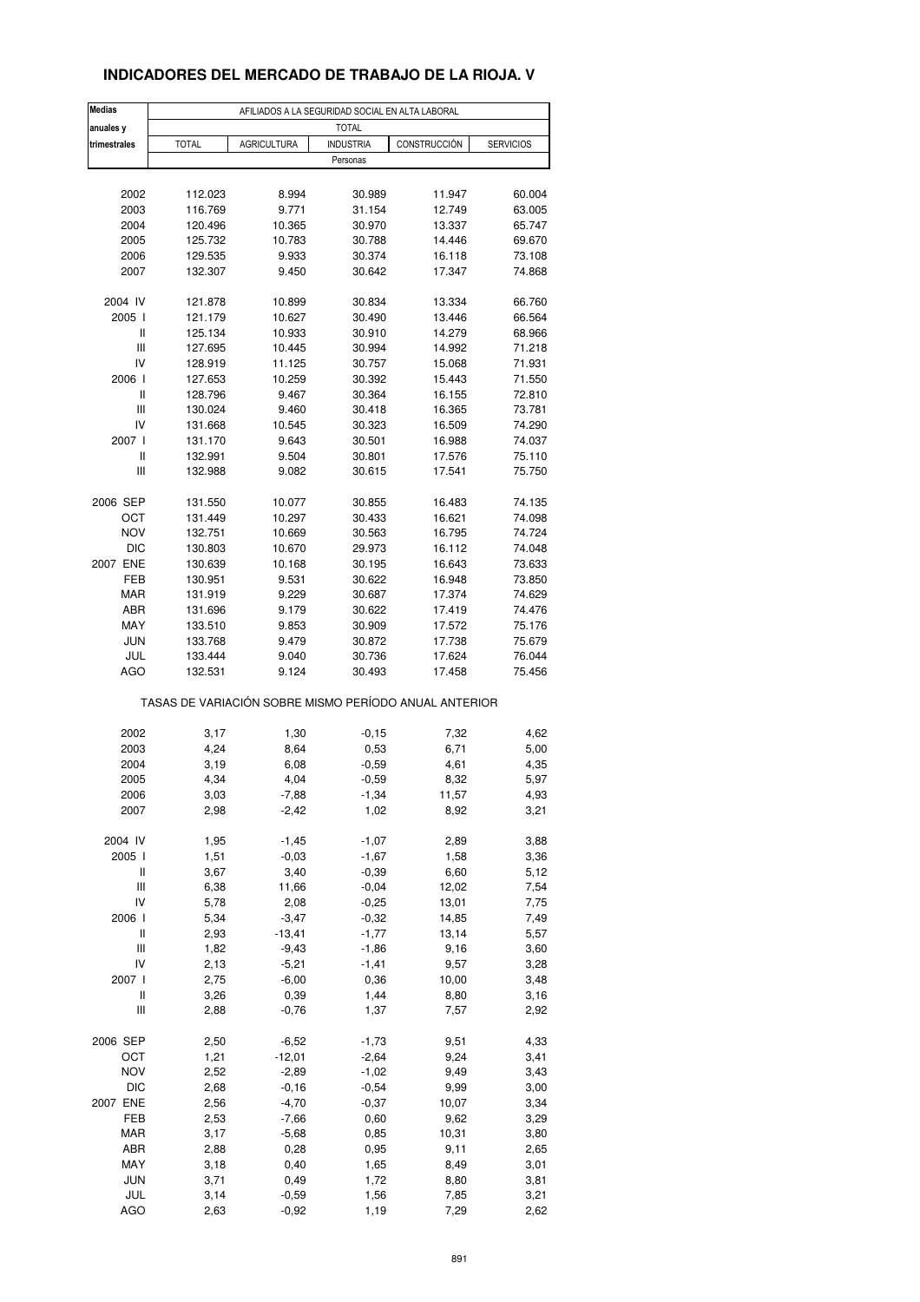## **INDICADORES DEL MERCADO DE TRABAJO DE LA RIOJA. V**

| <b>Medias</b>                      | AFILIADOS A LA SEGURIDAD SOCIAL EN ALTA LABORAL       |                    |                    |                  |                  |  |  |  |  |
|------------------------------------|-------------------------------------------------------|--------------------|--------------------|------------------|------------------|--|--|--|--|
| anuales y                          |                                                       |                    | <b>TOTAL</b>       |                  |                  |  |  |  |  |
| trimestrales                       | <b>TOTAL</b>                                          | <b>AGRICULTURA</b> | <b>INDUSTRIA</b>   | CONSTRUCCIÓN     | <b>SERVICIOS</b> |  |  |  |  |
|                                    |                                                       |                    | Personas           |                  |                  |  |  |  |  |
|                                    |                                                       |                    |                    |                  |                  |  |  |  |  |
| 2002                               | 112.023                                               | 8.994              | 30.989             | 11.947           | 60.004           |  |  |  |  |
| 2003                               | 116.769                                               | 9.771              | 31.154             | 12.749           | 63.005           |  |  |  |  |
| 2004                               | 120.496                                               | 10.365             | 30.970             | 13.337           | 65.747           |  |  |  |  |
| 2005                               | 125.732                                               | 10.783             | 30.788             | 14.446           | 69.670           |  |  |  |  |
| 2006                               | 129.535                                               | 9.933              | 30.374             | 16.118           | 73.108           |  |  |  |  |
| 2007                               | 132.307                                               | 9.450              | 30.642             | 17.347           | 74.868           |  |  |  |  |
| 2004 IV                            | 121.878                                               | 10.899             | 30.834             | 13.334           | 66.760           |  |  |  |  |
| 2005 l                             | 121.179                                               | 10.627             | 30.490             | 13.446           | 66.564           |  |  |  |  |
| Ш                                  | 125.134                                               | 10.933             | 30.910             | 14.279           | 68.966           |  |  |  |  |
| $\ensuremath{\mathsf{III}}\xspace$ | 127.695                                               | 10.445             | 30.994             | 14.992           | 71.218           |  |  |  |  |
| IV                                 | 128.919                                               | 11.125             | 30.757             | 15.068           | 71.931           |  |  |  |  |
| 2006 l                             | 127.653                                               | 10.259             | 30.392             | 15.443           | 71.550           |  |  |  |  |
| Ш                                  | 128.796                                               | 9.467              | 30.364             | 16.155           | 72.810           |  |  |  |  |
| Ш                                  | 130.024                                               | 9.460              | 30.418             | 16.365           | 73.781           |  |  |  |  |
| IV                                 | 131.668                                               | 10.545             | 30.323             | 16.509           | 74.290           |  |  |  |  |
| 2007 l                             | 131.170                                               | 9.643              | 30.501             | 16.988           | 74.037           |  |  |  |  |
| Ш                                  | 132.991                                               | 9.504              | 30.801             | 17.576           | 75.110           |  |  |  |  |
| Ш                                  | 132.988                                               | 9.082              | 30.615             | 17.541           | 75.750           |  |  |  |  |
| 2006 SEP                           |                                                       |                    |                    |                  | 74.135           |  |  |  |  |
| OCT                                | 131.550<br>131.449                                    | 10.077<br>10.297   | 30.855<br>30.433   | 16.483<br>16.621 | 74.098           |  |  |  |  |
| <b>NOV</b>                         | 132.751                                               | 10.669             | 30.563             | 16.795           | 74.724           |  |  |  |  |
| <b>DIC</b>                         | 130.803                                               | 10.670             | 29.973             | 16.112           | 74.048           |  |  |  |  |
| 2007 ENE                           | 130.639                                               | 10.168             | 30.195             | 16.643           | 73.633           |  |  |  |  |
| FEB                                | 130.951                                               | 9.531              | 30.622             | 16.948           | 73.850           |  |  |  |  |
| MAR                                | 131.919                                               | 9.229              | 30.687             | 17.374           | 74.629           |  |  |  |  |
| ABR                                | 131.696                                               | 9.179              | 30.622             | 17.419           | 74.476           |  |  |  |  |
| MAY                                | 133.510                                               | 9.853              | 30.909             | 17.572           | 75.176           |  |  |  |  |
| <b>JUN</b>                         | 133.768                                               | 9.479              | 30.872             | 17.738           | 75.679           |  |  |  |  |
| JUL                                | 133.444                                               | 9.040              | 30.736             | 17.624           | 76.044           |  |  |  |  |
| AGO                                | 132.531                                               | 9.124              | 30.493             | 17.458           | 75.456           |  |  |  |  |
|                                    | TASAS DE VARIACIÓN SOBRE MISMO PERÍODO ANUAL ANTERIOR |                    |                    |                  |                  |  |  |  |  |
|                                    |                                                       |                    |                    |                  |                  |  |  |  |  |
| 2002<br>2003                       | 3,17<br>4,24                                          | 1,30               | $-0,15$            | 7,32<br>6,71     | 4,62<br>5,00     |  |  |  |  |
| 2004                               | 3,19                                                  | 8,64<br>6,08       | 0,53<br>$-0,59$    | 4,61             | 4,35             |  |  |  |  |
| 2005                               | 4,34                                                  | 4,04               | $-0.59$            | 8,32             | 5,97             |  |  |  |  |
| 2006                               | 3,03                                                  | -7,88              | -1,34              | 11,57            | 4,93             |  |  |  |  |
| 2007                               | 2,98                                                  | $-2,42$            | 1,02               | 8,92             | 3,21             |  |  |  |  |
|                                    |                                                       |                    |                    |                  |                  |  |  |  |  |
| 2004 IV                            | 1,95                                                  | $-1,45$            | $-1,07$            | 2,89             | 3,88             |  |  |  |  |
| 2005 l                             | 1,51                                                  | $-0,03$            | $-1,67$            | 1,58             | 3,36             |  |  |  |  |
| Ш                                  | 3,67                                                  | 3,40               | $-0,39$            | 6,60             | 5,12             |  |  |  |  |
| Ш                                  | 6,38                                                  | 11,66              | $-0,04$            | 12,02            | 7,54             |  |  |  |  |
| IV                                 | 5,78                                                  | 2,08               | $-0,25$            | 13,01            | 7,75             |  |  |  |  |
| 2006 l                             | 5,34                                                  | $-3,47$            | $-0,32$            | 14,85            | 7,49             |  |  |  |  |
| Ш                                  | 2,93                                                  | $-13,41$           | $-1,77$            | 13,14            | 5,57             |  |  |  |  |
| Ш                                  | 1,82                                                  | $-9,43$            | $-1,86$            | 9,16             | 3,60             |  |  |  |  |
| IV                                 | 2,13                                                  | $-5,21$            | $-1,41$            | 9,57             | 3,28             |  |  |  |  |
| 2007 l<br>Ш                        | 2,75<br>3,26                                          | $-6,00$<br>0,39    | 0,36<br>1,44       | 10,00            | 3,48             |  |  |  |  |
| Ш                                  | 2,88                                                  | $-0,76$            | 1,37               | 8,80<br>7,57     | 3,16<br>2,92     |  |  |  |  |
|                                    |                                                       |                    |                    |                  |                  |  |  |  |  |
| 2006 SEP                           | 2,50                                                  | $-6,52$            | $-1,73$            | 9,51             | 4,33             |  |  |  |  |
| OCT                                | 1,21                                                  | $-12,01$           | $-2,64$            | 9,24             | 3,41             |  |  |  |  |
| <b>NOV</b><br><b>DIC</b>           | 2,52<br>2,68                                          | $-2,89$<br>$-0,16$ | $-1,02$<br>$-0,54$ | 9,49<br>9,99     | 3,43             |  |  |  |  |
| 2007 ENE                           | 2,56                                                  | $-4,70$            | $-0,37$            | 10,07            | 3,00<br>3,34     |  |  |  |  |
| FEB                                | 2,53                                                  | $-7,66$            | 0,60               | 9,62             | 3,29             |  |  |  |  |
| MAR                                | 3,17                                                  | $-5,68$            | 0,85               | 10,31            | 3,80             |  |  |  |  |
| ABR                                | 2,88                                                  | 0,28               | 0,95               | 9,11             | 2,65             |  |  |  |  |
| MAY                                | 3,18                                                  | 0,40               | 1,65               | 8,49             | 3,01             |  |  |  |  |
| <b>JUN</b>                         | 3,71                                                  | 0,49               | 1,72               | 8,80             | 3,81             |  |  |  |  |
| JUL                                | 3,14                                                  | $-0,59$            | 1,56               | 7,85             | 3,21             |  |  |  |  |
| AGO                                | 2,63                                                  | $-0,92$            | 1,19               | 7,29             | 2,62             |  |  |  |  |
|                                    |                                                       |                    |                    |                  |                  |  |  |  |  |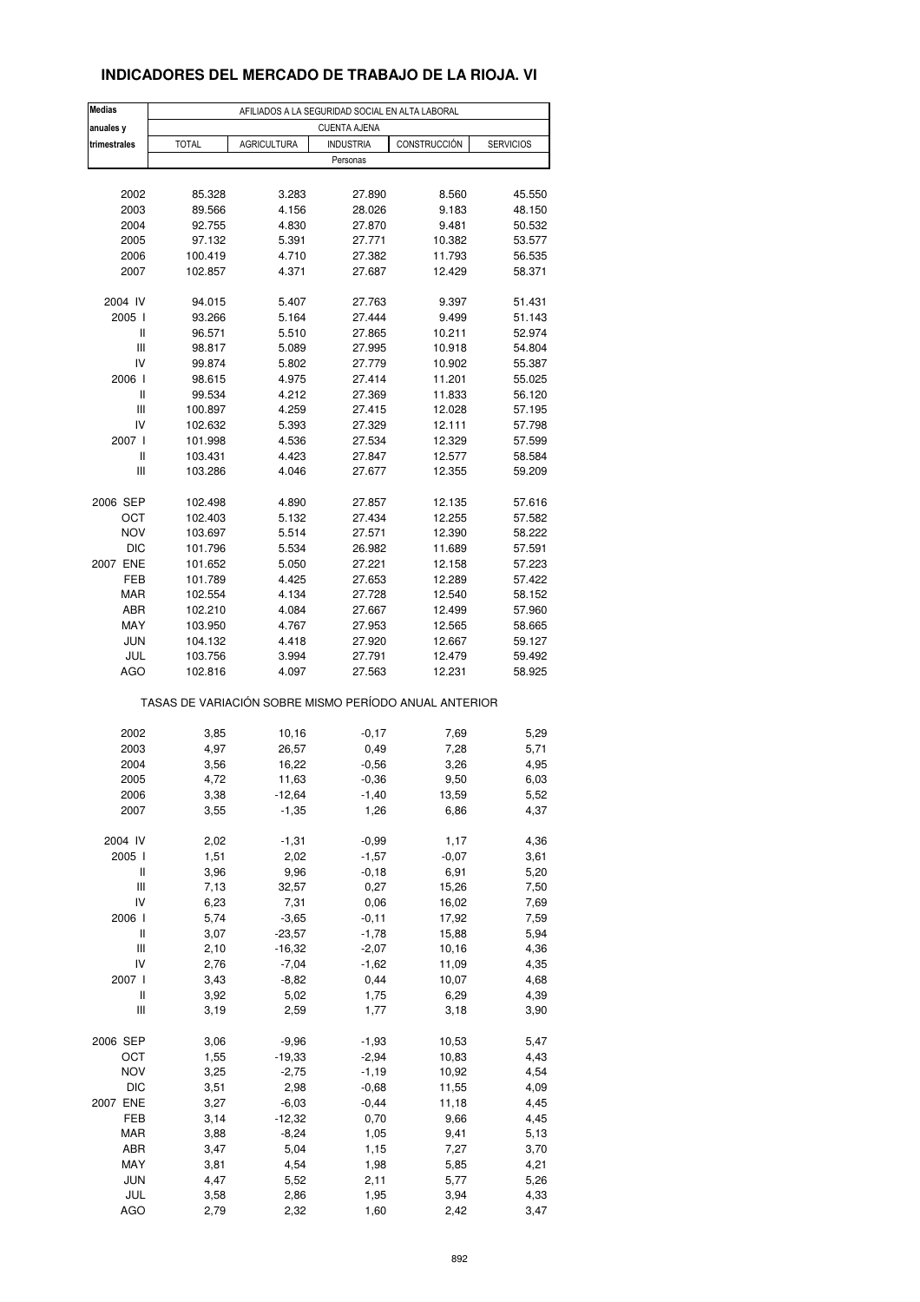## **INDICADORES DEL MERCADO DE TRABAJO DE LA RIOJA. VI**

| <b>Medias</b> |                                                       | AFILIADOS A LA SEGURIDAD SOCIAL EN ALTA LABORAL |                     |                  |                  |
|---------------|-------------------------------------------------------|-------------------------------------------------|---------------------|------------------|------------------|
| anuales y     |                                                       |                                                 | <b>CUENTA AJENA</b> |                  |                  |
| trimestrales  | <b>TOTAL</b>                                          | <b>AGRICULTURA</b>                              | <b>INDUSTRIA</b>    | CONSTRUCCIÓN     | <b>SERVICIOS</b> |
|               |                                                       |                                                 | Personas            |                  |                  |
|               |                                                       |                                                 |                     |                  |                  |
| 2002          | 85.328                                                | 3.283                                           | 27.890              | 8.560            | 45.550           |
| 2003<br>2004  | 89.566<br>92.755                                      | 4.156<br>4.830                                  | 28.026<br>27.870    | 9.183<br>9.481   | 48.150<br>50.532 |
| 2005          | 97.132                                                | 5.391                                           | 27.771              | 10.382           | 53.577           |
| 2006          | 100.419                                               | 4.710                                           | 27.382              | 11.793           | 56.535           |
| 2007          | 102.857                                               | 4.371                                           | 27.687              | 12.429           | 58.371           |
|               |                                                       |                                                 |                     |                  |                  |
| 2004 IV       | 94.015                                                | 5.407                                           | 27.763              | 9.397            | 51.431           |
| 2005          | 93.266                                                | 5.164                                           | 27.444              | 9.499            | 51.143           |
| Ш             | 96.571                                                | 5.510                                           | 27.865              | 10.211           | 52.974           |
| Ш             | 98.817                                                | 5.089                                           | 27.995              | 10.918           | 54.804           |
| IV            | 99.874                                                | 5.802                                           | 27.779              | 10.902           | 55.387           |
| 2006          | 98.615                                                | 4.975                                           | 27.414              | 11.201           | 55.025           |
| Ш<br>Ш        | 99.534<br>100.897                                     | 4.212<br>4.259                                  | 27.369<br>27.415    | 11.833<br>12.028 | 56.120<br>57.195 |
| IV            | 102.632                                               | 5.393                                           | 27.329              | 12.111           | 57.798           |
| 2007 l        | 101.998                                               | 4.536                                           | 27.534              | 12.329           | 57.599           |
| Ш             | 103.431                                               | 4.423                                           | 27.847              | 12.577           | 58.584           |
| Ш             | 103.286                                               | 4.046                                           | 27.677              | 12.355           | 59.209           |
|               |                                                       |                                                 |                     |                  |                  |
| 2006 SEP      | 102.498                                               | 4.890                                           | 27.857              | 12.135           | 57.616           |
| OCT           | 102.403                                               | 5.132                                           | 27.434              | 12.255           | 57.582           |
| <b>NOV</b>    | 103.697                                               | 5.514                                           | 27.571              | 12.390           | 58.222           |
| <b>DIC</b>    | 101.796                                               | 5.534                                           | 26.982              | 11.689           | 57.591           |
| 2007 ENE      | 101.652                                               | 5.050                                           | 27.221              | 12.158           | 57.223           |
| FEB           | 101.789                                               | 4.425                                           | 27.653              | 12.289           | 57.422           |
| MAR<br>ABR    | 102.554<br>102.210                                    | 4.134<br>4.084                                  | 27.728<br>27.667    | 12.540           | 58.152           |
| MAY           | 103.950                                               | 4.767                                           | 27.953              | 12.499<br>12.565 | 57.960<br>58.665 |
| <b>JUN</b>    | 104.132                                               | 4.418                                           | 27.920              | 12.667           | 59.127           |
| JUL           | 103.756                                               | 3.994                                           | 27.791              | 12.479           | 59.492           |
| AGO           | 102.816                                               | 4.097                                           | 27.563              | 12.231           | 58.925           |
|               | TASAS DE VARIACIÓN SOBRE MISMO PERÍODO ANUAL ANTERIOR |                                                 |                     |                  |                  |
|               |                                                       |                                                 |                     |                  |                  |
| 2002          | 3,85                                                  | 10,16                                           | $-0,17$             | 7,69             | 5,29             |
| 2003          | 4,97                                                  | 26,57                                           | 0,49                | 7,28             | 5,71             |
| 2004<br>2005  | 3,56<br>4,72                                          | 16,22                                           | $-0,56$             | 3,26<br>9,50     | 4,95             |
| 2006          | 3,38                                                  | 11,63<br>-12,64                                 | $-0,36$<br>-1,40    | 13,59            | 6,03<br>5,52     |
| 2007          | 3,55                                                  | $-1,35$                                         | 1,26                | 6,86             | 4,37             |
|               |                                                       |                                                 |                     |                  |                  |
| 2004 IV       | 2,02                                                  | $-1,31$                                         | $-0,99$             | 1,17             | 4,36             |
| 2005 l        | 1,51                                                  | 2,02                                            | $-1,57$             | $-0,07$          | 3,61             |
| Ш             | 3,96                                                  | 9,96                                            | $-0,18$             | 6,91             | 5,20             |
| Ш             | 7,13                                                  | 32,57                                           | 0,27                | 15,26            | 7,50             |
| IV            | 6,23                                                  | 7,31                                            | 0,06                | 16,02            | 7,69             |
| 2006          | 5,74                                                  | $-3,65$                                         | $-0, 11$            | 17,92            | 7,59             |
| $\sf II$<br>Ш | 3,07<br>2,10                                          | $-23,57$<br>$-16,32$                            | $-1,78$             | 15,88            | 5,94             |
| IV            | 2,76                                                  | $-7,04$                                         | $-2,07$<br>$-1,62$  | 10,16<br>11,09   | 4,36<br>4,35     |
| 2007 l        | 3,43                                                  | $-8,82$                                         | 0,44                | 10,07            | 4,68             |
| Ш             | 3,92                                                  | 5,02                                            | 1,75                | 6,29             | 4,39             |
| Ш             | 3,19                                                  | 2,59                                            | 1,77                | 3,18             | 3,90             |
|               |                                                       |                                                 |                     |                  |                  |
| 2006 SEP      | 3,06                                                  | $-9,96$                                         | $-1,93$             | 10,53            | 5,47             |
| OCT           | 1,55                                                  | -19,33                                          | $-2,94$             | 10,83            | 4,43             |
| <b>NOV</b>    | 3,25                                                  | $-2,75$                                         | $-1,19$             | 10,92            | 4,54             |
| <b>DIC</b>    | 3,51                                                  | 2,98                                            | $-0,68$             | 11,55            | 4,09             |
| 2007 ENE      | 3,27                                                  | $-6,03$                                         | $-0,44$             | 11,18            | 4,45             |
| FEB           | 3,14                                                  | $-12,32$                                        | 0,70                | 9,66             | 4,45             |
| MAR           | 3,88                                                  | $-8,24$                                         | 1,05                | 9,41             | 5,13             |
| ABR           | 3,47                                                  | 5,04                                            | 1,15                | 7,27             | 3,70             |
| MAY<br>JUN    | 3,81<br>4,47                                          | 4,54<br>5,52                                    | 1,98<br>2,11        | 5,85<br>5,77     | 4,21<br>5,26     |
| JUL           | 3,58                                                  | 2,86                                            | 1,95                | 3,94             | 4,33             |
| <b>AGO</b>    | 2,79                                                  | 2,32                                            | 1,60                | 2,42             | 3,47             |
|               |                                                       |                                                 |                     |                  |                  |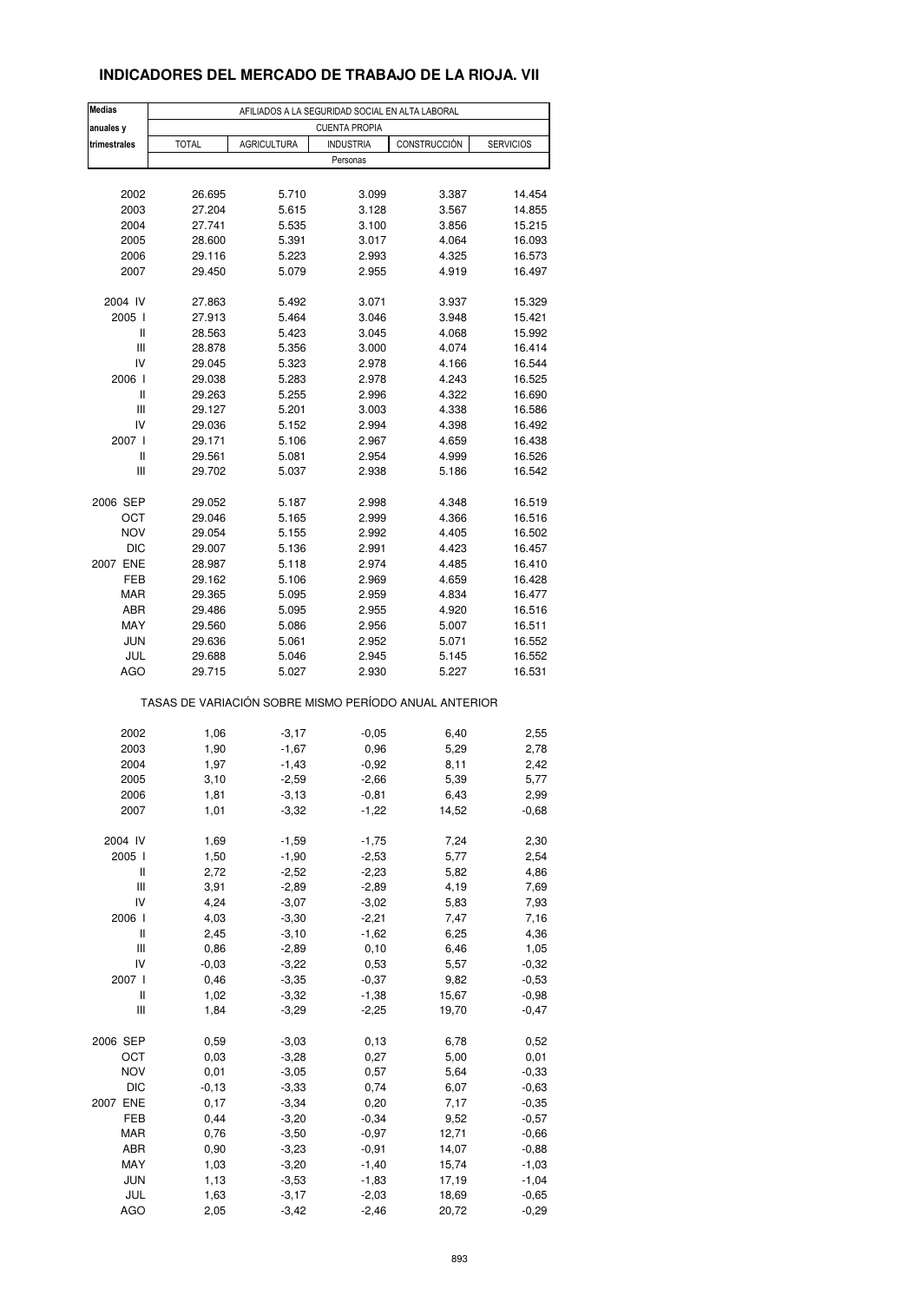## **INDICADORES DEL MERCADO DE TRABAJO DE LA RIOJA. VII**

| <b>Medias</b><br>anuales y         | AFILIADOS A LA SEGURIDAD SOCIAL EN ALTA LABORAL<br><b>CUENTA PROPIA</b> |                    |                  |                                                       |                  |  |  |  |  |
|------------------------------------|-------------------------------------------------------------------------|--------------------|------------------|-------------------------------------------------------|------------------|--|--|--|--|
| trimestrales                       | <b>TOTAL</b>                                                            | <b>AGRICULTURA</b> | <b>INDUSTRIA</b> | CONSTRUCCIÓN                                          | <b>SERVICIOS</b> |  |  |  |  |
|                                    |                                                                         |                    | Personas         |                                                       |                  |  |  |  |  |
|                                    |                                                                         |                    |                  |                                                       |                  |  |  |  |  |
| 2002                               | 26.695                                                                  | 5.710              | 3.099            | 3.387                                                 | 14.454           |  |  |  |  |
| 2003                               | 27.204                                                                  | 5.615              | 3.128            | 3.567                                                 | 14.855           |  |  |  |  |
| 2004                               | 27.741                                                                  | 5.535              | 3.100            | 3.856                                                 | 15.215           |  |  |  |  |
| 2005                               | 28.600                                                                  | 5.391              | 3.017            | 4.064                                                 | 16.093           |  |  |  |  |
| 2006                               | 29.116                                                                  | 5.223              | 2.993            | 4.325                                                 | 16.573           |  |  |  |  |
| 2007                               | 29.450                                                                  | 5.079              | 2.955            | 4.919                                                 | 16.497           |  |  |  |  |
|                                    |                                                                         |                    |                  |                                                       |                  |  |  |  |  |
| 2004 IV                            | 27.863                                                                  | 5.492              | 3.071            | 3.937                                                 | 15.329           |  |  |  |  |
| 2005 l                             | 27.913                                                                  | 5.464              | 3.046            | 3.948                                                 | 15.421           |  |  |  |  |
| Ш                                  | 28.563                                                                  | 5.423              | 3.045            | 4.068                                                 | 15.992           |  |  |  |  |
| $\ensuremath{\mathsf{III}}\xspace$ | 28.878                                                                  | 5.356              | 3.000            | 4.074                                                 | 16.414           |  |  |  |  |
| IV                                 | 29.045                                                                  | 5.323              | 2.978            | 4.166                                                 | 16.544           |  |  |  |  |
| 2006                               | 29.038                                                                  | 5.283              | 2.978            | 4.243                                                 | 16.525           |  |  |  |  |
| Ш                                  | 29.263                                                                  | 5.255              | 2.996            | 4.322                                                 | 16.690           |  |  |  |  |
| Ш                                  | 29.127                                                                  | 5.201              | 3.003            | 4.338                                                 | 16.586           |  |  |  |  |
| IV                                 | 29.036                                                                  | 5.152              | 2.994            | 4.398                                                 | 16.492           |  |  |  |  |
| 2007 l                             | 29.171                                                                  | 5.106              | 2.967            | 4.659                                                 | 16.438           |  |  |  |  |
| Ш                                  | 29.561                                                                  | 5.081              | 2.954            | 4.999                                                 | 16.526           |  |  |  |  |
| Ш                                  | 29.702                                                                  | 5.037              | 2.938            | 5.186                                                 | 16.542           |  |  |  |  |
|                                    |                                                                         |                    |                  |                                                       |                  |  |  |  |  |
| 2006 SEP                           | 29.052                                                                  | 5.187              | 2.998            | 4.348                                                 | 16.519           |  |  |  |  |
| ОСТ                                | 29.046                                                                  | 5.165              | 2.999            | 4.366                                                 | 16.516           |  |  |  |  |
| <b>NOV</b>                         | 29.054                                                                  | 5.155              | 2.992            | 4.405                                                 | 16.502           |  |  |  |  |
| DIC                                | 29.007                                                                  | 5.136              | 2.991            | 4.423                                                 | 16.457           |  |  |  |  |
| 2007 ENE                           | 28.987                                                                  | 5.118              | 2.974            | 4.485                                                 | 16.410           |  |  |  |  |
| FEB                                | 29.162                                                                  | 5.106              | 2.969            | 4.659                                                 | 16.428           |  |  |  |  |
| <b>MAR</b>                         | 29.365                                                                  | 5.095              | 2.959            | 4.834                                                 | 16.477           |  |  |  |  |
| ABR                                | 29.486                                                                  | 5.095              | 2.955            | 4.920                                                 | 16.516           |  |  |  |  |
| MAY                                | 29.560                                                                  | 5.086              | 2.956            | 5.007                                                 | 16.511           |  |  |  |  |
| <b>JUN</b>                         | 29.636                                                                  | 5.061              | 2.952            | 5.071                                                 | 16.552           |  |  |  |  |
| JUL                                | 29.688                                                                  | 5.046              | 2.945            | 5.145                                                 | 16.552           |  |  |  |  |
| <b>AGO</b>                         | 29.715                                                                  | 5.027              | 2.930            | 5.227                                                 | 16.531           |  |  |  |  |
|                                    |                                                                         |                    |                  | TASAS DE VARIACIÓN SOBRE MISMO PERÍODO ANUAL ANTERIOR |                  |  |  |  |  |
|                                    |                                                                         |                    |                  |                                                       |                  |  |  |  |  |
| 2002                               | 1,06                                                                    | $-3,17$            | $-0,05$          | 6,40                                                  | 2,55             |  |  |  |  |
| 2003                               | 1,90                                                                    | $-1,67$            | 0,96             | 5,29                                                  | 2,78             |  |  |  |  |
| 2004                               | 1,97                                                                    | $-1,43$            | $-0,92$          | 8,11                                                  | 2,42             |  |  |  |  |
| 2005                               | 3,10                                                                    | $-2,59$            | $-2,66$          | 5,39                                                  | 5,77             |  |  |  |  |
| 2006                               | 1,81                                                                    | $-3,13$            | $-0,81$          | 6,43                                                  | 2,99             |  |  |  |  |
| 2007                               | 1,01                                                                    | $-3,32$            | $-1,22$          | 14,52                                                 | $-0,68$          |  |  |  |  |
| 2004 IV                            | 1,69                                                                    | $-1,59$            | $-1,75$          | 7,24                                                  | 2,30             |  |  |  |  |
| 2005 l                             | 1,50                                                                    | $-1,90$            | $-2,53$          | 5,77                                                  | 2,54             |  |  |  |  |
| Ш                                  | 2,72                                                                    | $-2,52$            | $-2,23$          |                                                       | 4,86             |  |  |  |  |
|                                    |                                                                         |                    |                  | 5,82                                                  |                  |  |  |  |  |
| Ш<br>IV                            | 3,91                                                                    | $-2,89$            | $-2,89$          | 4,19                                                  | 7,69             |  |  |  |  |
|                                    | 4,24                                                                    | $-3,07$            | $-3,02$          | 5,83                                                  | 7,93             |  |  |  |  |
| 2006 l                             | 4,03                                                                    | $-3,30$            | $-2,21$          | 7,47                                                  | 7,16             |  |  |  |  |
| $\sf II$                           | 2,45                                                                    | $-3,10$            | $-1,62$          | 6,25                                                  | 4,36             |  |  |  |  |
| $\ensuremath{\mathsf{III}}\xspace$ | 0,86                                                                    | $-2,89$            | 0, 10            | 6,46                                                  | 1,05             |  |  |  |  |
| IV                                 | $-0,03$                                                                 | $-3,22$            | 0,53             | 5,57                                                  | $-0,32$          |  |  |  |  |
| 2007 l                             | 0,46                                                                    | $-3,35$            | $-0,37$          | 9,82                                                  | $-0,53$          |  |  |  |  |
| Ш                                  | 1,02                                                                    | $-3,32$            | $-1,38$          | 15,67                                                 | $-0,98$          |  |  |  |  |
| Ш                                  | 1,84                                                                    | $-3,29$            | $-2,25$          | 19,70                                                 | $-0,47$          |  |  |  |  |
| 2006 SEP                           | 0,59                                                                    | $-3,03$            | 0,13             | 6,78                                                  | 0,52             |  |  |  |  |
| OCT                                | 0,03                                                                    | $-3,28$            | 0,27             | 5,00                                                  | 0,01             |  |  |  |  |
| <b>NOV</b>                         | 0,01                                                                    | $-3,05$            | 0,57             | 5,64                                                  | $-0,33$          |  |  |  |  |
| DIC                                | $-0, 13$                                                                | $-3,33$            |                  |                                                       |                  |  |  |  |  |
|                                    |                                                                         |                    | 0,74             | 6,07                                                  | $-0,63$          |  |  |  |  |
| 2007 ENE                           | 0,17                                                                    | $-3,34$            | 0,20             | 7,17                                                  | $-0,35$          |  |  |  |  |
| FEB                                | 0,44                                                                    | $-3,20$            | $-0,34$          | 9,52                                                  | $-0,57$          |  |  |  |  |
| <b>MAR</b>                         | 0,76                                                                    | $-3,50$            | $-0,97$          | 12,71                                                 | $-0,66$          |  |  |  |  |
| ABR                                | 0,90                                                                    | $-3,23$            | $-0,91$          | 14,07                                                 | $-0,88$          |  |  |  |  |
| MAY                                | 1,03                                                                    | $-3,20$            | $-1,40$          | 15,74                                                 | $-1,03$          |  |  |  |  |
| JUN                                | 1,13                                                                    | $-3,53$            | $-1,83$          | 17,19                                                 | $-1,04$          |  |  |  |  |
| JUL                                | 1,63                                                                    | $-3,17$            | $-2,03$          | 18,69                                                 | $-0,65$          |  |  |  |  |
| <b>AGO</b>                         | 2,05                                                                    | $-3,42$            | $-2,46$          | 20,72                                                 | $-0,29$          |  |  |  |  |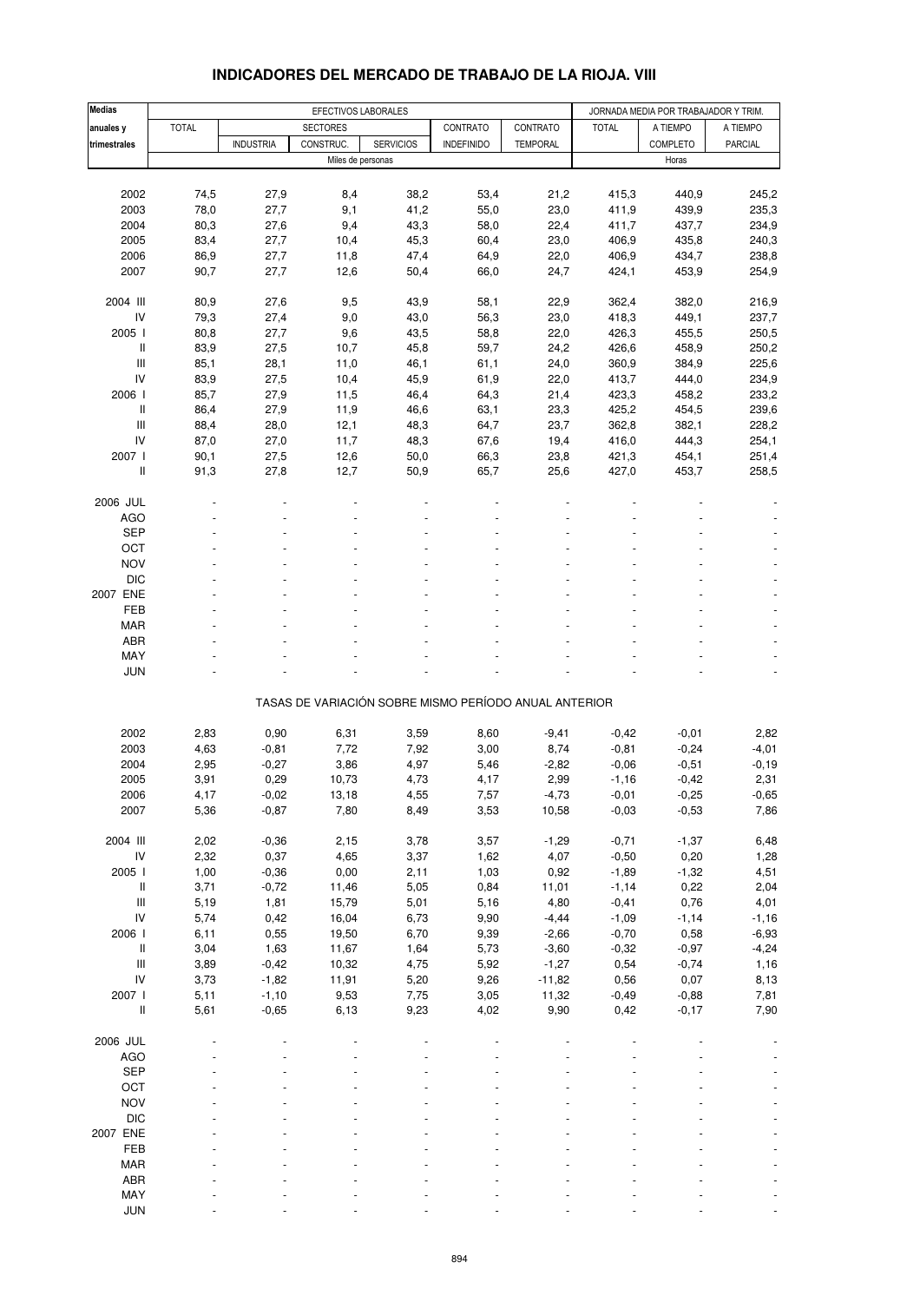| Medias                                    | EFECTIVOS LABORALES |                  |                   |                  |                                                       |                 | JORNADA MEDIA POR TRABAJADOR Y TRIM. |          |                |  |
|-------------------------------------------|---------------------|------------------|-------------------|------------------|-------------------------------------------------------|-----------------|--------------------------------------|----------|----------------|--|
| anuales y                                 | <b>TOTAL</b>        |                  | <b>SECTORES</b>   |                  | CONTRATO                                              | <b>CONTRATO</b> | <b>TOTAL</b>                         | A TIEMPO | A TIEMPO       |  |
| trimestrales                              |                     | <b>INDUSTRIA</b> | CONSTRUC.         | <b>SERVICIOS</b> | <b>INDEFINIDO</b>                                     | <b>TEMPORAL</b> |                                      | COMPLETO | <b>PARCIAL</b> |  |
|                                           |                     |                  | Miles de personas |                  |                                                       |                 |                                      | Horas    |                |  |
|                                           |                     |                  |                   |                  |                                                       |                 |                                      |          |                |  |
| 2002                                      | 74,5                | 27,9             | 8,4               | 38,2             | 53,4                                                  | 21,2            | 415,3                                | 440,9    | 245,2          |  |
| 2003                                      | 78,0                | 27,7             | 9,1               | 41,2             | 55,0                                                  | 23,0            | 411,9                                | 439,9    | 235,3          |  |
| 2004                                      | 80,3                | 27,6             | 9,4               | 43,3             | 58,0                                                  | 22,4            | 411,7                                | 437,7    | 234,9          |  |
| 2005                                      | 83,4                | 27,7             | 10,4              | 45,3             | 60,4                                                  | 23,0            | 406,9                                | 435,8    | 240,3          |  |
| 2006                                      | 86,9                | 27,7             | 11,8              | 47,4             | 64,9                                                  | 22,0            | 406,9                                | 434,7    | 238,8          |  |
| 2007                                      | 90,7                | 27,7             | 12,6              | 50,4             | 66,0                                                  | 24,7            | 424,1                                | 453,9    | 254,9          |  |
|                                           |                     |                  |                   |                  |                                                       |                 |                                      |          |                |  |
| 2004 III                                  | 80,9                | 27,6             | 9,5               | 43,9             | 58,1                                                  | 22,9            | 362,4                                | 382,0    | 216,9          |  |
| IV                                        | 79,3                | 27,4             | 9,0               | 43,0             | 56,3                                                  | 23,0            | 418,3                                | 449,1    | 237,7          |  |
| 2005 l                                    | 80,8                | 27,7             | 9,6               | 43,5             | 58,8                                                  | 22,0            | 426,3                                | 455,5    | 250,5          |  |
| Ш                                         | 83,9                | 27,5             | 10,7              | 45,8             | 59,7                                                  | 24,2            | 426,6                                | 458,9    | 250,2          |  |
| Ш                                         | 85,1                | 28,1             | 11,0              | 46,1             | 61,1                                                  | 24,0            | 360,9                                | 384,9    | 225,6          |  |
| IV                                        | 83,9                | 27,5             | 10,4              | 45,9             | 61,9                                                  | 22,0            | 413,7                                | 444,0    | 234,9          |  |
| 2006                                      | 85,7                | 27,9             | 11,5              | 46,4             | 64,3                                                  | 21,4            | 423,3                                | 458,2    | 233,2          |  |
| Ш                                         | 86,4                | 27,9             | 11,9              | 46,6             | 63,1                                                  | 23,3            | 425,2                                | 454,5    | 239,6          |  |
| Ш                                         | 88,4                | 28,0             | 12,1              | 48,3             | 64,7                                                  | 23,7            | 362,8                                | 382,1    | 228,2          |  |
| IV                                        | 87,0                | 27,0             | 11,7              | 48,3             | 67,6                                                  | 19,4            | 416,0                                | 444,3    | 254,1          |  |
| 2007 l                                    | 90,1                | 27,5             | 12,6              | 50,0             | 66,3                                                  | 23,8            | 421,3                                | 454,1    | 251,4          |  |
| Ш                                         | 91,3                | 27,8             | 12,7              | 50,9             | 65,7                                                  | 25,6            | 427,0                                | 453,7    | 258,5          |  |
|                                           |                     |                  |                   |                  |                                                       |                 |                                      |          |                |  |
| 2006 JUL                                  |                     |                  |                   |                  |                                                       |                 |                                      |          |                |  |
| <b>AGO</b>                                |                     |                  |                   |                  |                                                       |                 |                                      |          |                |  |
| <b>SEP</b>                                |                     |                  |                   |                  |                                                       |                 |                                      |          |                |  |
| OCT                                       |                     |                  |                   |                  |                                                       |                 |                                      |          |                |  |
| <b>NOV</b>                                |                     |                  |                   |                  |                                                       |                 |                                      |          |                |  |
| <b>DIC</b>                                |                     |                  |                   |                  |                                                       |                 |                                      |          |                |  |
| 2007 ENE                                  |                     |                  |                   |                  |                                                       |                 |                                      |          |                |  |
| <b>FEB</b>                                |                     |                  |                   |                  |                                                       |                 |                                      |          |                |  |
| <b>MAR</b>                                |                     |                  |                   |                  |                                                       |                 |                                      |          |                |  |
| <b>ABR</b>                                |                     |                  |                   |                  |                                                       |                 |                                      |          |                |  |
| MAY                                       |                     |                  |                   |                  |                                                       |                 |                                      |          |                |  |
| <b>JUN</b>                                |                     |                  |                   |                  |                                                       |                 |                                      |          |                |  |
|                                           |                     |                  |                   |                  |                                                       |                 |                                      |          |                |  |
|                                           |                     |                  |                   |                  | TASAS DE VARIACIÓN SOBRE MISMO PERÍODO ANUAL ANTERIOR |                 |                                      |          |                |  |
|                                           |                     |                  |                   |                  |                                                       |                 |                                      |          |                |  |
| 2002                                      | 2,83                | 0,90             | 6,31              | 3,59             | 8,60                                                  | $-9,41$         | $-0,42$                              | $-0,01$  | 2,82           |  |
| 2003                                      | 4,63                | $-0,81$          | 7,72              | 7,92             | 3,00                                                  | 8,74            | $-0,81$                              | $-0,24$  | $-4,01$        |  |
| 2004                                      | 2,95                | $-0,27$          | 3,86              | 4,97             | 5,46                                                  | $-2,82$         | $-0,06$                              | $-0,51$  | $-0,19$        |  |
| 2005                                      | 3,91                | 0,29             | 10,73             | 4,73             | 4,17                                                  | 2,99            | $-1,16$                              | $-0,42$  | 2,31           |  |
| 2006                                      | 4,17                | $-0,02$          | 13,18             | 4,55             | 7,57                                                  | $-4,73$         | $-0,01$                              | $-0,25$  | $-0,65$        |  |
| 2007                                      | 5,36                | $-0,87$          | 7,80              | 8,49             | 3,53                                                  | 10,58           | $-0,03$                              | $-0,53$  | 7,86           |  |
|                                           |                     |                  |                   |                  |                                                       |                 |                                      |          |                |  |
| 2004 III                                  | 2,02                | $-0,36$          | 2,15              | 3,78             | 3,57                                                  | $-1,29$         | $-0,71$                              | $-1,37$  | 6,48           |  |
| ${\sf IV}$                                | 2,32                | 0,37             | 4,65              | 3,37             | 1,62                                                  | 4,07            | $-0,50$                              | 0,20     | 1,28           |  |
| 2005 l                                    | 1,00                | $-0,36$          | 0,00              | 2,11             | 1,03                                                  | 0,92            | $-1,89$                              | $-1,32$  | 4,51           |  |
| Ш                                         | 3,71                | $-0,72$          | 11,46             | 5,05             | 0,84                                                  | 11,01           | $-1,14$                              | 0,22     | 2,04           |  |
| $\ensuremath{\mathsf{III}}\xspace$        | 5,19                | 1,81             | 15,79             | 5,01             | 5,16                                                  | 4,80            | $-0,41$                              | 0,76     | 4,01           |  |
| IV                                        | 5,74                | 0,42             | 16,04             | 6,73             | 9,90                                                  | $-4,44$         | $-1,09$                              | $-1,14$  | $-1,16$        |  |
| 2006 l                                    | 6,11                | 0,55             | 19,50             | 6,70             | 9,39                                                  | $-2,66$         | $-0,70$                              | 0,58     | $-6,93$        |  |
| Ш                                         | 3,04                | 1,63             | 11,67             | 1,64             | 5,73                                                  | $-3,60$         | $-0,32$                              | $-0,97$  | $-4,24$        |  |
| $\ensuremath{\mathsf{III}}\xspace$        | 3,89                | $-0,42$          | 10,32             | 4,75             | 5,92                                                  | $-1,27$         | 0,54                                 | $-0,74$  | 1,16           |  |
| IV                                        | 3,73                | $-1,82$          | 11,91             | 5,20             | 9,26                                                  | $-11,82$        | 0,56                                 | 0,07     | 8,13           |  |
| 2007 l                                    | 5,11                | $-1,10$          | 9,53              | 7,75             | 3,05                                                  | 11,32           | $-0,49$                              | $-0,88$  | 7,81           |  |
| $\label{eq:1} \prod_{i=1}^n \mathbb{I}_i$ | 5,61                | $-0,65$          | 6,13              | 9,23             | 4,02                                                  | 9,90            | 0,42                                 | $-0,17$  | 7,90           |  |
| 2006 JUL                                  |                     |                  |                   |                  |                                                       |                 |                                      |          |                |  |
| <b>AGO</b>                                |                     |                  |                   |                  |                                                       |                 |                                      |          |                |  |
|                                           |                     |                  |                   |                  |                                                       |                 |                                      |          |                |  |
| <b>SEP</b><br>OCT                         |                     |                  |                   |                  |                                                       |                 |                                      |          |                |  |
|                                           |                     |                  |                   |                  |                                                       |                 |                                      |          |                |  |
| <b>NOV</b>                                |                     |                  |                   |                  |                                                       |                 |                                      |          |                |  |
| <b>DIC</b>                                |                     |                  |                   |                  |                                                       |                 |                                      |          |                |  |
| 2007 ENE                                  |                     |                  |                   |                  |                                                       |                 |                                      |          |                |  |
| FEB                                       |                     |                  |                   |                  |                                                       |                 |                                      |          |                |  |
| <b>MAR</b>                                |                     |                  |                   |                  |                                                       |                 |                                      |          |                |  |
| ABR                                       |                     |                  |                   |                  |                                                       |                 |                                      |          |                |  |
| MAY                                       |                     |                  |                   |                  |                                                       |                 |                                      |          |                |  |
| <b>JUN</b>                                |                     |                  |                   |                  |                                                       |                 |                                      |          |                |  |

#### **INDICADORES DEL MERCADO DE TRABAJO DE LA RIOJA. VIII**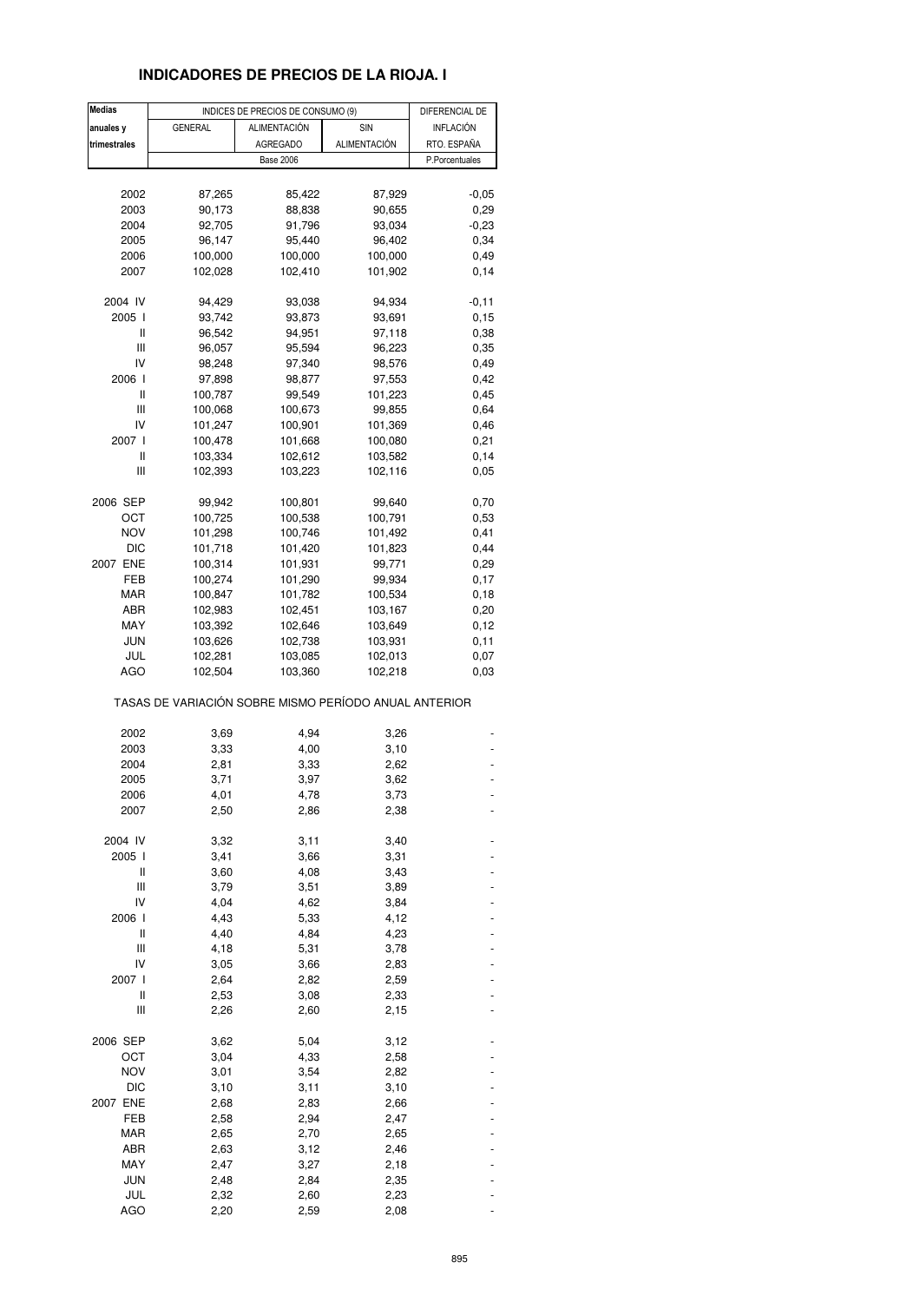## **INDICADORES DE PRECIOS DE LA RIOJA. I**

| <b>Medias</b> |                                                       | INDICES DE PRECIOS DE CONSUMO (9) |                    |                |  |
|---------------|-------------------------------------------------------|-----------------------------------|--------------------|----------------|--|
| anuales y     | <b>GENERAL</b>                                        | ALIMENTACIÓN                      | SIN                | INFLACIÓN      |  |
| trimestrales  |                                                       | <b>AGREGADO</b>                   | ALIMENTACIÓN       | RTO. ESPAÑA    |  |
|               |                                                       | <b>Base 2006</b>                  |                    | P.Porcentuales |  |
|               |                                                       |                                   |                    |                |  |
| 2002          | 87,265                                                | 85,422                            | 87,929             | $-0,05$        |  |
| 2003          | 90,173                                                | 88,838                            | 90,655             | 0,29           |  |
| 2004          | 92,705                                                | 91,796                            | 93,034             | $-0,23$        |  |
| 2005          | 96,147                                                | 95,440                            | 96,402             | 0,34           |  |
| 2006          | 100,000                                               | 100,000                           | 100,000            | 0,49           |  |
| 2007          | 102,028                                               | 102,410                           | 101,902            | 0,14           |  |
|               |                                                       |                                   |                    |                |  |
| 2004 IV       | 94,429                                                | 93,038                            | 94,934             | $-0,11$        |  |
| 2005 l        | 93,742                                                | 93,873                            | 93,691             | 0, 15          |  |
| Ш             | 96,542                                                | 94,951                            | 97,118             | 0,38           |  |
| Ш             | 96,057                                                | 95,594                            | 96,223             | 0,35           |  |
| IV            | 98,248                                                | 97,340                            | 98,576             | 0,49           |  |
| 2006 l        | 97,898                                                | 98,877                            | 97,553             | 0,42           |  |
| Ш             | 100,787                                               | 99,549                            | 101,223            | 0,45           |  |
| Ш             | 100,068                                               | 100,673                           | 99,855             | 0,64           |  |
| IV            | 101,247                                               | 100,901                           | 101,369            | 0,46           |  |
| 2007 l        | 100,478                                               | 101,668                           | 100,080            | 0,21           |  |
| Ш             | 103,334                                               | 102,612                           | 103,582            | 0,14           |  |
| Ш             |                                                       |                                   |                    |                |  |
|               | 102,393                                               | 103,223                           | 102,116            | 0,05           |  |
| 2006 SEP      | 99,942                                                | 100,801                           | 99,640             | 0,70           |  |
| OCT           | 100,725                                               | 100,538                           | 100,791            | 0,53           |  |
| <b>NOV</b>    | 101,298                                               | 100,746                           | 101,492            | 0,41           |  |
| <b>DIC</b>    | 101,718                                               | 101,420                           | 101,823            | 0,44           |  |
| 2007 ENE      | 100,314                                               | 101,931                           | 99,771             | 0,29           |  |
| FEB           | 100,274                                               | 101,290                           | 99,934             | 0,17           |  |
| <b>MAR</b>    | 100,847                                               | 101,782                           | 100,534            | 0,18           |  |
| ABR           | 102,983                                               | 102,451                           | 103,167            | 0,20           |  |
| MAY           |                                                       |                                   |                    |                |  |
|               | 103,392                                               | 102,646                           | 103,649            | 0,12           |  |
| <b>JUN</b>    | 103,626                                               | 102,738                           | 103,931            | 0,11           |  |
| JUL<br>AGO    | 102,281<br>102,504                                    | 103,085<br>103,360                | 102,013<br>102,218 | 0,07<br>0,03   |  |
|               | TASAS DE VARIACIÓN SOBRE MISMO PERÍODO ANUAL ANTERIOR |                                   |                    |                |  |
|               | 3,69                                                  | 4,94                              |                    |                |  |
| 2002          |                                                       |                                   | 3,26<br>3,10       |                |  |
| 2003<br>2004  | 3,33<br>2,81                                          | 4,00                              |                    |                |  |
|               |                                                       | 3,33                              | 2,62               |                |  |
| 2005          | 3,71                                                  | 3,97                              | 3,62               |                |  |
| 2006          | 4,01                                                  | 4,78                              | 3,73               |                |  |
| 2007          | 2,50                                                  | 2,86                              | 2,38               |                |  |
| 2004 IV       | 3,32                                                  | 3,11                              | 3,40               |                |  |
| 2005 l        | 3,41                                                  | 3,66                              | 3,31               |                |  |
| Ш             | 3,60                                                  | 4,08                              | 3,43               |                |  |
| Ш             | 3,79                                                  | 3,51                              | 3,89               |                |  |
| IV            | 4,04                                                  | 4,62                              | 3,84               |                |  |
| 2006 l        | 4,43                                                  | 5,33                              | 4,12               |                |  |
| Ш             | 4,40                                                  | 4,84                              | 4,23               |                |  |
| Ш             | 4,18                                                  | 5,31                              |                    |                |  |
| IV            |                                                       |                                   | 3,78               |                |  |
|               | 3,05                                                  | 3,66                              | 2,83               |                |  |
| 2007 l        | 2,64                                                  | 2,82                              | 2,59               |                |  |
| Ш             | 2,53                                                  | 3,08                              | 2,33               |                |  |
| Ш             | 2,26                                                  | 2,60                              | 2,15               |                |  |
| 2006 SEP      | 3,62                                                  | 5,04                              | 3,12               |                |  |
| OCT           | 3,04                                                  | 4,33                              | 2,58               |                |  |
| <b>NOV</b>    | 3,01                                                  | 3,54                              | 2,82               |                |  |
| <b>DIC</b>    | 3,10                                                  | 3,11                              | 3,10               |                |  |
| 2007 ENE      | 2,68                                                  | 2,83                              | 2,66               |                |  |
| FEB           | 2,58                                                  | 2,94                              | 2,47               |                |  |
| MAR           | 2,65                                                  | 2,70                              | 2,65               |                |  |
| ABR           | 2,63                                                  | 3,12                              | 2,46               |                |  |
| MAY           | 2,47                                                  | 3,27                              | 2,18               |                |  |
| <b>JUN</b>    | 2,48                                                  | 2,84                              | 2,35               |                |  |
| JUL           | 2,32                                                  | 2,60                              | 2,23               |                |  |
| <b>AGO</b>    |                                                       |                                   |                    |                |  |
|               | 2,20                                                  | 2,59                              | 2,08               |                |  |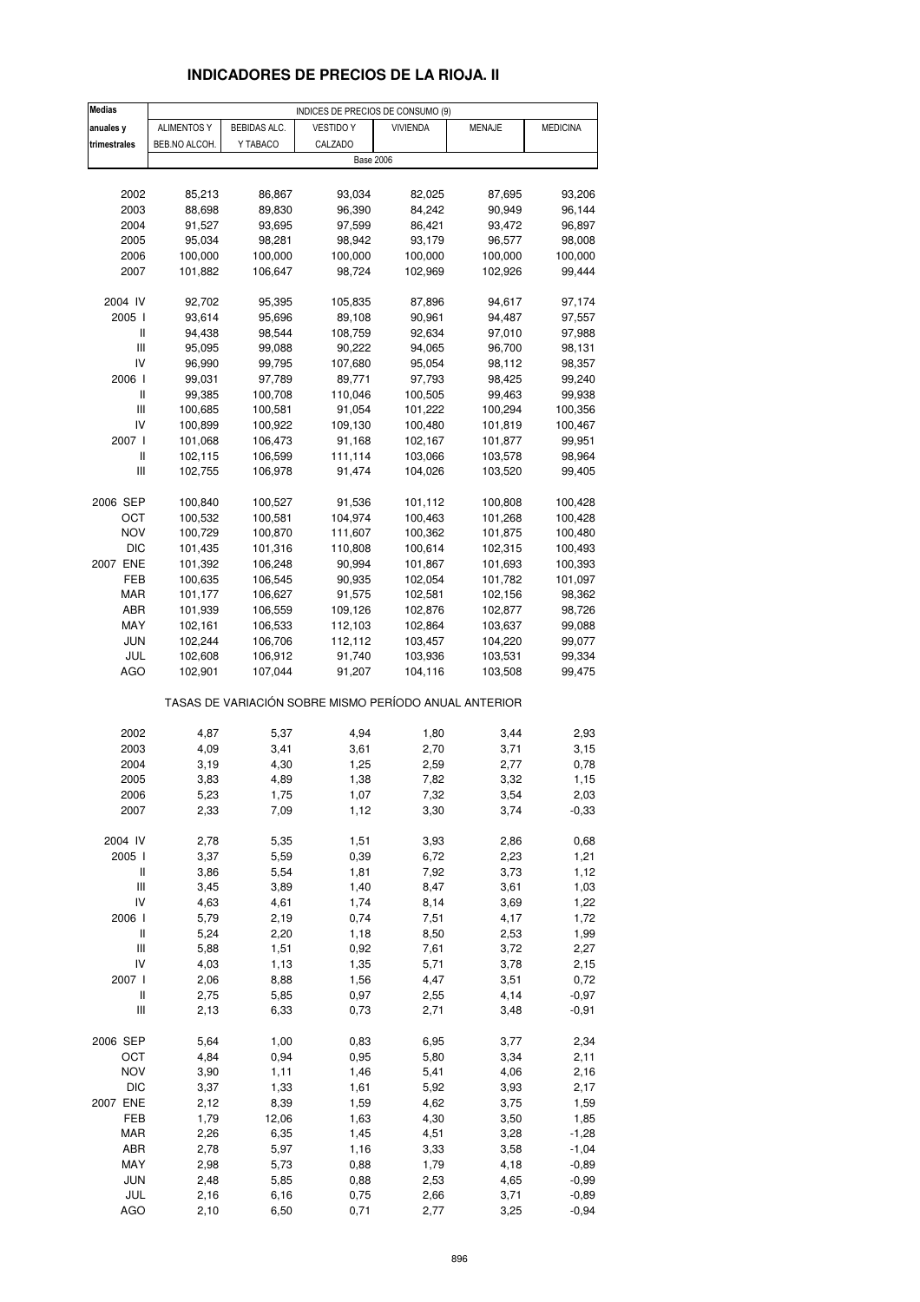# **INDICADORES DE PRECIOS DE LA RIOJA. II**

| <b>Medias</b>                      |               |              | INDICES DE PRECIOS DE CONSUMO (9)                     |                 |                  |                   |
|------------------------------------|---------------|--------------|-------------------------------------------------------|-----------------|------------------|-------------------|
| anuales y                          | ALIMENTOS Y   | BEBIDAS ALC. | <b>VESTIDO Y</b>                                      | <b>VIVIENDA</b> | <b>MENAJE</b>    | <b>MEDICINA</b>   |
| trimestrales                       | BEB.NO ALCOH. | Y TABACO     | CALZADO                                               |                 |                  |                   |
|                                    |               |              | <b>Base 2006</b>                                      |                 |                  |                   |
|                                    |               |              |                                                       |                 |                  |                   |
| 2002                               | 85,213        | 86,867       | 93,034                                                | 82,025          | 87,695           | 93,206            |
| 2003                               | 88,698        | 89,830       | 96,390                                                | 84,242          | 90,949           | 96,144            |
| 2004                               | 91,527        | 93,695       | 97,599                                                | 86,421          | 93,472           | 96,897            |
| 2005                               | 95,034        | 98,281       |                                                       | 93,179          | 96,577           |                   |
| 2006                               |               | 100,000      | 98,942                                                | 100,000         |                  | 98,008<br>100,000 |
|                                    | 100,000       |              | 100,000                                               |                 | 100,000          |                   |
| 2007                               | 101,882       | 106,647      | 98,724                                                | 102,969         | 102,926          | 99,444            |
| 2004 IV                            | 92,702        | 95,395       | 105,835                                               | 87,896          | 94,617           | 97,174            |
| 2005 l                             | 93,614        | 95,696       | 89,108                                                | 90,961          | 94,487           | 97,557            |
| Ш                                  |               |              |                                                       |                 |                  |                   |
| $\mathsf{III}$                     | 94,438        | 98,544       | 108,759<br>90,222                                     | 92,634          | 97,010<br>96,700 | 97,988            |
| IV                                 | 95,095        | 99,088       |                                                       | 94,065          |                  | 98,131            |
|                                    | 96,990        | 99,795       | 107,680                                               | 95,054          | 98,112           | 98,357            |
| 2006                               | 99,031        | 97,789       | 89,771                                                | 97,793          | 98,425           | 99,240            |
| Ш                                  | 99,385        | 100,708      | 110,046                                               | 100,505         | 99,463           | 99,938            |
| $\mathbf{III}$                     | 100,685       | 100,581      | 91,054                                                | 101,222         | 100,294          | 100,356           |
| IV                                 | 100,899       | 100,922      | 109,130                                               | 100,480         | 101,819          | 100,467           |
| 2007 l                             | 101,068       | 106,473      | 91,168                                                | 102,167         | 101,877          | 99,951            |
| $\sf II$                           | 102,115       | 106,599      | 111,114                                               | 103,066         | 103,578          | 98,964            |
| Ш                                  | 102,755       | 106,978      | 91,474                                                | 104,026         | 103,520          | 99,405            |
|                                    |               |              |                                                       |                 |                  |                   |
| 2006 SEP                           | 100,840       | 100,527      | 91,536                                                | 101,112         | 100,808          | 100,428           |
| ост                                | 100,532       | 100,581      | 104,974                                               | 100,463         | 101,268          | 100,428           |
| <b>NOV</b>                         | 100,729       | 100,870      | 111,607                                               | 100,362         | 101,875          | 100,480           |
| <b>DIC</b>                         | 101,435       | 101,316      | 110,808                                               | 100,614         | 102,315          | 100,493           |
| 2007 ENE                           | 101,392       | 106,248      | 90,994                                                | 101,867         | 101,693          | 100,393           |
| FEB                                | 100,635       | 106,545      | 90,935                                                | 102,054         | 101,782          | 101,097           |
| MAR                                | 101,177       | 106,627      | 91,575                                                | 102,581         | 102,156          | 98,362            |
| ABR                                | 101,939       | 106,559      | 109,126                                               | 102,876         | 102,877          | 98,726            |
| MAY                                | 102,161       | 106,533      | 112,103                                               | 102,864         | 103,637          | 99,088            |
| JUN                                | 102,244       | 106,706      | 112,112                                               | 103,457         | 104,220          | 99,077            |
| JUL                                | 102,608       | 106,912      | 91,740                                                | 103,936         | 103,531          | 99,334            |
| <b>AGO</b>                         | 102,901       | 107,044      | 91,207                                                | 104,116         | 103,508          | 99,475            |
|                                    |               |              | TASAS DE VARIACIÓN SOBRE MISMO PERÍODO ANUAL ANTERIOR |                 |                  |                   |
|                                    |               |              |                                                       |                 |                  |                   |
| 2002                               | 4,87          | 5,37         | 4,94                                                  | 1,80            | 3,44             | 2,93              |
| 2003                               | 4,09          | 3,41         | 3,61                                                  | 2,70            | 3,71             | 3,15              |
| 2004                               | 3,19          | 4,30         | 1,25                                                  | 2,59            | 2,77             | 0,78              |
| 2005                               | 3,83          | 4,89         | 1,38                                                  | 7,82            | 3,32             | 1,15              |
| 2006                               | 5,23          | 1,75         | 1,07                                                  | 7,32            | 3,54             | 2,03              |
| 2007                               | 2,33          | 7,09         | 1,12                                                  | 3,30            | 3,74             | $-0,33$           |
| 2004 IV                            | 2,78          | 5,35         | 1,51                                                  | 3,93            | 2,86             | 0,68              |
| 2005 l                             | 3,37          | 5,59         | 0,39                                                  | 6,72            | 2,23             | 1,21              |
| Ш                                  | 3,86          | 5,54         | 1,81                                                  | 7,92            | 3,73             | 1,12              |
| $\ensuremath{\mathsf{III}}\xspace$ | 3,45          | 3,89         | 1,40                                                  | 8,47            | 3,61             | 1,03              |
| IV                                 | 4,63          | 4,61         | 1,74                                                  | 8,14            | 3,69             | 1,22              |
| 2006                               | 5,79          | 2,19         | 0,74                                                  | 7,51            | 4,17             | 1,72              |
| $\sf II$                           | 5,24          | 2,20         | 1,18                                                  | 8,50            | 2,53             | 1,99              |
| $\ensuremath{\mathsf{III}}\xspace$ | 5,88          | 1,51         | 0,92                                                  | 7,61            | 3,72             | 2,27              |
| IV                                 | 4,03          | 1,13         | 1,35                                                  | 5,71            | 3,78             | 2,15              |
| 2007 l                             | 2,06          | 8,88         | 1,56                                                  | 4,47            | 3,51             | 0,72              |
| $\sf II$                           | 2,75          | 5,85         | 0,97                                                  | 2,55            | 4,14             | $-0,97$           |
| $\ensuremath{\mathsf{III}}\xspace$ | 2,13          | 6,33         | 0,73                                                  | 2,71            | 3,48             | $-0,91$           |
| 2006 SEP                           | 5,64          | 1,00         | 0,83                                                  | 6,95            | 3,77             | 2,34              |
| OCT                                | 4,84          | 0,94         | 0,95                                                  | 5,80            | 3,34             | 2,11              |
| <b>NOV</b>                         | 3,90          | 1,11         | 1,46                                                  | 5,41            | 4,06             | 2,16              |
| <b>DIC</b>                         | 3,37          | 1,33         | 1,61                                                  | 5,92            | 3,93             | 2,17              |
| 2007 ENE                           | 2,12          | 8,39         | 1,59                                                  | 4,62            | 3,75             | 1,59              |
| FEB                                | 1,79          | 12,06        | 1,63                                                  | 4,30            | 3,50             | 1,85              |
| <b>MAR</b>                         | 2,26          | 6,35         | 1,45                                                  | 4,51            | 3,28             | $-1,28$           |
| ABR                                | 2,78          | 5,97         | 1,16                                                  | 3,33            | 3,58             | $-1,04$           |
| MAY                                | 2,98          | 5,73         | 0,88                                                  | 1,79            | 4,18             | $-0,89$           |
| <b>JUN</b>                         | 2,48          | 5,85         | 0,88                                                  | 2,53            | 4,65             | $-0,99$           |
| JUL                                | 2,16          | 6,16         | 0,75                                                  | 2,66            | 3,71             | $-0,89$           |
| <b>AGO</b>                         |               |              |                                                       |                 |                  |                   |
|                                    | 2,10          | 6,50         | 0,71                                                  | 2,77            | 3,25             | $-0,94$           |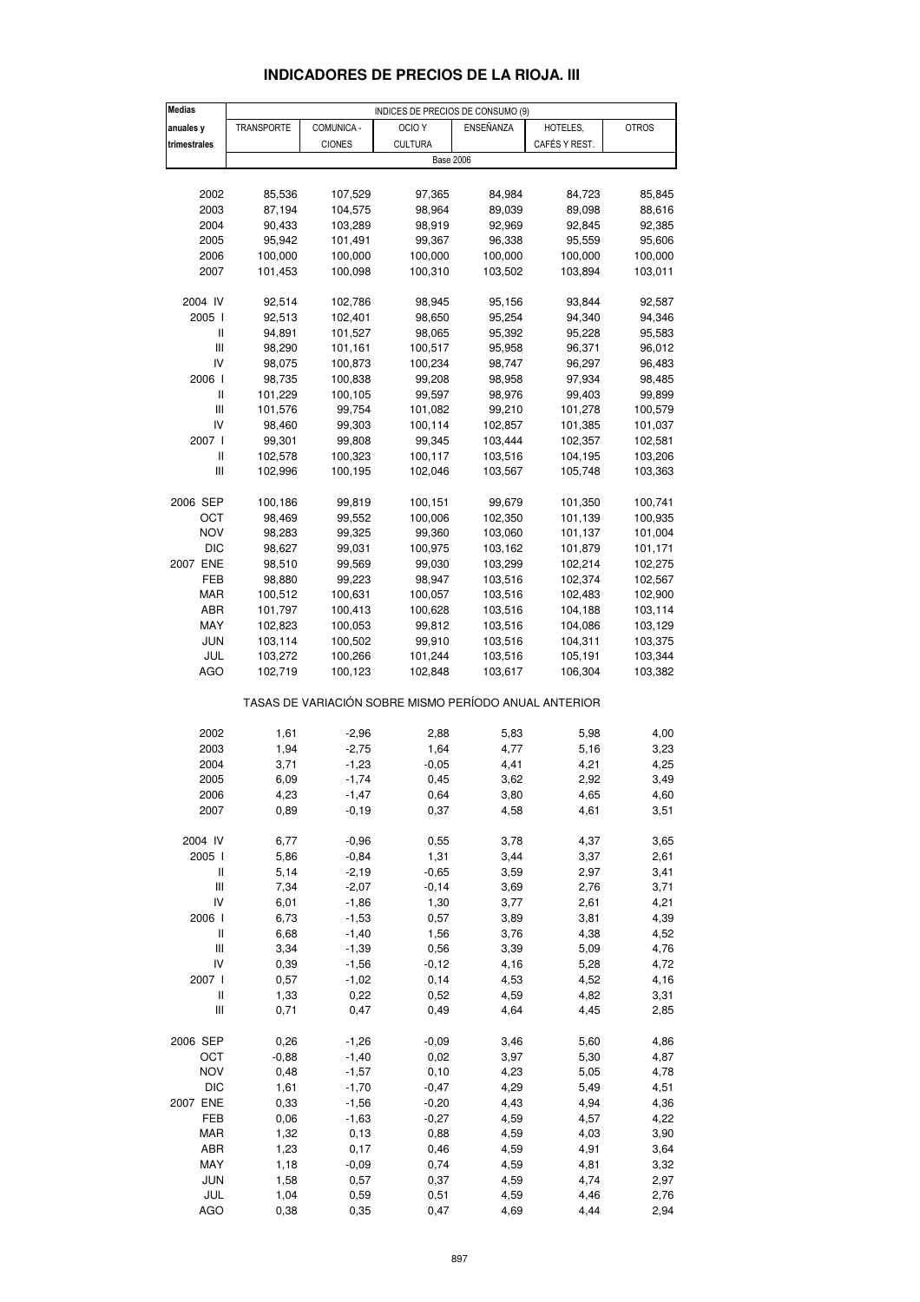| <b>Medias</b>                             |            |               | INDICES DE PRECIOS DE CONSUMO (9)                     |           |               |              |
|-------------------------------------------|------------|---------------|-------------------------------------------------------|-----------|---------------|--------------|
| anuales y                                 | TRANSPORTE | COMUNICA -    | OCIO <sub>Y</sub>                                     | ENSEÑANZA | HOTELES,      | <b>OTROS</b> |
| trimestrales                              |            | <b>CIONES</b> | <b>CULTURA</b>                                        |           | CAFÉS Y REST. |              |
|                                           |            |               | <b>Base 2006</b>                                      |           |               |              |
|                                           |            |               |                                                       |           |               |              |
|                                           |            |               |                                                       |           |               |              |
| 2002                                      | 85,536     | 107,529       | 97,365                                                | 84,984    | 84,723        | 85,845       |
| 2003                                      | 87,194     | 104,575       | 98,964                                                | 89,039    | 89,098        | 88,616       |
| 2004                                      | 90,433     | 103,289       | 98,919                                                | 92,969    | 92,845        | 92,385       |
| 2005                                      | 95,942     | 101,491       | 99,367                                                | 96,338    | 95,559        | 95,606       |
| 2006                                      | 100,000    | 100,000       | 100,000                                               | 100,000   | 100,000       | 100,000      |
| 2007                                      | 101,453    | 100,098       | 100,310                                               | 103,502   | 103,894       | 103,011      |
|                                           |            |               |                                                       |           |               |              |
| 2004 IV                                   | 92,514     | 102,786       | 98,945                                                | 95,156    | 93,844        | 92,587       |
| 2005                                      | 92,513     | 102,401       | 98,650                                                | 95,254    | 94,340        | 94,346       |
| Ш                                         | 94,891     | 101,527       | 98,065                                                | 95,392    | 95,228        | 95,583       |
|                                           |            |               |                                                       |           |               |              |
| Ш                                         | 98,290     | 101,161       | 100,517                                               | 95,958    | 96,371        | 96,012       |
| IV                                        | 98,075     | 100,873       | 100,234                                               | 98,747    | 96,297        | 96,483       |
| 2006                                      | 98,735     | 100,838       | 99,208                                                | 98,958    | 97,934        | 98,485       |
| Ш                                         | 101,229    | 100,105       | 99,597                                                | 98,976    | 99,403        | 99,899       |
| Ш                                         | 101,576    | 99,754        | 101,082                                               | 99,210    | 101,278       | 100,579      |
| IV                                        | 98,460     | 99,303        | 100,114                                               | 102,857   | 101,385       | 101,037      |
| 2007 l                                    | 99,301     | 99,808        | 99,345                                                | 103,444   | 102,357       | 102,581      |
| Ш                                         | 102,578    | 100,323       | 100,117                                               | 103,516   | 104,195       | 103,206      |
| Ш                                         | 102,996    | 100,195       | 102,046                                               | 103,567   | 105,748       | 103,363      |
|                                           |            |               |                                                       |           |               |              |
| 2006 SEP                                  | 100,186    | 99,819        | 100,151                                               | 99,679    | 101,350       | 100,741      |
| OCT                                       | 98,469     | 99,552        | 100,006                                               | 102,350   | 101,139       | 100,935      |
|                                           |            |               |                                                       |           |               |              |
| <b>NOV</b>                                | 98,283     | 99,325        | 99,360                                                | 103,060   | 101,137       | 101,004      |
| <b>DIC</b>                                | 98,627     | 99,031        | 100,975                                               | 103,162   | 101,879       | 101,171      |
| 2007 ENE                                  | 98,510     | 99,569        | 99,030                                                | 103,299   | 102,214       | 102,275      |
| FEB                                       | 98,880     | 99,223        | 98,947                                                | 103,516   | 102,374       | 102,567      |
| MAR                                       | 100,512    | 100,631       | 100,057                                               | 103,516   | 102,483       | 102,900      |
| ABR                                       | 101,797    | 100,413       | 100,628                                               | 103,516   | 104,188       | 103,114      |
| MAY                                       | 102,823    | 100,053       | 99,812                                                | 103,516   | 104,086       | 103,129      |
| <b>JUN</b>                                | 103,114    | 100,502       | 99,910                                                | 103,516   | 104,311       | 103,375      |
| JUL                                       | 103,272    | 100,266       | 101,244                                               | 103,516   | 105,191       | 103,344      |
| AGO                                       | 102,719    | 100,123       | 102,848                                               | 103,617   | 106,304       | 103,382      |
|                                           |            |               |                                                       |           |               |              |
|                                           |            |               | TASAS DE VARIACIÓN SOBRE MISMO PERÍODO ANUAL ANTERIOR |           |               |              |
|                                           |            |               |                                                       |           |               |              |
| 2002                                      | 1,61       | $-2,96$       | 2,88                                                  | 5,83      | 5,98          | 4,00         |
|                                           |            |               |                                                       |           |               |              |
| 2003                                      | 1,94       | $-2,75$       | 1,64                                                  | 4,77      | 5,16          | 3,23         |
| 2004                                      | 3,71       | $-1,23$       | $-0,05$                                               | 4,41      | 4,21          | 4,25         |
| 2005                                      | 6,09       | $-1,74$       | 0,45                                                  | 3,62      | 2,92          | 3,49         |
| 2006                                      | 4,23       | $-1,47$       | 0,64                                                  | 3,80      | 4,65          | 4.60         |
| 2007                                      | 0,89       | $-0,19$       | 0,37                                                  | 4,58      | 4,61          | 3,51         |
|                                           |            |               |                                                       |           |               |              |
| 2004 IV                                   | 6,77       | $-0,96$       | 0,55                                                  | 3,78      | 4,37          | 3,65         |
| 2005 l                                    | 5,86       | $-0,84$       | 1,31                                                  | 3,44      | 3,37          | 2,61         |
| Ш                                         | 5,14       | $-2,19$       | $-0,65$                                               | 3,59      | 2,97          | 3,41         |
| Ш                                         | 7,34       | $-2,07$       | $-0, 14$                                              | 3,69      | 2,76          | 3,71         |
| IV                                        | 6,01       | $-1,86$       | 1,30                                                  | 3,77      | 2,61          | 4,21         |
| 2006                                      | 6,73       | $-1,53$       | 0,57                                                  | 3,89      | 3,81          | 4,39         |
| Ш                                         | 6,68       | $-1,40$       | 1,56                                                  | 3,76      | 4,38          | 4,52         |
| Ш                                         | 3,34       | $-1,39$       | 0,56                                                  | 3,39      | 5,09          | 4,76         |
| IV                                        |            |               |                                                       |           |               |              |
|                                           | 0,39       | $-1,56$       | $-0, 12$                                              | 4,16      | 5,28          | 4,72         |
| 2007 l                                    | 0,57       | $-1,02$       | 0,14                                                  | 4,53      | 4,52          | 4,16         |
| $\label{eq:1} \prod_{i=1}^n \mathbb{I}^i$ | 1,33       | 0,22          | 0,52                                                  | 4,59      | 4,82          | 3,31         |
| Ш                                         | 0,71       | 0,47          | 0,49                                                  | 4,64      | 4,45          | 2,85         |
|                                           |            |               |                                                       |           |               |              |
| 2006 SEP                                  | 0,26       | $-1,26$       | $-0,09$                                               | 3,46      | 5,60          | 4,86         |
| OCT                                       | $-0,88$    | $-1,40$       | 0,02                                                  | 3,97      | 5,30          | 4,87         |
| <b>NOV</b>                                | 0,48       | $-1,57$       | 0, 10                                                 | 4,23      | 5,05          | 4,78         |
| DIC                                       | 1,61       | $-1,70$       | $-0,47$                                               | 4,29      | 5,49          | 4,51         |
| 2007 ENE                                  | 0,33       | $-1,56$       | $-0,20$                                               | 4,43      | 4,94          | 4,36         |
| FEB                                       | 0,06       | $-1,63$       | $-0,27$                                               | 4,59      | 4,57          | 4,22         |
| MAR                                       | 1,32       | 0, 13         | 0,88                                                  | 4,59      | 4,03          | 3,90         |
| ABR                                       | 1,23       | 0,17          | 0,46                                                  | 4,59      | 4,91          | 3,64         |
|                                           |            |               |                                                       |           |               |              |
| MAY                                       | 1,18       | $-0,09$       | 0,74                                                  | 4,59      | 4,81          | 3,32         |
| <b>JUN</b>                                | 1,58       | 0,57          | 0,37                                                  | 4,59      | 4,74          | 2,97         |

## **INDICADORES DE PRECIOS DE LA RIOJA. III**

 JUL 1,04 0,59 0,51 4,59 4,46 2,76 AGO 0,38 0,35 0,47 4,69 4,44 2,94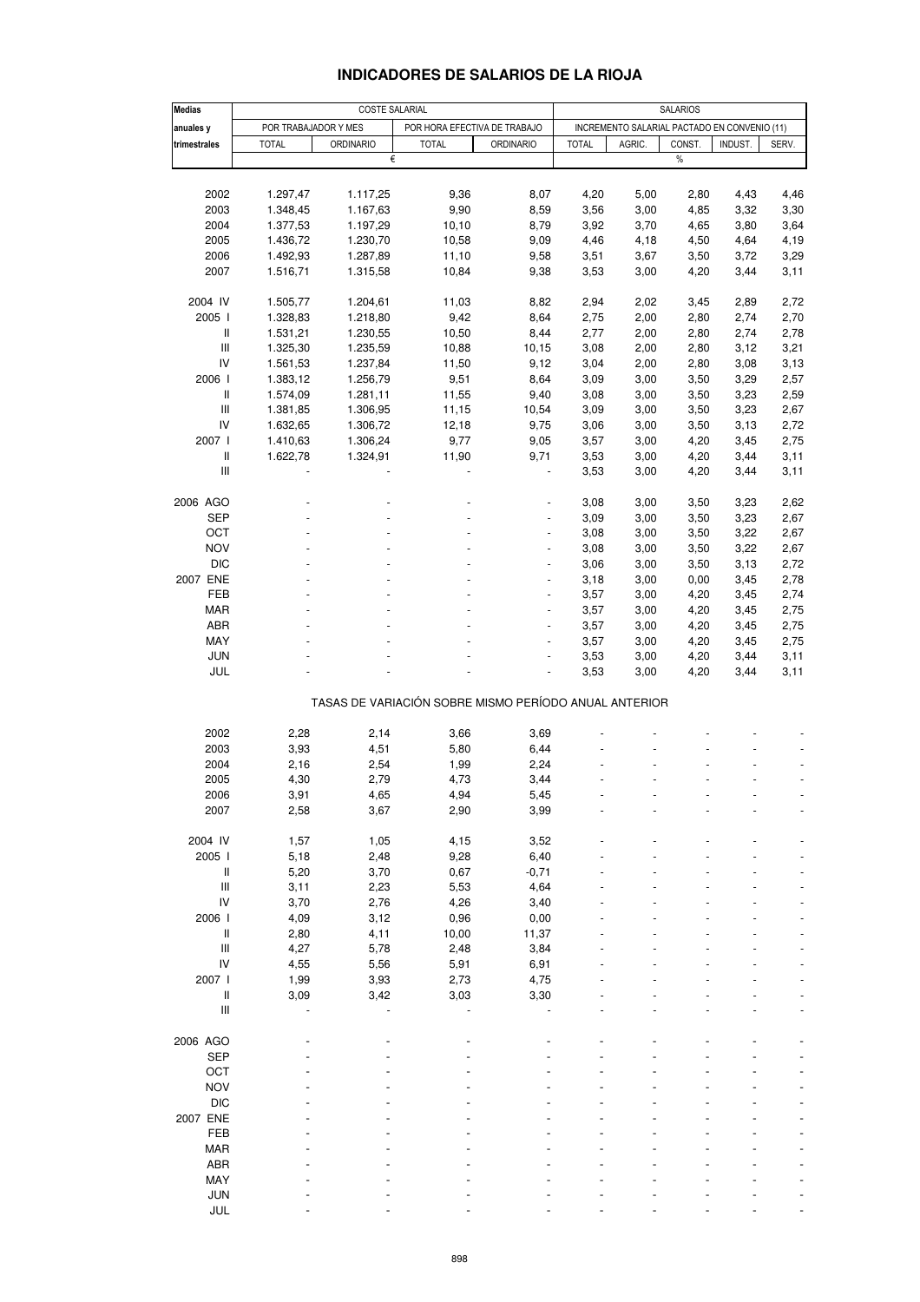| <b>Medias</b>                      |                      | <b>COSTE SALARIAL</b> |                                                       |                          | <b>SALARIOS</b> |                                              |             |         |       |
|------------------------------------|----------------------|-----------------------|-------------------------------------------------------|--------------------------|-----------------|----------------------------------------------|-------------|---------|-------|
| anuales y                          | POR TRABAJADOR Y MES |                       | POR HORA EFECTIVA DE TRABAJO                          |                          |                 | INCREMENTO SALARIAL PACTADO EN CONVENIO (11) |             |         |       |
| trimestrales                       |                      |                       |                                                       |                          |                 | AGRIC.                                       |             |         |       |
|                                    | <b>TOTAL</b>         | <b>ORDINARIO</b><br>€ | <b>TOTAL</b>                                          | <b>ORDINARIO</b>         | <b>TOTAL</b>    |                                              | CONST.<br>% | INDUST. | SERV. |
|                                    |                      |                       |                                                       |                          |                 |                                              |             |         |       |
|                                    |                      |                       |                                                       |                          |                 |                                              |             |         |       |
| 2002                               | 1.297,47             | 1.117,25              | 9,36                                                  | 8,07                     | 4,20            | 5,00                                         | 2,80        | 4,43    | 4,46  |
| 2003                               | 1.348,45             | 1.167,63              | 9,90                                                  | 8,59                     | 3,56            | 3,00                                         | 4,85        | 3,32    | 3,30  |
| 2004                               | 1.377,53             | 1.197,29              | 10, 10                                                | 8,79                     | 3,92            | 3,70                                         | 4,65        | 3,80    | 3,64  |
| 2005                               | 1.436,72             | 1.230,70              | 10,58                                                 | 9,09                     | 4,46            | 4,18                                         | 4,50        | 4,64    | 4,19  |
| 2006                               | 1.492,93             | 1.287,89              | 11,10                                                 | 9,58                     | 3,51            | 3,67                                         | 3,50        | 3,72    | 3,29  |
| 2007                               | 1.516,71             | 1.315,58              | 10,84                                                 | 9,38                     | 3,53            | 3,00                                         | 4,20        | 3,44    | 3,11  |
|                                    |                      |                       |                                                       |                          |                 |                                              |             |         |       |
| 2004 IV                            | 1.505,77             | 1.204,61              | 11,03                                                 | 8,82                     | 2,94            | 2,02                                         | 3,45        | 2,89    | 2,72  |
| 2005                               | 1.328,83             | 1.218,80              | 9,42                                                  | 8,64                     | 2,75            | 2,00                                         | 2,80        | 2,74    | 2,70  |
| $\mathbf{I}$                       | 1.531,21             | 1.230,55              | 10,50                                                 | 8,44                     | 2,77            | 2,00                                         | 2,80        | 2,74    | 2,78  |
| $\ensuremath{\mathsf{III}}\xspace$ | 1.325,30             | 1.235,59              | 10,88                                                 | 10,15                    | 3,08            | 2,00                                         | 2,80        | 3,12    | 3,21  |
| IV                                 | 1.561,53             | 1.237,84              | 11,50                                                 | 9,12                     | 3,04            | 2,00                                         | 2,80        | 3,08    | 3,13  |
| 2006                               | 1.383,12             | 1.256,79              | 9,51                                                  | 8,64                     | 3,09            | 3,00                                         | 3,50        | 3,29    | 2,57  |
| $\mathbf{I}$                       | 1.574,09             | 1.281,11              | 11,55                                                 | 9,40                     | 3,08            | 3,00                                         | 3,50        | 3,23    | 2,59  |
| Ш                                  | 1.381,85             | 1.306,95              | 11,15                                                 | 10,54                    | 3,09            | 3,00                                         | 3,50        | 3,23    | 2,67  |
| IV                                 | 1.632,65             | 1.306,72              | 12,18                                                 | 9,75                     | 3,06            | 3,00                                         | 3,50        | 3,13    | 2,72  |
| 2007 l                             | 1.410,63             | 1.306,24              | 9,77                                                  | 9,05                     | 3,57            | 3,00                                         | 4,20        | 3,45    | 2,75  |
| $\mathbf{I}$                       | 1.622,78             | 1.324,91              | 11,90                                                 | 9,71                     | 3,53            | 3,00                                         | 4,20        | 3,44    | 3,11  |
| Ш                                  |                      |                       |                                                       |                          | 3,53            | 3,00                                         | 4,20        | 3,44    | 3,11  |
|                                    |                      |                       |                                                       |                          |                 |                                              |             |         |       |
| 2006 AGO                           |                      |                       |                                                       |                          | 3,08            |                                              |             |         |       |
|                                    |                      |                       |                                                       |                          |                 | 3,00                                         | 3,50        | 3,23    | 2,62  |
| SEP                                |                      |                       |                                                       |                          | 3,09            | 3,00                                         | 3,50        | 3,23    | 2,67  |
| OCT                                |                      |                       |                                                       |                          | 3,08            | 3,00                                         | 3,50        | 3,22    | 2,67  |
| <b>NOV</b>                         |                      |                       |                                                       |                          | 3,08            | 3,00                                         | 3,50        | 3,22    | 2,67  |
| <b>DIC</b>                         |                      |                       |                                                       |                          | 3,06            | 3,00                                         | 3,50        | 3,13    | 2,72  |
| 2007 ENE                           |                      |                       |                                                       |                          | 3,18            | 3,00                                         | 0,00        | 3,45    | 2,78  |
| FEB                                |                      |                       |                                                       |                          | 3,57            | 3,00                                         | 4,20        | 3,45    | 2,74  |
| <b>MAR</b>                         |                      |                       |                                                       |                          | 3,57            | 3,00                                         | 4,20        | 3,45    | 2,75  |
| ABR                                |                      |                       |                                                       |                          | 3,57            | 3,00                                         | 4,20        | 3,45    | 2,75  |
| MAY                                |                      |                       |                                                       |                          | 3,57            | 3,00                                         | 4,20        | 3,45    | 2,75  |
| <b>JUN</b>                         |                      |                       |                                                       | $\overline{\phantom{a}}$ | 3,53            | 3,00                                         | 4,20        | 3,44    | 3,11  |
| JUL                                |                      |                       |                                                       |                          | 3,53            | 3,00                                         | 4,20        | 3,44    | 3,11  |
|                                    |                      |                       | TASAS DE VARIACIÓN SOBRE MISMO PERÍODO ANUAL ANTERIOR |                          |                 |                                              |             |         |       |
|                                    |                      |                       |                                                       |                          |                 |                                              |             |         |       |
| 2002                               | 2,28                 | 2,14                  | 3,66                                                  | 3,69                     |                 |                                              |             |         |       |
| 2003                               | 3,93                 | 4,51                  | 5,80                                                  | 6,44                     |                 |                                              |             |         |       |
| 2004                               | 2,16                 | 2,54                  | 1,99                                                  | 2,24                     |                 |                                              |             |         |       |
| 2005                               | 4,30                 | 2,79                  | 4,73                                                  | 3,44                     |                 |                                              |             |         |       |
| 2006                               | 3,91                 | 4,65                  | 4,94                                                  | 5,45                     |                 |                                              |             |         |       |
| 2007                               | 2,58                 | 3,67                  | 2,90                                                  | 3,99                     |                 |                                              |             |         |       |
|                                    |                      |                       |                                                       |                          |                 |                                              |             |         |       |
| 2004 IV                            | 1,57                 | 1,05                  | 4,15                                                  | 3,52                     |                 |                                              |             |         |       |
| 2005 l                             | 5,18                 | 2,48                  | 9,28                                                  | 6,40                     |                 |                                              |             |         |       |
| $\ensuremath{\mathsf{II}}$         | 5,20                 | 3,70                  | 0,67                                                  | $-0,71$                  |                 |                                              |             |         |       |
| $\mathsf{III}$                     | 3,11                 | 2,23                  | 5,53                                                  | 4,64                     |                 |                                              |             |         |       |
| IV                                 | 3,70                 | 2,76                  | 4,26                                                  | 3,40                     |                 |                                              |             |         |       |
| 2006                               | 4,09                 | 3,12                  | 0,96                                                  | 0,00                     |                 |                                              |             |         |       |
| $\, \parallel$                     | 2,80                 | 4,11                  | 10,00                                                 | 11,37                    |                 |                                              |             |         |       |
| $\mathsf{III}$                     | 4,27                 | 5,78                  | 2,48                                                  | 3,84                     |                 |                                              |             |         |       |
| ${\sf IV}$                         | 4,55                 | 5,56                  | 5,91                                                  | 6,91                     |                 |                                              |             |         |       |
| 2007 l                             | 1,99                 | 3,93                  | 2,73                                                  | 4,75                     |                 |                                              |             |         |       |
| $\ensuremath{\mathsf{II}}$         | 3,09                 | 3,42                  | 3,03                                                  | 3,30                     |                 |                                              |             |         |       |
| $\ensuremath{\mathsf{III}}\xspace$ |                      |                       |                                                       |                          |                 |                                              |             |         |       |
|                                    |                      |                       |                                                       |                          |                 |                                              |             |         |       |
| 2006 AGO                           |                      |                       |                                                       |                          |                 |                                              |             |         |       |
| <b>SEP</b>                         |                      |                       |                                                       |                          |                 |                                              |             |         |       |
| OCT                                |                      |                       |                                                       |                          |                 |                                              |             |         |       |
| <b>NOV</b>                         |                      |                       |                                                       |                          |                 |                                              |             |         |       |
| <b>DIC</b>                         |                      |                       |                                                       |                          |                 |                                              |             |         |       |
| 2007 ENE                           |                      |                       |                                                       |                          |                 |                                              |             |         |       |
| <b>FEB</b>                         |                      |                       |                                                       |                          |                 |                                              |             |         |       |
|                                    |                      |                       |                                                       |                          |                 |                                              |             |         |       |
| MAR                                |                      |                       |                                                       |                          |                 |                                              |             |         |       |
| ABR                                |                      |                       |                                                       |                          |                 |                                              |             |         |       |
| MAY                                |                      |                       |                                                       |                          |                 |                                              |             |         |       |
| JUN                                |                      |                       |                                                       |                          |                 |                                              |             |         |       |
| JUL                                |                      |                       |                                                       |                          |                 |                                              |             |         |       |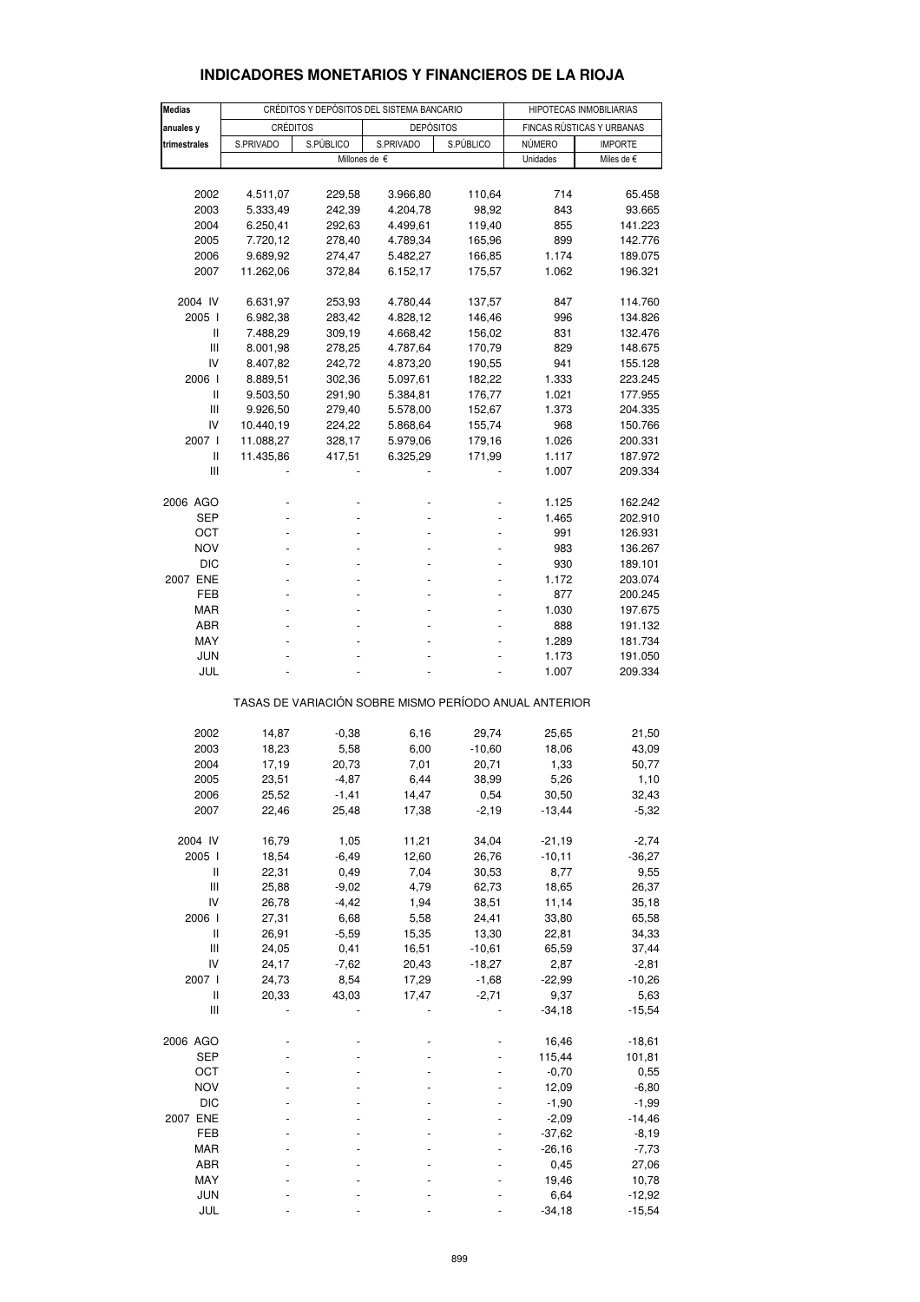| <b>Medias</b>  |                 |           | CRÉDITOS Y DEPÓSITOS DEL SISTEMA BANCARIO             |           | HIPOTECAS INMOBILIARIAS   |                |  |  |  |  |  |  |  |
|----------------|-----------------|-----------|-------------------------------------------------------|-----------|---------------------------|----------------|--|--|--|--|--|--|--|
| anuales y      | <b>CRÉDITOS</b> |           | <b>DEPÓSITOS</b>                                      |           | FINCAS RÚSTICAS Y URBANAS |                |  |  |  |  |  |  |  |
| trimestrales   | S.PRIVADO       | S.PÚBLICO | S.PRIVADO                                             | S.PÚBLICO | NÚMERO                    | <b>IMPORTE</b> |  |  |  |  |  |  |  |
|                |                 |           | Millones de €                                         |           | Unidades                  | Miles de €     |  |  |  |  |  |  |  |
|                |                 |           |                                                       |           |                           |                |  |  |  |  |  |  |  |
| 2002           | 4.511,07        | 229,58    | 3.966,80                                              | 110,64    | 714                       | 65.458         |  |  |  |  |  |  |  |
| 2003           | 5.333,49        | 242,39    | 4.204,78                                              | 98,92     | 843                       | 93.665         |  |  |  |  |  |  |  |
| 2004           | 6.250,41        | 292,63    | 4.499,61                                              | 119,40    | 855                       | 141.223        |  |  |  |  |  |  |  |
|                |                 |           |                                                       |           |                           |                |  |  |  |  |  |  |  |
| 2005           | 7.720,12        | 278,40    | 4.789,34                                              | 165,96    | 899                       | 142.776        |  |  |  |  |  |  |  |
| 2006           | 9.689,92        | 274,47    | 5.482,27                                              | 166,85    | 1.174                     | 189.075        |  |  |  |  |  |  |  |
| 2007           | 11.262,06       | 372,84    | 6.152,17                                              | 175,57    | 1.062                     | 196.321        |  |  |  |  |  |  |  |
| 2004 IV        | 6.631,97        | 253,93    | 4.780,44                                              | 137,57    | 847                       | 114.760        |  |  |  |  |  |  |  |
|                |                 |           |                                                       |           |                           |                |  |  |  |  |  |  |  |
| 2005 l         | 6.982,38        | 283,42    | 4.828,12                                              | 146,46    | 996                       | 134.826        |  |  |  |  |  |  |  |
| Ш              | 7.488,29        | 309,19    | 4.668,42                                              | 156,02    | 831                       | 132.476        |  |  |  |  |  |  |  |
| Ш              | 8.001,98        | 278,25    | 4.787,64                                              | 170,79    | 829                       | 148.675        |  |  |  |  |  |  |  |
| IV             | 8.407,82        | 242,72    | 4.873,20                                              | 190,55    | 941                       | 155.128        |  |  |  |  |  |  |  |
| 2006 l         | 8.889,51        | 302,36    | 5.097,61                                              | 182,22    | 1.333                     | 223.245        |  |  |  |  |  |  |  |
| Ш              | 9.503,50        | 291,90    | 5.384,81                                              | 176,77    | 1.021                     | 177.955        |  |  |  |  |  |  |  |
| Ш              | 9.926,50        | 279,40    | 5.578,00                                              | 152,67    | 1.373                     | 204.335        |  |  |  |  |  |  |  |
| IV             | 10.440,19       | 224,22    | 5.868,64                                              | 155,74    | 968                       | 150.766        |  |  |  |  |  |  |  |
| 2007 l         | 11.088,27       | 328,17    | 5.979,06                                              | 179,16    | 1.026                     | 200.331        |  |  |  |  |  |  |  |
| Ш              |                 |           |                                                       | 171,99    |                           | 187.972        |  |  |  |  |  |  |  |
|                | 11.435,86       | 417,51    | 6.325,29                                              |           | 1.117                     |                |  |  |  |  |  |  |  |
| Ш              |                 |           |                                                       |           | 1.007                     | 209.334        |  |  |  |  |  |  |  |
| 2006 AGO       |                 |           |                                                       |           | 1.125                     | 162.242        |  |  |  |  |  |  |  |
| SEP            |                 |           |                                                       |           | 1.465                     | 202.910        |  |  |  |  |  |  |  |
| ОСТ            |                 |           |                                                       |           | 991                       | 126.931        |  |  |  |  |  |  |  |
|                |                 |           |                                                       |           |                           |                |  |  |  |  |  |  |  |
| <b>NOV</b>     |                 |           |                                                       |           | 983                       | 136.267        |  |  |  |  |  |  |  |
| <b>DIC</b>     |                 |           |                                                       |           | 930                       | 189.101        |  |  |  |  |  |  |  |
| 2007 ENE       |                 |           |                                                       |           | 1.172                     | 203.074        |  |  |  |  |  |  |  |
| FEB            |                 |           |                                                       |           | 877                       | 200.245        |  |  |  |  |  |  |  |
| <b>MAR</b>     |                 |           |                                                       |           | 1.030                     | 197.675        |  |  |  |  |  |  |  |
| ABR            |                 |           |                                                       |           | 888                       | 191.132        |  |  |  |  |  |  |  |
| MAY            |                 |           |                                                       |           | 1.289                     | 181.734        |  |  |  |  |  |  |  |
| <b>JUN</b>     |                 |           |                                                       |           | 1.173                     | 191.050        |  |  |  |  |  |  |  |
| JUL            |                 |           |                                                       |           | 1.007                     | 209.334        |  |  |  |  |  |  |  |
|                |                 |           |                                                       |           |                           |                |  |  |  |  |  |  |  |
|                |                 |           | TASAS DE VARIACIÓN SOBRE MISMO PERÍODO ANUAL ANTERIOR |           |                           |                |  |  |  |  |  |  |  |
| 2002           | 14,87           | $-0,38$   | 6,16                                                  | 29,74     | 25,65                     | 21,50          |  |  |  |  |  |  |  |
| 2003           | 18,23           | 5,58      | 6,00                                                  | $-10,60$  | 18,06                     | 43,09          |  |  |  |  |  |  |  |
|                |                 |           |                                                       |           |                           |                |  |  |  |  |  |  |  |
| 2004           | 17,19           | 20,73     | 7,01                                                  | 20,71     | 1,33                      | 50,77          |  |  |  |  |  |  |  |
| 2005           | 23,51           | $-4,87$   | 6,44                                                  | 38,99     | 5,26                      | 1,10           |  |  |  |  |  |  |  |
| 2006           | 25,52           | $-1,41$   | 14,47                                                 | 0,54      | 30,50                     | 32,43          |  |  |  |  |  |  |  |
| 2007           | 22,46           | 25,48     | 17,38                                                 | $-2,19$   | $-13,44$                  | $-5,32$        |  |  |  |  |  |  |  |
| 2004 IV        | 16,79           | 1,05      | 11,21                                                 | 34,04     | $-21,19$                  | $-2,74$        |  |  |  |  |  |  |  |
| 2005 l         | 18,54           | $-6,49$   | 12,60                                                 | 26,76     | $-10,11$                  | $-36,27$       |  |  |  |  |  |  |  |
| Ш              | 22,31           | 0,49      | 7,04                                                  | 30,53     | 8,77                      |                |  |  |  |  |  |  |  |
|                |                 |           |                                                       |           |                           | 9,55           |  |  |  |  |  |  |  |
| $\mathsf{III}$ | 25,88           | $-9,02$   | 4,79                                                  | 62,73     | 18,65                     | 26,37          |  |  |  |  |  |  |  |
| IV             | 26,78           | $-4,42$   | 1,94                                                  | 38,51     | 11,14                     | 35,18          |  |  |  |  |  |  |  |
| 2006 l         | 27,31           | 6,68      | 5,58                                                  | 24,41     | 33,80                     | 65,58          |  |  |  |  |  |  |  |
| $\sf II$       | 26,91           | $-5,59$   | 15,35                                                 | 13,30     | 22,81                     | 34,33          |  |  |  |  |  |  |  |
| $\mathbf{III}$ | 24,05           | 0,41      | 16,51                                                 | $-10,61$  | 65,59                     | 37,44          |  |  |  |  |  |  |  |
| IV             | 24,17           | $-7,62$   | 20,43                                                 | $-18,27$  | 2,87                      | $-2,81$        |  |  |  |  |  |  |  |
| 2007 l         | 24,73           | 8,54      | 17,29                                                 | $-1,68$   | $-22,99$                  | $-10,26$       |  |  |  |  |  |  |  |
| Ш              | 20,33           | 43,03     | 17,47                                                 | $-2,71$   | 9,37                      | 5,63           |  |  |  |  |  |  |  |
| Ш              |                 |           |                                                       |           | $-34,18$                  | $-15,54$       |  |  |  |  |  |  |  |
|                |                 |           |                                                       |           |                           |                |  |  |  |  |  |  |  |
| 2006 AGO       |                 |           |                                                       |           | 16,46                     | $-18,61$       |  |  |  |  |  |  |  |
| <b>SEP</b>     |                 |           |                                                       |           | 115,44                    | 101,81         |  |  |  |  |  |  |  |
| OCT            |                 |           |                                                       |           | $-0,70$                   | 0,55           |  |  |  |  |  |  |  |
| <b>NOV</b>     |                 |           |                                                       |           | 12,09                     | $-6,80$        |  |  |  |  |  |  |  |
| <b>DIC</b>     |                 |           |                                                       |           | $-1,90$                   | $-1,99$        |  |  |  |  |  |  |  |
| 2007 ENE       |                 |           |                                                       |           | $-2,09$                   | $-14,46$       |  |  |  |  |  |  |  |
| FEB            |                 |           |                                                       |           | $-37,62$                  | $-8,19$        |  |  |  |  |  |  |  |
| <b>MAR</b>     |                 |           |                                                       |           | $-26,16$                  | $-7,73$        |  |  |  |  |  |  |  |
| ABR            |                 |           |                                                       |           | 0,45                      | 27,06          |  |  |  |  |  |  |  |
|                |                 |           |                                                       |           |                           |                |  |  |  |  |  |  |  |
| MAY            |                 |           |                                                       |           | 19,46                     | 10,78          |  |  |  |  |  |  |  |
| <b>JUN</b>     |                 |           |                                                       |           | 6,64                      | $-12,92$       |  |  |  |  |  |  |  |
| JUL            |                 |           |                                                       |           | $-34,18$                  | $-15,54$       |  |  |  |  |  |  |  |

## **INDICADORES MONETARIOS Y FINANCIEROS DE LA RIOJA**